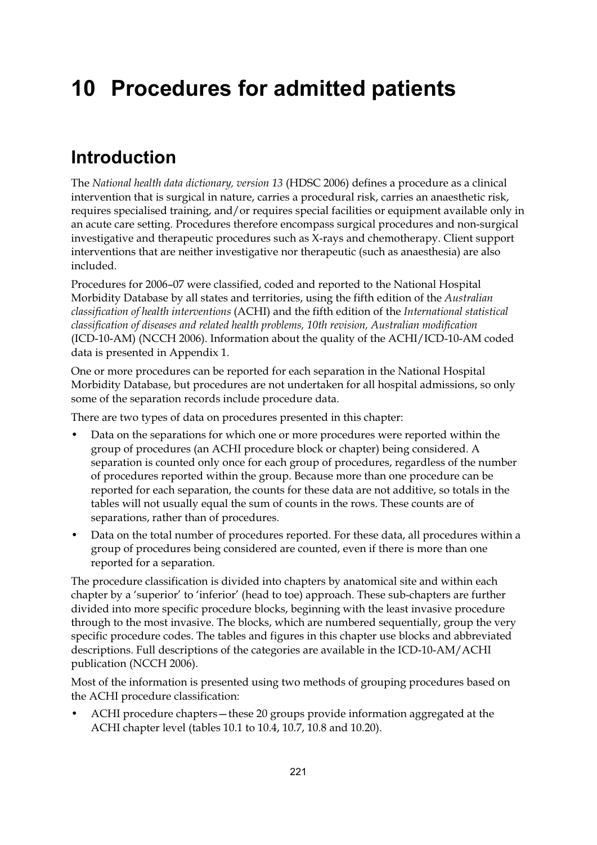# **10 Procedures for admitted patients**

## **Introduction**

The *National health data dictionary, version 13* (HDSC 2006) defines a procedure as a clinical intervention that is surgical in nature, carries a procedural risk, carries an anaesthetic risk, requires specialised training, and/or requires special facilities or equipment available only in an acute care setting. Procedures therefore encompass surgical procedures and non-surgical investigative and therapeutic procedures such as X-rays and chemotherapy. Client support interventions that are neither investigative nor therapeutic (such as anaesthesia) are also included.

Procedures for 2006–07 were classified, coded and reported to the National Hospital Morbidity Database by all states and territories, using the fifth edition of the *Australian classification of health interventions* (ACHI) and the fifth edition of the *International statistical classification of diseases and related health problems, 10th revision, Australian modification* (ICD-10-AM) (NCCH 2006). Information about the quality of the ACHI/ICD-10-AM coded data is presented in Appendix 1.

One or more procedures can be reported for each separation in the National Hospital Morbidity Database, but procedures are not undertaken for all hospital admissions, so only some of the separation records include procedure data.

There are two types of data on procedures presented in this chapter:

- Data on the separations for which one or more procedures were reported within the group of procedures (an ACHI procedure block or chapter) being considered. A separation is counted only once for each group of procedures, regardless of the number of procedures reported within the group. Because more than one procedure can be reported for each separation, the counts for these data are not additive, so totals in the tables will not usually equal the sum of counts in the rows. These counts are of separations, rather than of procedures.
- Data on the total number of procedures reported. For these data, all procedures within a group of procedures being considered are counted, even if there is more than one reported for a separation.

The procedure classification is divided into chapters by anatomical site and within each chapter by a 'superior' to 'inferior' (head to toe) approach. These sub-chapters are further divided into more specific procedure blocks, beginning with the least invasive procedure through to the most invasive. The blocks, which are numbered sequentially, group the very specific procedure codes. The tables and figures in this chapter use blocks and abbreviated descriptions. Full descriptions of the categories are available in the ICD-10-AM/ACHI publication (NCCH 2006).

Most of the information is presented using two methods of grouping procedures based on the ACHI procedure classification:

• ACHI procedure chapters—these 20 groups provide information aggregated at the ACHI chapter level (tables 10.1 to 10.4, 10.7, 10.8 and 10.20).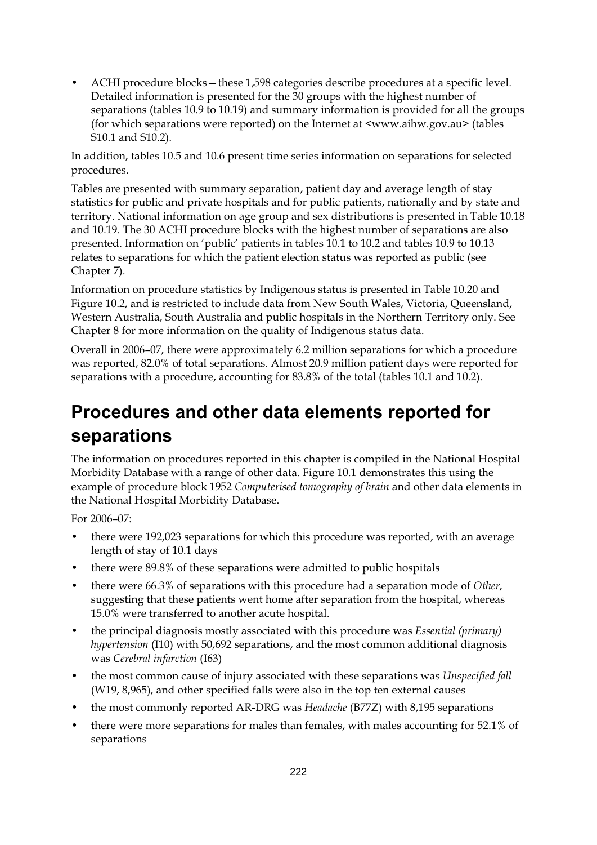• ACHI procedure blocks—these 1,598 categories describe procedures at a specific level. Detailed information is presented for the 30 groups with the highest number of separations (tables 10.9 to 10.19) and summary information is provided for all the groups (for which separations were reported) on the Internet at <www.aihw.gov.au> (tables S10.1 and S10.2).

In addition, tables 10.5 and 10.6 present time series information on separations for selected procedures.

Tables are presented with summary separation, patient day and average length of stay statistics for public and private hospitals and for public patients, nationally and by state and territory. National information on age group and sex distributions is presented in Table 10.18 and 10.19. The 30 ACHI procedure blocks with the highest number of separations are also presented. Information on 'public' patients in tables 10.1 to 10.2 and tables 10.9 to 10.13 relates to separations for which the patient election status was reported as public (see Chapter 7).

Information on procedure statistics by Indigenous status is presented in Table 10.20 and Figure 10.2, and is restricted to include data from New South Wales, Victoria, Queensland, Western Australia, South Australia and public hospitals in the Northern Territory only. See Chapter 8 for more information on the quality of Indigenous status data.

Overall in 2006–07, there were approximately 6.2 million separations for which a procedure was reported, 82.0% of total separations. Almost 20.9 million patient days were reported for separations with a procedure, accounting for 83.8% of the total (tables 10.1 and 10.2).

# **Procedures and other data elements reported for separations**

The information on procedures reported in this chapter is compiled in the National Hospital Morbidity Database with a range of other data. Figure 10.1 demonstrates this using the example of procedure block 1952 *Computerised tomography of brain* and other data elements in the National Hospital Morbidity Database.

For 2006–07:

- there were 192,023 separations for which this procedure was reported, with an average length of stay of 10.1 days
- there were 89.8% of these separations were admitted to public hospitals
- there were 66.3% of separations with this procedure had a separation mode of *Other*, suggesting that these patients went home after separation from the hospital, whereas 15.0% were transferred to another acute hospital.
- the principal diagnosis mostly associated with this procedure was *Essential (primary) hypertension* (I10) with 50,692 separations, and the most common additional diagnosis was *Cerebral infarction* (I63)
- the most common cause of injury associated with these separations was *Unspecified fall* (W19, 8,965), and other specified falls were also in the top ten external causes
- the most commonly reported AR-DRG was *Headache* (B77Z) with 8,195 separations
- there were more separations for males than females, with males accounting for 52.1% of separations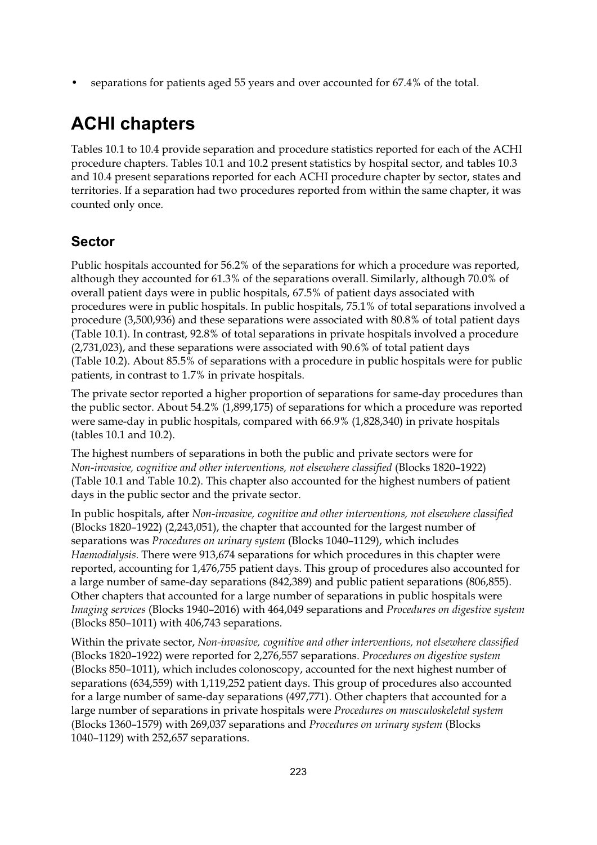• separations for patients aged 55 years and over accounted for 67.4% of the total.

# **ACHI chapters**

Tables 10.1 to 10.4 provide separation and procedure statistics reported for each of the ACHI procedure chapters. Tables 10.1 and 10.2 present statistics by hospital sector, and tables 10.3 and 10.4 present separations reported for each ACHI procedure chapter by sector, states and territories. If a separation had two procedures reported from within the same chapter, it was counted only once.

### **Sector**

Public hospitals accounted for 56.2% of the separations for which a procedure was reported, although they accounted for 61.3% of the separations overall. Similarly, although 70.0% of overall patient days were in public hospitals, 67.5% of patient days associated with procedures were in public hospitals. In public hospitals, 75.1% of total separations involved a procedure (3,500,936) and these separations were associated with 80.8% of total patient days (Table 10.1). In contrast, 92.8% of total separations in private hospitals involved a procedure (2,731,023), and these separations were associated with 90.6% of total patient days (Table 10.2). About 85.5% of separations with a procedure in public hospitals were for public patients, in contrast to 1.7% in private hospitals.

The private sector reported a higher proportion of separations for same-day procedures than the public sector. About 54.2% (1,899,175) of separations for which a procedure was reported were same-day in public hospitals, compared with 66.9% (1,828,340) in private hospitals (tables 10.1 and 10.2).

The highest numbers of separations in both the public and private sectors were for *Non-invasive, cognitive and other interventions, not elsewhere classified* (Blocks 1820–1922) (Table 10.1 and Table 10.2). This chapter also accounted for the highest numbers of patient days in the public sector and the private sector.

In public hospitals, after *Non-invasive, cognitive and other interventions, not elsewhere classified* (Blocks 1820–1922) (2,243,051), the chapter that accounted for the largest number of separations was *Procedures on urinary system* (Blocks 1040–1129), which includes *Haemodialysis*. There were 913,674 separations for which procedures in this chapter were reported, accounting for 1,476,755 patient days. This group of procedures also accounted for a large number of same-day separations (842,389) and public patient separations (806,855). Other chapters that accounted for a large number of separations in public hospitals were *Imaging services* (Blocks 1940–2016) with 464,049 separations and *Procedures on digestive system* (Blocks 850–1011) with 406,743 separations.

Within the private sector, *Non-invasive, cognitive and other interventions, not elsewhere classified* (Blocks 1820–1922) were reported for 2,276,557 separations. *Procedures on digestive system* (Blocks 850–1011), which includes colonoscopy, accounted for the next highest number of separations (634,559) with 1,119,252 patient days. This group of procedures also accounted for a large number of same-day separations (497,771). Other chapters that accounted for a large number of separations in private hospitals were *Procedures on musculoskeletal system* (Blocks 1360–1579) with 269,037 separations and *Procedures on urinary system* (Blocks 1040–1129) with 252,657 separations.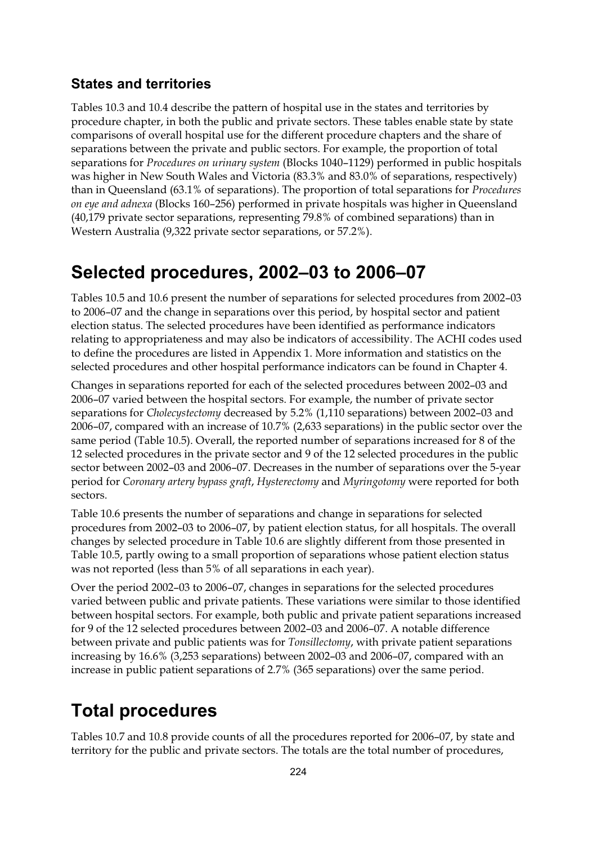### **States and territories**

Tables 10.3 and 10.4 describe the pattern of hospital use in the states and territories by procedure chapter, in both the public and private sectors. These tables enable state by state comparisons of overall hospital use for the different procedure chapters and the share of separations between the private and public sectors. For example, the proportion of total separations for *Procedures on urinary system* (Blocks 1040–1129) performed in public hospitals was higher in New South Wales and Victoria (83.3% and 83.0% of separations, respectively) than in Queensland (63.1% of separations). The proportion of total separations for *Procedures on eye and adnexa* (Blocks 160–256) performed in private hospitals was higher in Queensland (40,179 private sector separations, representing 79.8% of combined separations) than in Western Australia (9,322 private sector separations, or 57.2%).

### **Selected procedures, 2002–03 to 2006–07**

Tables 10.5 and 10.6 present the number of separations for selected procedures from 2002–03 to 2006–07 and the change in separations over this period, by hospital sector and patient election status. The selected procedures have been identified as performance indicators relating to appropriateness and may also be indicators of accessibility. The ACHI codes used to define the procedures are listed in Appendix 1. More information and statistics on the selected procedures and other hospital performance indicators can be found in Chapter 4.

Changes in separations reported for each of the selected procedures between 2002–03 and 2006–07 varied between the hospital sectors. For example, the number of private sector separations for *Cholecystectomy* decreased by 5.2% (1,110 separations) between 2002–03 and 2006–07, compared with an increase of 10.7% (2,633 separations) in the public sector over the same period (Table 10.5). Overall, the reported number of separations increased for 8 of the 12 selected procedures in the private sector and 9 of the 12 selected procedures in the public sector between 2002–03 and 2006–07. Decreases in the number of separations over the 5-year period for *Coronary artery bypass graft*, *Hysterectomy* and *Myringotomy* were reported for both sectors.

Table 10.6 presents the number of separations and change in separations for selected procedures from 2002–03 to 2006–07, by patient election status, for all hospitals. The overall changes by selected procedure in Table 10.6 are slightly different from those presented in Table 10.5, partly owing to a small proportion of separations whose patient election status was not reported (less than 5% of all separations in each year).

Over the period 2002–03 to 2006–07, changes in separations for the selected procedures varied between public and private patients. These variations were similar to those identified between hospital sectors. For example, both public and private patient separations increased for 9 of the 12 selected procedures between 2002–03 and 2006–07. A notable difference between private and public patients was for *Tonsillectomy*, with private patient separations increasing by 16.6% (3,253 separations) between 2002–03 and 2006–07, compared with an increase in public patient separations of 2.7% (365 separations) over the same period.

# **Total procedures**

Tables 10.7 and 10.8 provide counts of all the procedures reported for 2006–07, by state and territory for the public and private sectors. The totals are the total number of procedures,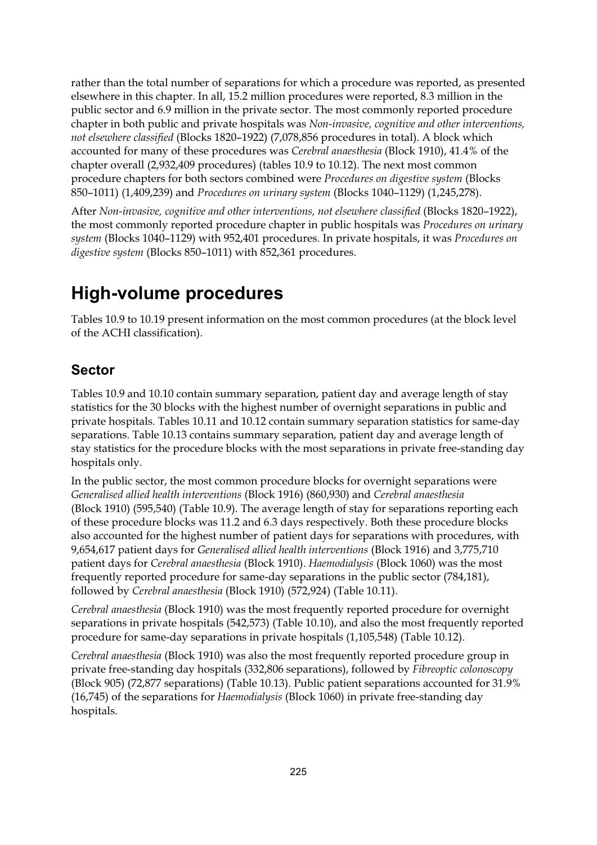rather than the total number of separations for which a procedure was reported, as presented elsewhere in this chapter. In all, 15.2 million procedures were reported, 8.3 million in the public sector and 6.9 million in the private sector. The most commonly reported procedure chapter in both public and private hospitals was *Non-invasive, cognitive and other interventions, not elsewhere classified* (Blocks 1820–1922) (7,078,856 procedures in total). A block which accounted for many of these procedures was *Cerebral anaesthesia* (Block 1910), 41.4% of the chapter overall (2,932,409 procedures) (tables 10.9 to 10.12). The next most common procedure chapters for both sectors combined were *Procedures on digestive system* (Blocks 850–1011) (1,409,239) and *Procedures on urinary system* (Blocks 1040–1129) (1,245,278).

After *Non-invasive, cognitive and other interventions, not elsewhere classified* (Blocks 1820–1922), the most commonly reported procedure chapter in public hospitals was *Procedures on urinary system* (Blocks 1040–1129) with 952,401 procedures. In private hospitals, it was *Procedures on digestive system* (Blocks 850–1011) with 852,361 procedures.

## **High-volume procedures**

Tables 10.9 to 10.19 present information on the most common procedures (at the block level of the ACHI classification).

### **Sector**

Tables 10.9 and 10.10 contain summary separation, patient day and average length of stay statistics for the 30 blocks with the highest number of overnight separations in public and private hospitals. Tables 10.11 and 10.12 contain summary separation statistics for same-day separations. Table 10.13 contains summary separation, patient day and average length of stay statistics for the procedure blocks with the most separations in private free-standing day hospitals only.

In the public sector, the most common procedure blocks for overnight separations were *Generalised allied health interventions* (Block 1916) (860,930) and *Cerebral anaesthesia* (Block 1910) (595,540) (Table 10.9). The average length of stay for separations reporting each of these procedure blocks was 11.2 and 6.3 days respectively. Both these procedure blocks also accounted for the highest number of patient days for separations with procedures, with 9,654,617 patient days for *Generalised allied health interventions* (Block 1916) and 3,775,710 patient days for *Cerebral anaesthesia* (Block 1910). *Haemodialysis* (Block 1060) was the most frequently reported procedure for same-day separations in the public sector (784,181), followed by *Cerebral anaesthesia* (Block 1910) (572,924) (Table 10.11).

*Cerebral anaesthesia* (Block 1910) was the most frequently reported procedure for overnight separations in private hospitals (542,573) (Table 10.10), and also the most frequently reported procedure for same-day separations in private hospitals (1,105,548) (Table 10.12).

*Cerebral anaesthesia* (Block 1910) was also the most frequently reported procedure group in private free-standing day hospitals (332,806 separations), followed by *Fibreoptic colonoscopy* (Block 905) (72,877 separations) (Table 10.13). Public patient separations accounted for 31.9% (16,745) of the separations for *Haemodialysis* (Block 1060) in private free-standing day hospitals.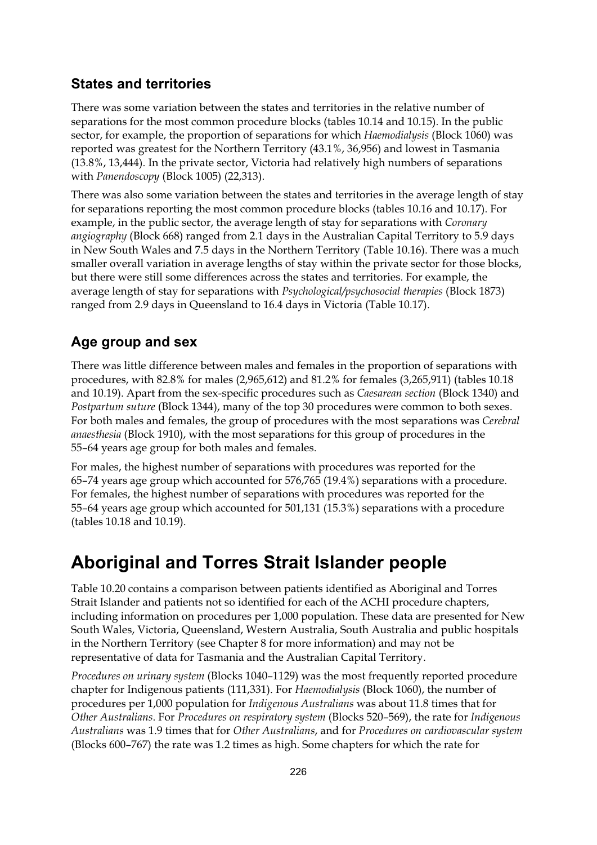### **States and territories**

There was some variation between the states and territories in the relative number of separations for the most common procedure blocks (tables 10.14 and 10.15). In the public sector, for example, the proportion of separations for which *Haemodialysis* (Block 1060) was reported was greatest for the Northern Territory (43.1%, 36,956) and lowest in Tasmania (13.8%, 13,444). In the private sector, Victoria had relatively high numbers of separations with *Panendoscopy* (Block 1005) (22,313).

There was also some variation between the states and territories in the average length of stay for separations reporting the most common procedure blocks (tables 10.16 and 10.17). For example, in the public sector, the average length of stay for separations with *Coronary angiography* (Block 668) ranged from 2.1 days in the Australian Capital Territory to 5.9 days in New South Wales and 7.5 days in the Northern Territory (Table 10.16). There was a much smaller overall variation in average lengths of stay within the private sector for those blocks, but there were still some differences across the states and territories. For example, the average length of stay for separations with *Psychological/psychosocial therapies* (Block 1873) ranged from 2.9 days in Queensland to 16.4 days in Victoria (Table 10.17).

### **Age group and sex**

There was little difference between males and females in the proportion of separations with procedures, with 82.8% for males (2,965,612) and 81.2% for females (3,265,911) (tables 10.18 and 10.19). Apart from the sex-specific procedures such as *Caesarean section* (Block 1340) and *Postpartum suture* (Block 1344), many of the top 30 procedures were common to both sexes. For both males and females, the group of procedures with the most separations was *Cerebral anaesthesia* (Block 1910), with the most separations for this group of procedures in the 55–64 years age group for both males and females.

For males, the highest number of separations with procedures was reported for the 65–74 years age group which accounted for 576,765 (19.4%) separations with a procedure. For females, the highest number of separations with procedures was reported for the 55–64 years age group which accounted for 501,131 (15.3%) separations with a procedure (tables 10.18 and 10.19).

### **Aboriginal and Torres Strait Islander people**

Table 10.20 contains a comparison between patients identified as Aboriginal and Torres Strait Islander and patients not so identified for each of the ACHI procedure chapters, including information on procedures per 1,000 population. These data are presented for New South Wales, Victoria, Queensland, Western Australia, South Australia and public hospitals in the Northern Territory (see Chapter 8 for more information) and may not be representative of data for Tasmania and the Australian Capital Territory.

*Procedures on urinary system* (Blocks 1040–1129) was the most frequently reported procedure chapter for Indigenous patients (111,331). For *Haemodialysis* (Block 1060), the number of procedures per 1,000 population for *Indigenous Australians* was about 11.8 times that for *Other Australians*. For *Procedures on respiratory system* (Blocks 520–569), the rate for *Indigenous Australians* was 1.9 times that for *Other Australians*, and for *Procedures on cardiovascular system* (Blocks 600–767) the rate was 1.2 times as high. Some chapters for which the rate for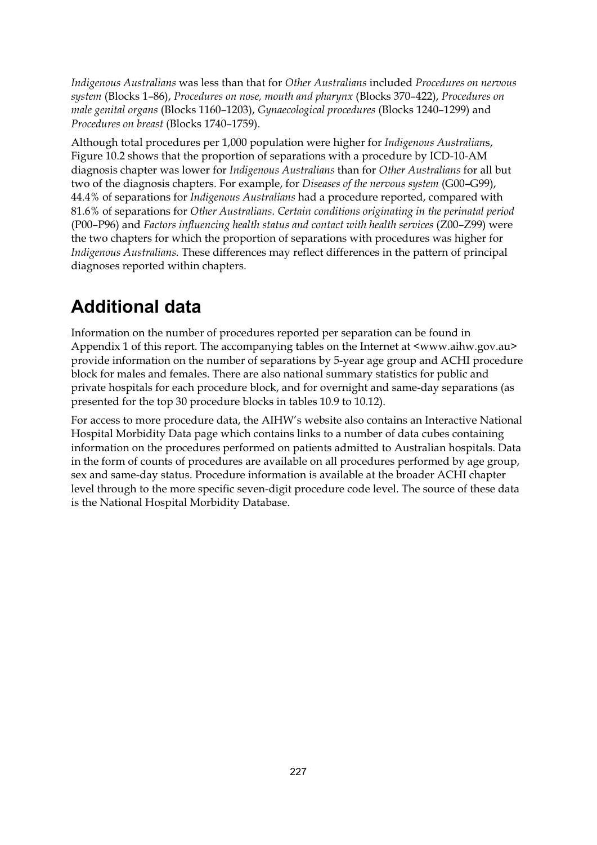*Indigenous Australians* was less than that for *Other Australians* included *Procedures on nervous system* (Blocks 1–86), *Procedures on nose, mouth and pharynx* (Blocks 370–422), *Procedures on male genital organs* (Blocks 1160–1203), *Gynaecological procedures* (Blocks 1240–1299) and *Procedures on breast* (Blocks 1740–1759).

Although total procedures per 1,000 population were higher for *Indigenous Australian*s, Figure 10.2 shows that the proportion of separations with a procedure by ICD-10-AM diagnosis chapter was lower for *Indigenous Australians* than for *Other Australians* for all but two of the diagnosis chapters. For example, for *Diseases of the nervous system* (G00–G99), 44.4% of separations for *Indigenous Australians* had a procedure reported, compared with 81.6% of separations for *Other Australians*. *Certain conditions originating in the perinatal period*  (P00–P96) and *Factors influencing health status and contact with health services* (Z00–Z99) were the two chapters for which the proportion of separations with procedures was higher for *Indigenous Australians*. These differences may reflect differences in the pattern of principal diagnoses reported within chapters.

# **Additional data**

Information on the number of procedures reported per separation can be found in Appendix 1 of this report. The accompanying tables on the Internet at <www.aihw.gov.au> provide information on the number of separations by 5-year age group and ACHI procedure block for males and females. There are also national summary statistics for public and private hospitals for each procedure block, and for overnight and same-day separations (as presented for the top 30 procedure blocks in tables 10.9 to 10.12).

For access to more procedure data, the AIHW's website also contains an Interactive National Hospital Morbidity Data page which contains links to a number of data cubes containing information on the procedures performed on patients admitted to Australian hospitals. Data in the form of counts of procedures are available on all procedures performed by age group, sex and same-day status. Procedure information is available at the broader ACHI chapter level through to the more specific seven-digit procedure code level. The source of these data is the National Hospital Morbidity Database.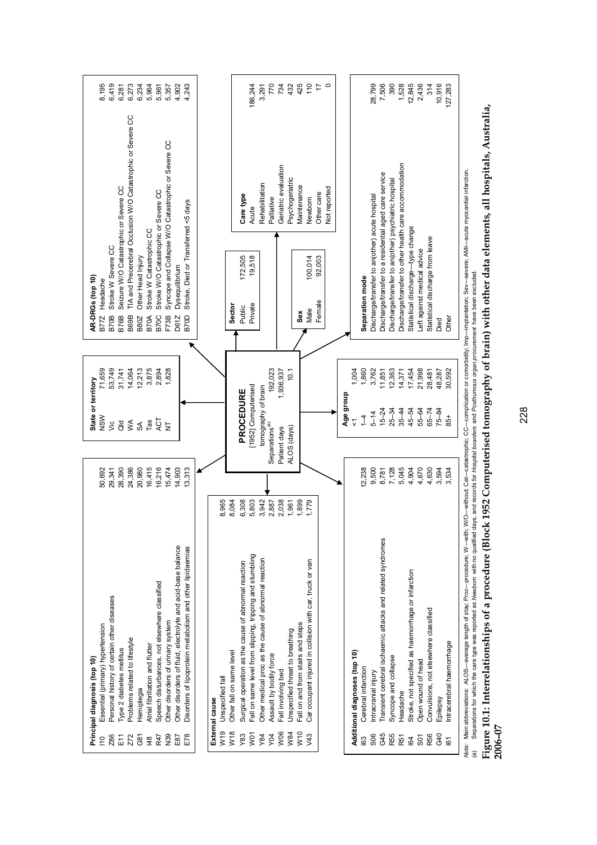|                  | Principal diagnosis (top 10)                                          |              | State or territory         |           | AR-DRGs (top 10)            |                                                       |                                                             |              |
|------------------|-----------------------------------------------------------------------|--------------|----------------------------|-----------|-----------------------------|-------------------------------------------------------|-------------------------------------------------------------|--------------|
| 110              | Essential (primary) hypertension                                      | 50,692       | NSW                        | 71,659    | Headache<br><b>B77Z</b>     |                                                       |                                                             | 8,195        |
| Z86              | Personal history of certain other diseases                            | 29,341       | Sic                        | 53,749    | <b>B70B</b>                 | Stroke W Severe CC                                    |                                                             | 6,419        |
| Ε'n              | Type 2 diabetes mellitus                                              | 28,390       | ald                        | 31,741    | <b>B76B</b>                 | Seizure W/O Catastrophic or Severe CC                 |                                                             | 6,281        |
| Z72              | Problems related to lifestyle                                         | 24,386       | $\mathsf{M}^{\mathsf{A}}$  | 14,064    | B69B                        |                                                       | TIA and Precerebral Occlusion W/O Catastrophic or Severe CC | 6,273        |
| ලි<br>0          | Hemiplegia                                                            | 20,980       | SA                         | 12,213    | <b>B80Z</b>                 | Other Head Injury                                     |                                                             | 6,234        |
| 148              | Atrial fibrillation and flutter                                       | 16,415       | Tas                        | 3,875     | <b>B70A</b>                 | Stroke W Catastrophic CC                              |                                                             | 5,964        |
| R47              | Speech disturbances, not elsewhere classified                         | 16,216       | ACT                        | 2,894     | B70C                        | Stroke W/O Catastrophic or Severe CC                  |                                                             | 5,961        |
| <b>RSN</b>       | Other disorders of urinary system                                     | 15,474       | $\overline{z}$             | 1,828     | F73B                        | Syncope and Collapse W/O Catastrophic or Severe CC    |                                                             | 5,357        |
| E87              | Other disorders of fluid, electrolyte and acid-base balance           | 14,903       |                            |           | Dysequilibrium<br>D61Z      |                                                       |                                                             | 4,902        |
| E78              | Disorders of lipoprotein metabolism and other lipidaemias             | 13,313       |                            |           | B70D                        | Stroke, Died or Transferred <5 days                   |                                                             | 4,243        |
|                  |                                                                       |              |                            |           |                             |                                                       |                                                             |              |
|                  | External cause                                                        |              |                            |           |                             |                                                       |                                                             |              |
| W19              | Unspecified fall                                                      | 8,965        |                            |           |                             |                                                       |                                                             |              |
| W <sub>18</sub>  | Other fall on same level                                              | 8,084        |                            |           | Sector                      |                                                       |                                                             |              |
| Y83              | Surgical operation as the cause of abnormal reaction                  | 6,308        | PROCEDURE                  |           | Public                      | Care type<br>172,505                                  |                                                             |              |
| WO <sub>1</sub>  | Fall on same level from slipping, tripping and stumbling              | 5,803        | [1952] Computerised        |           | Private                     | Acute<br>19,518                                       |                                                             | 186,244      |
| Y84              | Other medical proc as the cause of abnormal reaction                  | 3,942        | tomography of brain        |           |                             |                                                       | Rehabilitation                                              | 3,291        |
| Y04              | Assault by bodily force                                               | 2,887        | Separations <sup>(a)</sup> | 192,023   |                             | Palliative                                            |                                                             | 770          |
| W06              | Fall involving bed                                                    | 2,038        | Patient days               | 1,936,937 |                             |                                                       | Geriatric evaluation                                        | 734          |
| W84              | Unspecified threat to breathing                                       | 1,961        | ALOS (days)                | 10.1      |                             |                                                       | Psychogeriatric                                             | 432          |
| W10              | Fall on and from stairs and steps                                     | 1,899        |                            |           | Sex                         |                                                       | Maintenance                                                 | 425          |
| y43              | Car occupant injured in collision with car, truck or van              | 779          |                            |           | Male                        | Newborn<br>100,014                                    |                                                             | 110          |
|                  |                                                                       |              |                            |           | Female                      | Other care<br>92,003                                  | Not reported                                                | $\circ$<br>1 |
|                  |                                                                       |              |                            |           |                             |                                                       |                                                             |              |
|                  |                                                                       |              | Age group                  |           |                             |                                                       |                                                             |              |
|                  | Additional diagnoses (top 10)                                         |              | $\overline{v}$             | 1,004     |                             |                                                       |                                                             |              |
| <b>I63</b>       | Cerebral infarction                                                   | 12,238       | $\overline{1}$             | 1,860     | Separation mode             |                                                       |                                                             |              |
| <b>SO6</b>       | Intracranial injury                                                   | 9,500        | $5 - 14$                   | 3,762     |                             | Discharge/transfer to an(other) acute hospital        |                                                             | 28,799       |
| G45              | Transient cerebral ischaemic attacks and related syndromes            | 8,781        | $15 - 24$                  | 11,851    |                             | Discharge/transfer to a residential aged care service |                                                             | 7,506        |
| R55              | Syncope and collapse                                                  | 7,128        | $25 - 34$                  | 12,363    |                             | Discharge/transfer to an(other) psychiatric hospital  |                                                             | 390          |
| R <sub>51</sub>  | Headache                                                              | 5,045        | $35 - 44$                  | 14,371    |                             | Discharge/transfer to other health care accommodation |                                                             | 1,528        |
| 164              | Stroke, not specified as haemorrhage or infarction                    | 4,904        | $45 - 54$                  | 17,454    |                             | Statistical discharge-type change                     |                                                             | 12,845       |
| S <sub>0</sub> 1 | Open wound of head                                                    | 4,670        | 55-64                      | 21,998    | Left against medical advice |                                                       |                                                             | 2,436        |
| R56              | Convulsions, not elsewhere classified                                 | 4,630        | $65 - 74$                  | 28,481    |                             | Statistical discharge from leave                      |                                                             | 314          |
| G40              | Epilepsy                                                              | 3,594        | $75 - 84$                  | 48,287    | Died                        |                                                       |                                                             | 10,916       |
| 61               | Intracerebral haemormage                                              | 3,534        | 85+                        | 30,592    | Other                       |                                                       |                                                             | 127,283      |
|                  | M - Heisen<br>oduro: M<br>من<br>من<br>ct ctc<br>oto: Moin abbroviotic | ţ<br>さく きょうち |                            |           |                             | $\sim$ 0.1                                            | rdial inforation                                            |              |

Mde: Main abbreviations: ALOS—average length of stay; Proc—procedure; W—with; W/O—without; Cat—catastrophic; CC—complication or comorbidity; Imp—implantation; Sev—severe; AMI—acute myocardial infarction.<br>(a) Separations fo *Note:* Main abbreviations: ALOS—average length of stay; Proc—procedure; W—with; W/O—without; Cat—catastrophic; CC—complication or comorbidity; Imp—implantation; Sev—severe; AMI—acute myocardial infarction.

(a) Separations for which the care type was reported as *Newborn* with no qualified days, and records for *Hospital boarders* and *Posthumous organ procurement* have been excluded.

# Figure 10.1: Interrelationships of a procedure (Block 1952 Computerised tomography of brain) with other data elements, all hospitals, Australia,<br>2006–07 **Figure 10.1: Interrelationships of a procedure (Block 1952 Computerised tomography of brain) with other data elements, all hospitals, Australia, 2006–07**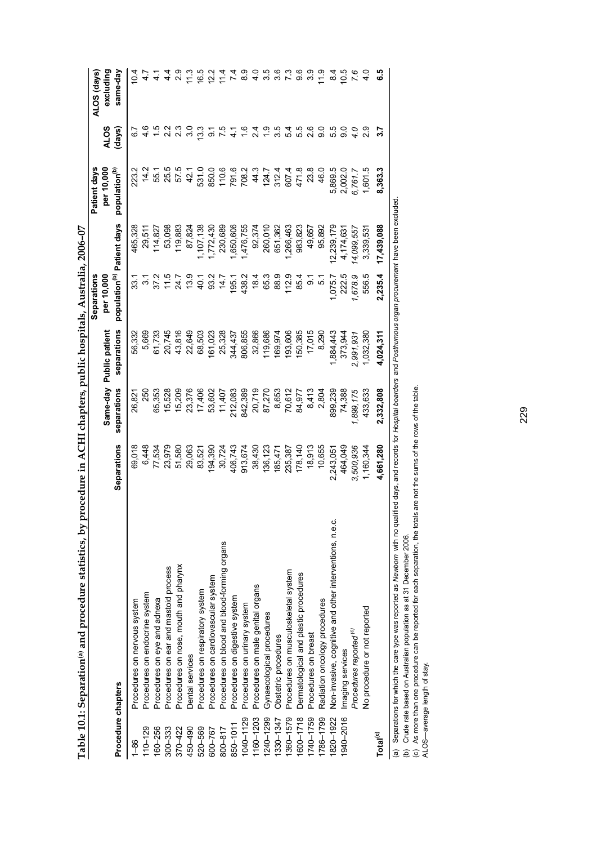| ו<br>י<br>$\ddot{\phantom{a}}$          |  |
|-----------------------------------------|--|
|                                         |  |
| .<br>I<br>$\frac{1}{2}$                 |  |
|                                         |  |
|                                         |  |
| $\frac{1}{2}$<br>۱<br>i<br>l            |  |
| $-2.5$ . The state $-2.5$<br>I<br>;<br> |  |

|                      |                                                                                                                                                                               |                    |             |                         | Separations                            |            | Patient days              |               | ALOS (days)   |
|----------------------|-------------------------------------------------------------------------------------------------------------------------------------------------------------------------------|--------------------|-------------|-------------------------|----------------------------------------|------------|---------------------------|---------------|---------------|
|                      |                                                                                                                                                                               |                    |             | Same-day Public patient | per 10,000                             |            | per 10,000                | <b>ALOS</b>   | excluding     |
| Procedure chapters   |                                                                                                                                                                               | <b>Separations</b> | separations | separations             | population <sup>(b)</sup> Patient days |            | population <sup>(b)</sup> | (days)        | same-day      |
| $1 - 86$             | Procedures on nervous system                                                                                                                                                  | 69,018             | 26,821      | 56,332                  | 33.1                                   | 465,328    | 223.2                     |               | 10.4          |
| $110 - 129$          | Procedures on endocrine system                                                                                                                                                | 6,448              | 250         | 5,669                   | $\frac{1}{3}$                          | 29,511     | 14.2                      |               |               |
| 160-256              | Procedures on eye and adnexa                                                                                                                                                  | 77,534             | 65,353      | 61,733                  | 37.2                                   | 114,827    | 55.1                      |               |               |
| $300 - 333$          | Procedures on ear and mastoid process                                                                                                                                         | 23,979             | 15,528      | 20,745                  | $\frac{115}{11}$                       | 53,098     | 25.5                      | 2.2           | $\frac{4}{4}$ |
| 370-422              | Procedures on nose, mouth and pharynx                                                                                                                                         | 51,580             | 15,209      | 43,816                  | 24.7                                   | 119,883    | 57.5                      |               | $\frac{0}{2}$ |
| 450-490              | Dental services                                                                                                                                                               | 29,063             | 23,376      | 22,649                  | 13.9                                   | 87,824     | 42.1                      | 3.0           | $\frac{3}{1}$ |
| 520-569              | Procedures on respiratory system                                                                                                                                              | 83,521             | 17,406      | 68,503                  | 40.1                                   | ,107,138   | 531.0                     | $\frac{3}{3}$ | 16.5          |
| 600-767              | Procedures on cardiovascular system                                                                                                                                           | 194,390            | 53,602      | 61,023                  | 93.2                                   | 1,772,430  | 850.0                     | ္တ            | 12.2          |
| $800 - 817$          | Procedures on blood and blood-forming organs                                                                                                                                  | 30,724             | 11,407      | 25,328                  | $\frac{74.7}{4}$                       | 230,689    | 110.6                     |               | 114           |
| 850-1011             | Procedures on digestive system                                                                                                                                                | 406,743            | 212,083     | 344,437                 | 195.1                                  | 1,650,606  | 791.6                     |               |               |
| 1040-1129            | Procedures on urinary system                                                                                                                                                  | 913,674            | 842,389     | 806,855                 | 438.2                                  | 1,476,755  | 708.2                     |               | စ္တ           |
| 1160-1203            | Procedures on male genital organs                                                                                                                                             | 38,430             | 20,719      | 32,866                  | 18.4                                   | 92,374     | 44.3                      | 24            | $\frac{0}{4}$ |
| 1240-1299            | Gynaecological procedures                                                                                                                                                     | 136,123            | 87,270      | 119,686                 | 65.3                                   | 260,010    | 124.7                     |               | 3.5           |
| 1330-1347            | Obstetric procedures                                                                                                                                                          | 185,471            | 8,653       | 169,974                 | 88.9                                   | 651,362    | 312.4                     | 3.5           | 3.6           |
| 1360-1579            | Procedures on musculoskeletal system                                                                                                                                          | 235,387            | 70,612      | 93,606                  | 112.9                                  | 266,463    | 607.4                     | 54            |               |
| 1600-1718            | Dermatological and plastic procedures                                                                                                                                         | 178,140            | 84,977      | 150,385                 | 85.4                                   | 983,823    | 471.8                     | 55            | 9.6           |
| 1740-1759            | Procedures on breast                                                                                                                                                          | 18,913             | 8,413       | 17,015                  | ္တ                                     | 49,657     | 23.8                      | 2.6           | 33            |
| 1786-1799            | Radiation oncology procedures                                                                                                                                                 | 10,655             | 2,804       | 8,290                   | 57                                     | 95,892     | 46.0                      | 0.6           | 11.9          |
| 1820-1922            | Non-invasive, cognitive and other interventions, n.e.c.                                                                                                                       | 2,243,051          | 899,239     | 1,884,443               | 1,075.7                                | 2,239,179  | 5,869.5                   | 5.5           | $\frac{4}{3}$ |
| 1940-2016            | Imaging services                                                                                                                                                              | 464,049            | 74,388      | 373,944                 | 222.5                                  | 4,174,631  | 2,002.0                   | $\frac{0}{9}$ | 10.5          |
|                      | Procedures reported <sup>(c)</sup>                                                                                                                                            | 3,500,936          | 1,899,175   | 2,991,931               | 1,678.9                                | 14,099,557 | 6,761.7                   |               |               |
|                      | No procedure or not reported                                                                                                                                                  | 1,160,344          | 433,633     | 1,032,380               | 556.5                                  | 3,339,531  | 1,601.5                   | 2.9           |               |
| Total <sup>(c)</sup> |                                                                                                                                                                               | 4,661,280          | 2,332,808   | 4,024,311               | 2,235.4                                | 17,439,088 | 8,363.3                   |               | <u>ي</u><br>ق |
|                      | (a) Separations for which the care type was reported as Newborn with no qualified days, and records for Hospital boarders and Posthumous organ procurement have been excluded |                    |             |                         |                                        |            |                           |               |               |

(a) Separations for which the care type was reported as *Newborn* with no qualified days, and records for *Hospital boarders* and *Posthumous organ procurement* have been excluded. ע ווי Ļ Ĩ.

(b) Crude rate based on Australian population as at 31 December 2006.

(b) Crude rate based on Australian population as at 31 December 2006.<br>(c) As more than one procedure can be reported for each separation, the totals are not the sums of the rows of the table.<br>ALOS—average length of stay. (c) As more than one procedure can be reported for each separation, the totals are not the sums of the rows of the table.

ALOS—average length of stay.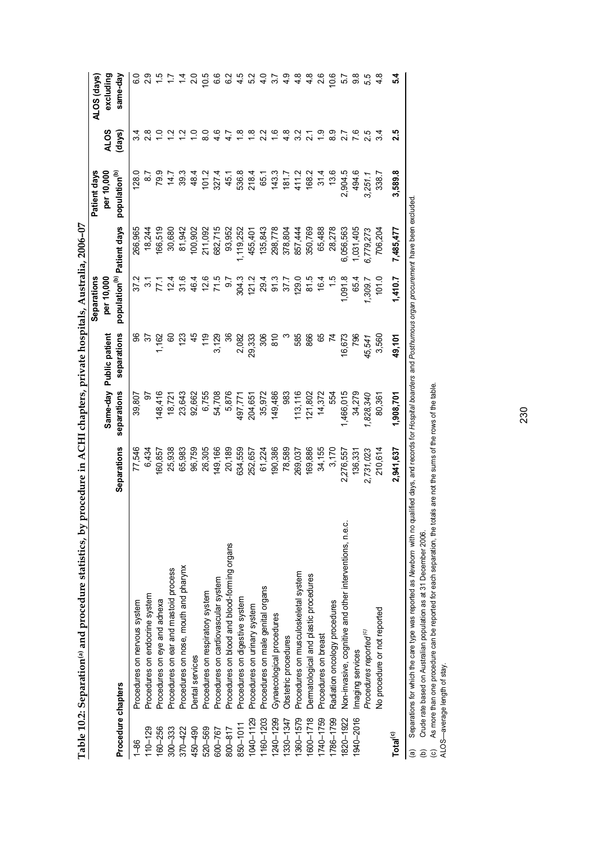| ו<br>י<br>$\ddot{\phantom{a}}$ |  |
|--------------------------------|--|
|                                |  |
|                                |  |
|                                |  |
| ֚֚֡֡֕                          |  |
| $\frac{1}{2}$                  |  |
|                                |  |
|                                |  |
|                                |  |
|                                |  |
| l<br>:<br>$\frac{1}{2}$        |  |
| )<br>}<br>}<br>,<br> <br>į     |  |

|                      |                                                                                                                                                                                                                                                                                                                                                                                                         |             |             |                         | Separations                            |           | Patient days              |                 | ALOS (days)    |
|----------------------|---------------------------------------------------------------------------------------------------------------------------------------------------------------------------------------------------------------------------------------------------------------------------------------------------------------------------------------------------------------------------------------------------------|-------------|-------------|-------------------------|----------------------------------------|-----------|---------------------------|-----------------|----------------|
|                      |                                                                                                                                                                                                                                                                                                                                                                                                         |             |             | Same-day Public patient | per 10,000                             |           | per 10,000                | <b>ALOS</b>     | excluding      |
| Procedure chapters   |                                                                                                                                                                                                                                                                                                                                                                                                         | Separations | separations | separations             | population <sup>(b)</sup> Patient days |           | population <sup>(b)</sup> | (days)          | same-day       |
| $1 - 86$             | Procedures on nervous system                                                                                                                                                                                                                                                                                                                                                                            | 77,546      | 39,807      | န္တ                     | 37.2                                   | 266,965   | 128.0                     | 4               |                |
| $110 - 129$          | Procedures on endocrine system                                                                                                                                                                                                                                                                                                                                                                          | 6,434       | 5           | 75                      | $\frac{2}{3}$                          | 18,244    | $\frac{8}{2}$             | $\frac{8}{2}$   |                |
| 160-256              | Procedures on eye and adnexa                                                                                                                                                                                                                                                                                                                                                                            | 160,857     | 148,416     | 1,162                   | ŕΥ.                                    | 166,519   | 79.9                      |                 |                |
| $300 - 333$          | Procedures on ear and mastoid process                                                                                                                                                                                                                                                                                                                                                                   | 25,938      | 18,721      | 8                       | 12.4                                   | 30,680    | 14.7                      | $\tilde{c}$     |                |
| 370-422              | Procedures on nose, mouth and pharynx                                                                                                                                                                                                                                                                                                                                                                   | 65,983      | 23,643      | 123                     | $\frac{6}{31}$                         | 81,942    | 39.3                      |                 |                |
| 450-490              | Dental services                                                                                                                                                                                                                                                                                                                                                                                         | 96,759      | 92,662      | 45                      | 46.4                                   | 100,902   | 48.4                      |                 | $\frac{0}{2}$  |
| 520-569              | Procedures on respiratory system                                                                                                                                                                                                                                                                                                                                                                        | 26,305      | 6,755       | 119                     | 12.6                                   | 211,092   | 101.2                     |                 | 10.5           |
| 600-767              | Procedures on cardiovascular system                                                                                                                                                                                                                                                                                                                                                                     | 149,166     | 54,708      | 3,129                   | 71.5                                   | 682,715   | 327.4                     | 46              | ق              |
| 800-817              | Procedures on blood and blood-forming organs                                                                                                                                                                                                                                                                                                                                                            | 20,189      | 5,876       | 36                      | 5.6                                    | 93,952    | 45.1<br>536.8             | 4.7             | $\frac{2}{3}$  |
| 850-1011             | Procedures on digestive system                                                                                                                                                                                                                                                                                                                                                                          | 634,559     | 497,771     | 2,082                   | 304.3                                  | 1,119,252 |                           | $\frac{8}{1}$   | 4.5            |
| 040-1129             | Procedures on urinary system                                                                                                                                                                                                                                                                                                                                                                            | 252,657     | 204,651     | 29,333                  | 121.2                                  | 455,401   | 218.4                     | $\frac{8}{1}$   | 52             |
| 160-1203             | Procedures on male genital organs                                                                                                                                                                                                                                                                                                                                                                       | 61,224      | 35,972      | 306                     | 29.4                                   | 135,843   | 65.1                      | $\frac{2}{3}$   | $\frac{0}{4}$  |
| 1240-1299            | Gynaecological procedures                                                                                                                                                                                                                                                                                                                                                                               | 190,386     | 149,486     | $\frac{8}{10}$          | 91.3                                   | 298,778   | 143.3                     | ؿ               | $\frac{27}{3}$ |
| 330-1347             | Obstetric procedures                                                                                                                                                                                                                                                                                                                                                                                    | 78,589      | 983         |                         | 37.7                                   | 378,804   | 7.181                     | 4.8             | 4.9            |
| 360-1579             | Procedures on musculoskeletal system                                                                                                                                                                                                                                                                                                                                                                    | 269,037     | 113,116     | 585                     | 129.0                                  | 857,444   | 411.2                     | 3 <sup>2</sup>  | 4.8            |
| 600-1718             | Dermatological and plastic procedures                                                                                                                                                                                                                                                                                                                                                                   | 169,886     | 121,802     | 866                     | 81.5                                   | 350,769   | 168.2                     | $\overline{21}$ | 4.8            |
| 1740-1759            | Procedures on breast                                                                                                                                                                                                                                                                                                                                                                                    | 34,155      | 14,372      | 89                      | 16.4                                   | 65,488    | 31.4                      | ္               | 2.6            |
| 786-1799             | Radiation oncology procedures                                                                                                                                                                                                                                                                                                                                                                           | 3,170       | 554         | $\overline{z}$          | 1.5                                    | 28,278    | 13.6                      | $\frac{8}{9}$   | 10.6           |
| 820-1922             | Non-invasive, cognitive and other interventions, n.e.c.                                                                                                                                                                                                                                                                                                                                                 | 2,276,557   | 1,466,015   | 16,673                  | 1,091.8                                | 6,056,563 | 2,904.5                   |                 | 57             |
| 940-2016             | Imaging services                                                                                                                                                                                                                                                                                                                                                                                        | 136,331     | 34,279      | 796                     | 65.4                                   | 1,031,405 | 494.6                     | 7.6             | 9.8            |
|                      | Procedures reported <sup>(c)</sup>                                                                                                                                                                                                                                                                                                                                                                      | 2,731,023   | 1,828,340   | 45,541                  | 1,309.7                                | 6,779,273 | 3,251.1                   |                 | 5.5            |
|                      | No procedure or not reported                                                                                                                                                                                                                                                                                                                                                                            | 210,614     | 80,361      | 3,560                   | 101.0                                  | 706,204   | 338.7                     | 34              |                |
| Total <sup>(c)</sup> |                                                                                                                                                                                                                                                                                                                                                                                                         | 2,941,637   | 1,908,701   | 49,101                  | 1,410.7                                | 7,485,477 | 3,589.8                   | 2.5             | 5.4            |
| ම                    | Separations for which the care type was reported as Newborn with no qualified days, and records for Hospital boarders and Posthurnous organ procurement have been excluded<br>As more than one procedure can be reported for each separation, the totals are not the sums of the rows of the table<br>Crude rate based on Australian population as at 31 December 2006.<br>ALOS-average length of stay. |             |             |                         |                                        |           |                           |                 |                |
|                      |                                                                                                                                                                                                                                                                                                                                                                                                         |             |             |                         |                                        |           |                           |                 |                |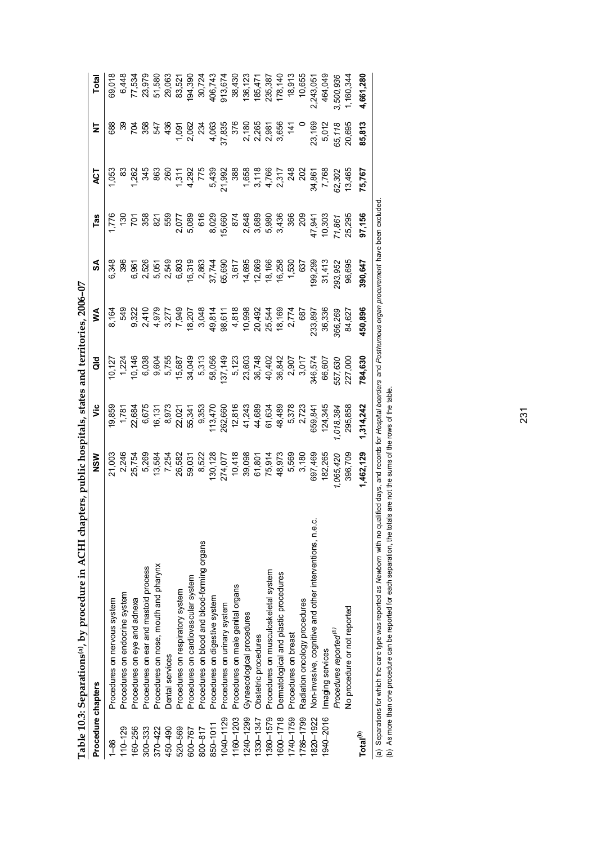|                      | Table 10.3: Separations(a), by procedure in ACHI chapters, public hospitals, states and territories, 2006-07                                                                                                                                                                                               |            |           |            |         |         |                         |                |                 |           |
|----------------------|------------------------------------------------------------------------------------------------------------------------------------------------------------------------------------------------------------------------------------------------------------------------------------------------------------|------------|-----------|------------|---------|---------|-------------------------|----------------|-----------------|-----------|
| Procedure chapters   |                                                                                                                                                                                                                                                                                                            | <b>NSW</b> | ۊ         | <b>aio</b> | ⋚       | SA      | Tas                     | ā              | Ξ               | Total     |
| $rac{86}{1}$         | Procedures on nervous system                                                                                                                                                                                                                                                                               | 21,003     | 19,859    |            | 8,164   | 6,348   |                         | $-53$          | 688             | 69,018    |
| $110 - 129$          | Procedures on endocrine system                                                                                                                                                                                                                                                                             | 2,246      | 1,781     | 1,224      | 549     | 396     | $\frac{50}{2}$          | జ              | ్లె             | 6,448     |
| 160-256              | Procedures on eye and adnexa                                                                                                                                                                                                                                                                               | 25,754     | 22,684    | 10,146     | 9,322   | 6,961   | $\overline{5}$          | 1,262          | 704             | 77,534    |
| $300 - 333$          | Procedures on ear and mastoid process                                                                                                                                                                                                                                                                      | 5,269      | 6,675     | 6,038      | 2,410   | 2,526   | 358                     | 345            | 358             | 23,979    |
| 370-422              | Procedures on nose, mouth and pharynx                                                                                                                                                                                                                                                                      | 13,584     | 16, 13    | 9,604      | 4,979   | 5,051   | $\overline{\mathbb{S}}$ | 863            | 547             | 51,580    |
| 450-490              | Dental services                                                                                                                                                                                                                                                                                            | 7,254      | 8,973     | 5,755      | 3,277   | 2,549   | 559                     | 260            | 436             | 29,063    |
| 520-569              | Procedures on respiratory system                                                                                                                                                                                                                                                                           | 26,582     | 22,02     | 15,687     | 7,949   | 6,803   | 2,077                   | 1,311          | 1,091           | 83,521    |
| 600-767              | Procedures on cardiovascular system                                                                                                                                                                                                                                                                        | 59,031     | 55,341    | 34,049     | 18,207  | 16,319  | 5,089                   | 4,292          | 2,062           | 194,390   |
| 800-817              | Procedures on blood and blood-forming organs                                                                                                                                                                                                                                                               | 8,522      | 9,353     | 5,313      | 3,048   | 2,863   | 616                     | 775            | 23 <sup>2</sup> | 30,724    |
| 850-1011             | Procedures on digestive system                                                                                                                                                                                                                                                                             | 130,128    | 113,470   | 58,056     | 49,814  | 37,744  | 8,029                   | 5,439          | 4,063           | 406,743   |
| 1040-1129            | Procedures on urinary system                                                                                                                                                                                                                                                                               | 274,077    | 262,660   | 137,149    | 98,611  | 65,690  | 15,660                  | 21,992         | 37,835          | 913,674   |
| $160 - 1203$         | Procedures on male genital organs                                                                                                                                                                                                                                                                          | 10,418     | 12,816    | 5,123      | 4,818   | 3,617   | 874                     | 388            | 376             | 38,430    |
| 1240-1299            | Gynaecological procedures                                                                                                                                                                                                                                                                                  | 39,098     | 41,243    | 23,603     | 10,998  | 14,695  | 2,648                   | 1,658          | 2,180           | 136,123   |
| 1330-1347            | Obstetric procedures                                                                                                                                                                                                                                                                                       | 61,801     | 44,689    | 36,748     | 20,492  | 12,669  | 3,689                   | 3,118          | 2,265           | 185,47'   |
| 1360-1579            | Procedures on musculoskeletal system                                                                                                                                                                                                                                                                       | 75,914     | 61,634    | 40,402     | 25,544  | 18,166  | 5,980                   |                | 2,981           | 235,387   |
| 1600-1718            | Dermatological and plastic procedures                                                                                                                                                                                                                                                                      | 48,973     | 48,489    | 36,842     | 18,169  | 16,258  | 3,436                   | 4,766<br>2,317 | 3,656           | 178,140   |
| 1740-1759            | Procedures on breast                                                                                                                                                                                                                                                                                       | 5,569      | 5,378     | 2,907      | 2,774   | 1,530   | 366                     | 248            | $\frac{4}{1}$   | 18,913    |
| 1786-1799            | Radiation oncology procedures                                                                                                                                                                                                                                                                              | 3,180      | 2,723     | 3,017      | 687     | 637     | 209                     | 202            |                 | 10,655    |
| 820-1922             | Non-invasive, cognitive and other interventions, n.e.c                                                                                                                                                                                                                                                     | 697,469    | 659,84    | 346,574    | 233,897 | 199,299 | 47,941                  | 34,861         | 23,169          | 2,243,05  |
| 940-2016             | Imaging services                                                                                                                                                                                                                                                                                           | 182,265    | 124,345   | 66,607     | 36,336  | 31,413  | 10,303                  | 7,768          | 5,012           | 464,049   |
|                      | Procedures reported <sup>(b)</sup>                                                                                                                                                                                                                                                                         | 1,065,420  | 1,018,384 | 557,630    | 366,269 | 293,952 | 71,861                  | 62,302         | 65,118          | 3,500,936 |
|                      | No procedure or not reported                                                                                                                                                                                                                                                                               | 396,709    | 295,858   | 227,000    | 84,627  | 96,695  | 25,295                  | 13,465         | 20,695          | 1,160,344 |
| Total <sup>(b)</sup> |                                                                                                                                                                                                                                                                                                            | 1,462,129  | 1,314,242 | 784,630    | 450,896 | 390,647 | 97,156                  | 75,767         | 85,813          | 4,661,280 |
|                      | (a) Separations for which the care type was reported as Newborn with no qualified days, and records for Hospital boarders and Posthumous organ procurement have been excluded<br>(b) As more than one procedure can be reported for each separation, the totals are not the sums of the rows of the table. |            |           |            |         |         |                         |                |                 |           |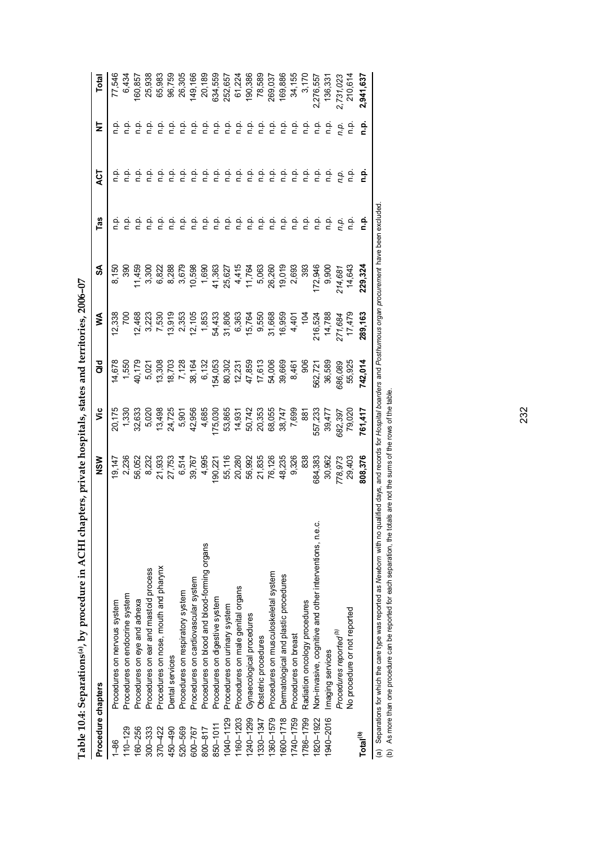| Procedure chapters   |                                                                                                                                                                                                                                                                                                            | ≥<br>2  | ۶č      | <b>aio</b>      | ⋚                 | న్              | Tas                     | 5<br>R        | Ξ       | Total     |
|----------------------|------------------------------------------------------------------------------------------------------------------------------------------------------------------------------------------------------------------------------------------------------------------------------------------------------------|---------|---------|-----------------|-------------------|-----------------|-------------------------|---------------|---------|-----------|
| $1 - 86$             | Procedures on nervous system                                                                                                                                                                                                                                                                               | 19,147  | 20,175  | 14,678          | 12,338            | 8,150           | ن<br>ء                  | ن<br>ء        | ءَ م    | 77,546    |
| $110 - 129$          | Procedures on endocrine system                                                                                                                                                                                                                                                                             | 2,236   | 1,330   | 1,550           | 700               | 390             | ېد                      | ېږ            | ن<br>ء  | 6,434     |
| 160-256              | Procedures on eye and adnexa                                                                                                                                                                                                                                                                               | 56,052  | 32,633  | 40,179          | 12,468            | 11,459          | ن<br>ء                  | ρ.<br>Γ       | ن<br>ء  | 160,857   |
| $300 - 333$          | Procedures on ear and mastoid process                                                                                                                                                                                                                                                                      | 8,232   | 5,020   | 5,021           | 3,223             | 3,300           | ن<br>ء                  | ρ.<br>Π       | ن<br>ء  | 25,938    |
| 370-422              | Procedures on nose, mouth and pharynx                                                                                                                                                                                                                                                                      | 21,933  | 13,498  | 13,308          | 7,530             | 6,822           | n p.                    | ρ.<br>Π       | ن<br>ء  | 65,983    |
| 450-490              | Dental services                                                                                                                                                                                                                                                                                            | 27,753  | 24,725  |                 | 13,919            | 8,288           | n p.                    | n.p.          | ن<br>ء  | 96,759    |
| 520-569              | Procedures on respiratory system                                                                                                                                                                                                                                                                           | 6,514   | 5,901   | 18,703<br>7,128 | 2,353             | 3,679<br>10,598 | n p.                    | n p.          | ن<br>ء  | 26,305    |
| 600-767              | Procedures on cardiovascular system                                                                                                                                                                                                                                                                        | 39,767  | 42,956  | 38,164          | 12,105            |                 | n p.                    | ρ.<br>Π       | نې<br>D | 149,166   |
| 800-817              | Procedures on blood and blood-forming organs                                                                                                                                                                                                                                                               | 4,995   | 4,685   | 6,132           | 1,853             | 1,690           | ن<br>ء                  | n p.          | ن<br>ء  | 20,189    |
| 850-1011             | Procedures on digestive system                                                                                                                                                                                                                                                                             | 190,221 | 175,030 | 154,053         | 54,433            | 41,363          | ن<br>P                  | فء            | ف<br>E  | 634,559   |
| 1040-1129            | Procedures on urinary system                                                                                                                                                                                                                                                                               | 55,116  | 53,865  | 80,302          | 31,806            | 25,627          | ف<br>ء                  | $\frac{a}{c}$ | ف<br>h  | 252,657   |
| 160-1203             | Procedures on male genital organs                                                                                                                                                                                                                                                                          | 20,280  | 14,931  | 12,231          | 6,363             | 4,415           | n p.                    | n p.          | n p.    | 61,224    |
| 1240-1299            | Gynaecological procedures                                                                                                                                                                                                                                                                                  | 56,992  | 50,742  | 47,859          | 15,764            | 11,764          | n p.                    | n.p           | n p.    | 190,386   |
| 330-1347             | Obstetric procedures                                                                                                                                                                                                                                                                                       | 21,835  | 20,353  | 17,613          | 9,550             | 5,063           | $\frac{\alpha}{\alpha}$ | p.<br>E       | ف<br>م  | 78,589    |
| 1360-1579            | Procedures on musculoskeletal system                                                                                                                                                                                                                                                                       | 76,126  | 68,055  | 54,006          | 31,668            | 26,260          | ρ.<br>Γ                 | n.p           | ف<br>E  | 269,037   |
| 1600-1718            | Dermatological and plastic procedures                                                                                                                                                                                                                                                                      | 48,235  | 38,747  | 39,669          | 16,959            | 19,019          | نې<br>D                 | ρ.<br>Γ       | ن<br>ء  | 169,886   |
| 1740-1759            | Procedures on breast                                                                                                                                                                                                                                                                                       | 9,326   | 7,699   | 8,461           | 4,401             | 2,693           | ف<br>ء                  | ن<br>E        | ن<br>E  | 34,155    |
| 1786-1799            | Radiation oncology procedures                                                                                                                                                                                                                                                                              | 838     | 88      | 906             | $\frac{5}{2}$     | 393             | ف<br>ء                  | ف<br>n        | ن<br>ء  | 3,170     |
| 820-1922             | Non-invasive, cognitive and other interventions, n.e.c.                                                                                                                                                                                                                                                    | 684,383 | 557,233 | 562,721         | 216,524           | 172,946         | ρ.<br>Γ                 | ف<br>E        | ن<br>ء  | 2,276,557 |
| 940-2016             | Imaging services                                                                                                                                                                                                                                                                                           | 30,962  | 39,477  | 36,589          | 14,788            | 9,900           | ن<br>ء                  | ف<br>n        | ن<br>ء  | 136,33'   |
|                      | Procedures reported <sup>(b)</sup>                                                                                                                                                                                                                                                                         | 778,973 | 682,397 | 686,089         |                   | 214,687         | n.p.                    | n.p.          | n.p.    | 2,731,023 |
|                      | No procedure or not reported                                                                                                                                                                                                                                                                               | 29,403  | 79,020  | 55,925          | 271,684<br>17,479 | 14,643          | n p.                    | ن<br>ء        | n.p     | 210,614   |
| Total <sup>(b)</sup> |                                                                                                                                                                                                                                                                                                            | 808,376 | 761,417 | 742,014         | 289,163           | 229,324         | n.p.                    | ءِ<br>ء       | ءِ<br>ء | 2,941,637 |
|                      | (a) Separations for which the care type was reported as Newborn with no qualified days, and records for Hospital boarders and Posthurnous organ procurement have been excluded<br>(b) As more than one procedure can be reported for each separation, the totals are not the sums of the rows of the table |         |         |                 |                   |                 |                         |               |         |           |

Table 10.4: Separations<sup>(a)</sup>, by procedure in ACHI chapters, private hospitals, states and territories, 2006-07 **Table 10.4: Separations(a), by procedure in ACHI chapters, private hospitals, states and territories, 2006–07**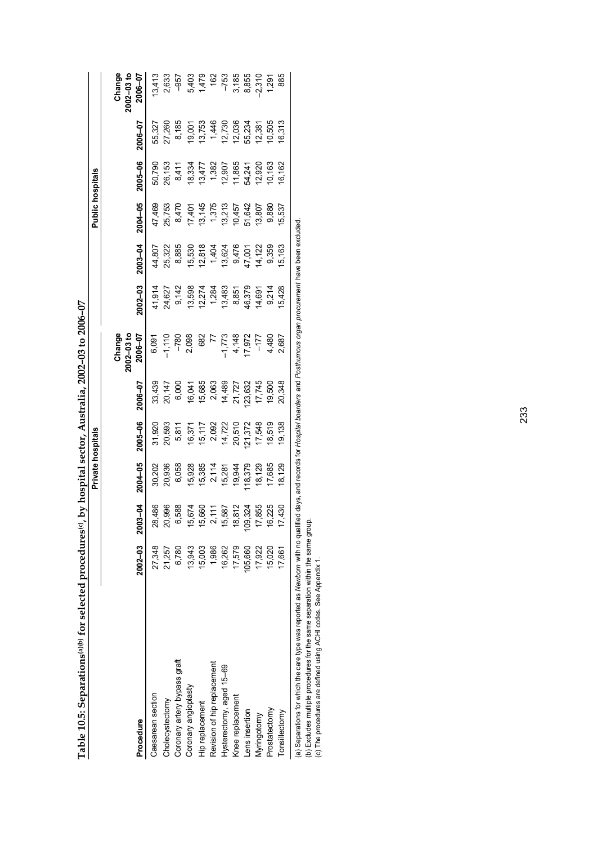Table 10.5: Separations(a)(b) for selected procedures(c), by hospital sector, Australia, 2002-03 to 2006-07 **Table 10.5: Separations(a)(b) for selected procedures(c), by hospital sector, Australia, 2002–03 to 2006–07** 

**Private hospitals Public hospitals**

Private hospitals

**Public hospitals** 

|                                                                                                                                                                               |             |                        |                  |                                     |                                     | $2002 - 03$ to<br>Change              |                  |                                                                                       |                                                          |                  |                                             | Change<br>$2002 - 03$ to     |
|-------------------------------------------------------------------------------------------------------------------------------------------------------------------------------|-------------|------------------------|------------------|-------------------------------------|-------------------------------------|---------------------------------------|------------------|---------------------------------------------------------------------------------------|----------------------------------------------------------|------------------|---------------------------------------------|------------------------------|
| Procedure                                                                                                                                                                     | $2002 - 03$ | 2003-04                | $2004 - 05$      | 2005-06                             | 2006–07                             | 2006-07                               | $2002 - 03$      | 2003-04                                                                               | 2004-05                                                  | 2005-06          | 2006-07                                     | 2006-07                      |
| Caesarean section                                                                                                                                                             | 27,348      | 8                      | 30,202           | 31,920                              |                                     | 6,091                                 |                  | 14,807                                                                                |                                                          | 50,790           | 55,327                                      | 13,413                       |
| Cholecystectomy                                                                                                                                                               | 21,257      | 486<br>996<br>ສົ       | 20,936           | 20,593                              |                                     | 1,110                                 | 11,914<br>24,627 | 25,322                                                                                | 47,469<br>25,753                                         | 26,153           | 27,260                                      | 2,633                        |
| Coronary artery bypass graft                                                                                                                                                  | 6,780       | 588                    | 6,058            | 5,811                               | 33,439<br>20,147<br>6,000           |                                       | 9,142            | 8,885                                                                                 | 8,470                                                    | 8,411            | 8,185                                       | $-957$                       |
| Coronary angioplasty                                                                                                                                                          | 13,943      | 674<br>15              | 15,928           | 16,371                              | 16,041                              | $-780$<br>2,098                       | 13,598           | 15,530                                                                                |                                                          | 18,334           | 19,001                                      |                              |
| Hip replacement                                                                                                                                                               | 15,003      | .660<br>10             | 15,385           | 15,117<br>2,092<br>14,722<br>20,510 |                                     |                                       |                  |                                                                                       | 17,401<br>13,145<br>13,375<br>19,642<br>13,807<br>13,807 | 13,477           |                                             | 5,403<br>1,479<br>162        |
| Revision of hip replacement                                                                                                                                                   | 1,986       | 111<br>Ν               | 2,114            |                                     |                                     |                                       | 12,274<br>1,284  |                                                                                       |                                                          |                  |                                             |                              |
| Hysterectomy, aged 15-69                                                                                                                                                      | 16,262      | 587<br>15              |                  |                                     | 15,685<br>2,063<br>14,489<br>21,727 | 682<br>77<br>1,773<br>4,148<br>17,972 |                  | $\begin{array}{c} 12,818 \\ 1,404 \\ 13,624 \\ 9,476 \\ 47,001 \\ 44,122 \end{array}$ |                                                          | 1,382<br>12,907  | $13,753$<br>$1,446$<br>$12,730$<br>$12,036$ |                              |
| Knee replacement                                                                                                                                                              | 17,579      | 812<br>ల్ల             | 15,281<br>19,944 |                                     |                                     |                                       | 13,483<br>8,851  |                                                                                       |                                                          | 11,865           |                                             | $-753$<br>$3,185$<br>$8,855$ |
| ens insertion                                                                                                                                                                 | 05,660      | ,324<br>$\overline{5}$ | 18,379           | 121,372                             | 23,632                              |                                       | 16,379           |                                                                                       |                                                          |                  | 55,234                                      |                              |
| Myringotomy                                                                                                                                                                   | 17,922      | 855<br>17.             | 18,129           | 17,548                              | 17,745                              | $-177$<br>4.480<br>2.687              | 14,691           |                                                                                       |                                                          | 54,241<br>12,920 | 12,381                                      | 2,310                        |
| Prostatectomy                                                                                                                                                                 | 15,020      | 225<br>$\overline{6}$  | 17,685           | 18,519                              | 19,500                              |                                       | 9,214            | 9,359                                                                                 | 9,880                                                    | 10,163           | 10,505                                      | 1,291<br>885                 |
| Tonsillectomy                                                                                                                                                                 | 17,661      | 430                    | 18,129           | 19,138                              | 20,348                              |                                       | 5,428            | 15,163                                                                                | 15,537                                                   | 16,162           | 6,313                                       |                              |
| (a) Separations for which the care type was reported as Newborn with no qualified days, and records for Hospital boarders and Posthumous organ procurement have been excluded |             |                        |                  |                                     |                                     |                                       |                  |                                                                                       |                                                          |                  |                                             |                              |

(b) Excludes multiple procedures for the same separation within the same group.<br>(c) The procedures are defined using ACHI codes. See Appendix 1. (b) Excludes multiple procedures for the same separation within the same group.

(c) The procedures are defined using ACHI codes. See Appendix 1.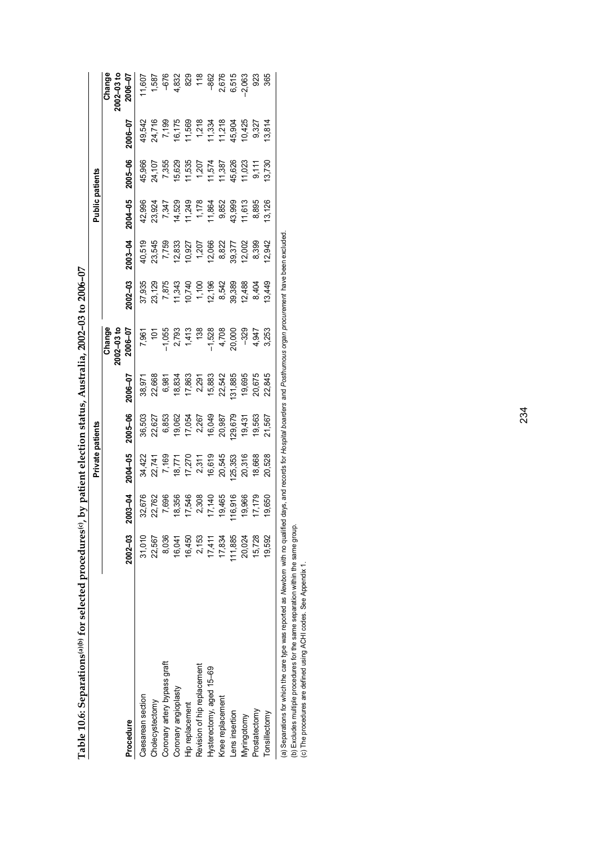|        | ľ |  |
|--------|---|--|
|        |   |  |
|        |   |  |
|        |   |  |
|        |   |  |
|        |   |  |
|        |   |  |
|        |   |  |
| É<br>Í |   |  |

|                                                                                                                                                         |             |                 | Private patients |                                                                  |                                                                                          |                                                             |                                                                               |         | <b>Public patients</b>              |                                               |                                                                         |                         |
|---------------------------------------------------------------------------------------------------------------------------------------------------------|-------------|-----------------|------------------|------------------------------------------------------------------|------------------------------------------------------------------------------------------|-------------------------------------------------------------|-------------------------------------------------------------------------------|---------|-------------------------------------|-----------------------------------------------|-------------------------------------------------------------------------|-------------------------|
|                                                                                                                                                         |             |                 |                  |                                                                  |                                                                                          | $2002 - 03$ to<br>Change                                    |                                                                               |         |                                     |                                               |                                                                         | $002 - 03$ to<br>Change |
| Procedure                                                                                                                                               | $2002 - 03$ | 2003-04         | 2004-05          | 2005-06                                                          | $2006 - 07$                                                                              | 2006-07                                                     | $.002 - 03$                                                                   | 2003-04 | 2004-05                             | 1005-06                                       | $70-900$                                                                | 2006–07                 |
| Caesarean section                                                                                                                                       | 31,010      | 32,676          |                  | 36,503                                                           | 38,971                                                                                   |                                                             | 37,935                                                                        |         | 42,996                              | 15,966                                        | 49,542                                                                  | 1,607                   |
| Cholecystectomy                                                                                                                                         | 22,567      | 22,762          |                  |                                                                  | 22,668                                                                                   |                                                             |                                                                               |         | 23,924                              |                                               |                                                                         |                         |
| Coronary artery bypass graft                                                                                                                            | 8,036       | 7,696           |                  | 22,627<br>6,853<br>6,962<br>10,049<br>16,049<br>16,049<br>20,987 | 6,981                                                                                    | 7,961<br>1055 107,093<br>1,055 1,413<br>1,528<br>1,708 1000 | 23, 129<br>7, 875<br>7, 343<br>7, 343<br>7, 968<br>8, 389<br>8, 389<br>8, 389 |         |                                     | 24, 107<br>7, 355                             | 24,716<br>7,199<br>7,17569<br>7,218,904<br>7,1994<br>7,718,904<br>9,425 | 1,587<br>-676           |
| Coronary angioplasty                                                                                                                                    | 16,041      | 18,356          |                  |                                                                  |                                                                                          |                                                             |                                                                               |         |                                     | 15,629                                        |                                                                         |                         |
| Hip replacement                                                                                                                                         | 16,450      | 17,546          |                  |                                                                  |                                                                                          |                                                             |                                                                               |         |                                     |                                               |                                                                         | 4.832<br>829<br>118     |
| Revision of hip replacement                                                                                                                             | 2,153       | 2,308<br>17,140 |                  |                                                                  | $\begin{array}{l} 18.834 \\ 17.863 \\ 2.9183 \\ 2.9183 \\ 2.633 \\ 2.542 \\ \end{array}$ |                                                             |                                                                               |         | 7,347<br>14,529<br>11,249<br>11,864 |                                               |                                                                         |                         |
| Hysterectomy, aged 15-69                                                                                                                                | 17,411      |                 |                  |                                                                  |                                                                                          |                                                             |                                                                               |         |                                     |                                               |                                                                         | $-862$                  |
| <b>Inee replacement</b>                                                                                                                                 | 17,834      | 19,465          |                  |                                                                  |                                                                                          |                                                             |                                                                               |         |                                     |                                               |                                                                         |                         |
| ens insertion                                                                                                                                           | 11,885      | 16,916          | 25,353           | 129,679                                                          | 131,885                                                                                  |                                                             |                                                                               |         | 9,852<br>43,999                     |                                               |                                                                         | 2,676<br>6,515<br>2,063 |
| <b>Ayringotomy</b>                                                                                                                                      | 20,024      | 19,966          | 20,316           | 19,431                                                           | 19,695                                                                                   |                                                             |                                                                               | 12,002  | 11,613                              | 11,535<br>1,207<br>11,574<br>11,387<br>11,023 |                                                                         |                         |
| Prostatectomy                                                                                                                                           | 15,728      | 17,179          | 18,668           | 19,563                                                           | 20,675                                                                                   | $-329$<br>4,947<br>3,253                                    | 12,488<br>8,404                                                               | 8,399   | 8,895                               | 9,111                                         | 9,327                                                                   | 923                     |
| Tonsillectomy                                                                                                                                           | 19,592      | 19,650          | 20,528           | 21,567                                                           | 22,845                                                                                   |                                                             | 13,449                                                                        | 12,942  | 13,126                              | 13,730                                        | 13,814                                                                  | 365                     |
| a) Seperations for which the care two was reported as Nowhous with no quilibed days and ported in the confidence of the monetage of the concern avoidad |             |                 |                  |                                                                  |                                                                                          |                                                             |                                                                               |         |                                     |                                               |                                                                         |                         |

(a) Separations for which the care type was reported as *Newborn* with no qualified days, and records for *Hospital boarders* and *Posthumous organ procurement* have been excluded. 3 organ procu uays, (a) Separations for which the care type was reported as Newborn with no qualified<br>(b) Excludes multiple procedures for the same separation within the same group.<br>(c) The procedures are defined using ACHI codes. See Appendi

(b) Excludes multiple procedures for the same separation within the same group.

(c) The procedures are defined using ACHI codes. See Appendix 1.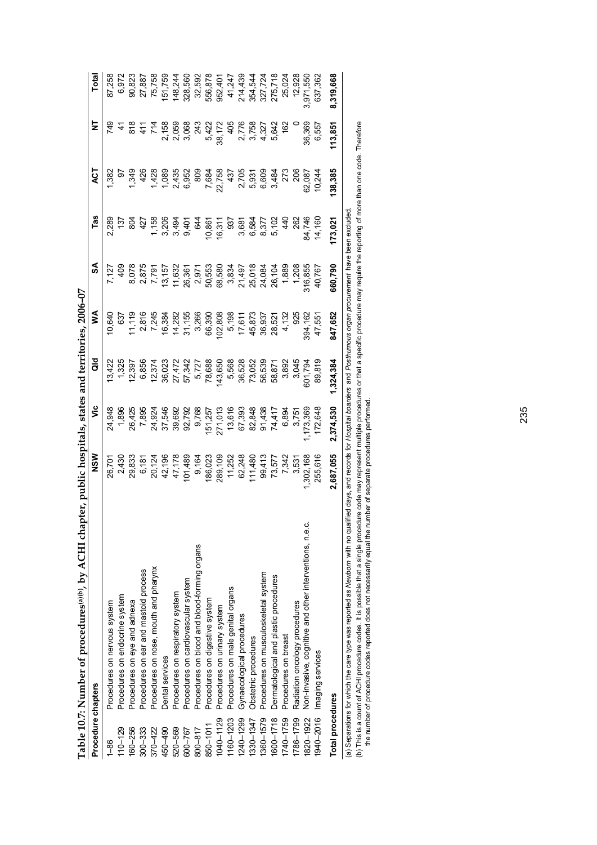|                    | Table 10.7: Number of procedures <sup>(a)(b</sup> ), by ACHI chapter, public hospitals, states and territories, 2006-07 |                                                                 |                  |                                          |                                      |                                      |                                |                                                |                         |                    |
|--------------------|-------------------------------------------------------------------------------------------------------------------------|-----------------------------------------------------------------|------------------|------------------------------------------|--------------------------------------|--------------------------------------|--------------------------------|------------------------------------------------|-------------------------|--------------------|
| Procedure chapters |                                                                                                                         | MSN                                                             | ۶Ë               | ā                                        | ⋚                                    | వ్                                   | Tas                            | ā                                              | Ξ                       | Total              |
| $1 - 86$           | Procedures on nervous system                                                                                            |                                                                 | 24,948           |                                          | 10,640                               |                                      | 2,289                          | 382                                            | 749                     |                    |
| $110 - 129$        | Procedures on endocrine system                                                                                          |                                                                 | 1,896            | 1,325                                    | 637                                  | $rac{6}{4}$                          | $\frac{1}{2}$                  | 6                                              |                         |                    |
| 160-256            | Procedures on eye and adnexa                                                                                            |                                                                 | 26,425           | 12,397                                   | 11,119                               |                                      | 8O4                            | 1,349                                          | $\frac{8}{8}$           | 90,823             |
| $300 - 333$        | Procedures on ear and mastoid process                                                                                   |                                                                 | 7,895            | 6,856                                    | 2,816                                |                                      | 427                            | 426                                            |                         | 27,887             |
| 370-422            | Procedures on nose, mouth and pharynx                                                                                   | 26,701<br>2,43833<br>2,833<br>2,738<br>2,778<br>2,778<br>47,178 | 24,924           |                                          | 7,245                                | 8,078<br>2,875<br>7,791<br>13,157    |                                | 1,428                                          | 714                     | 75,758             |
| 450-490            | <b>Dental</b> services                                                                                                  |                                                                 | 37,546           | 7.374<br>2.023<br>2.8 2.742<br>2.8 2.742 |                                      |                                      | 1506<br>1506<br>1606<br>1606   | 1,089                                          |                         | 151,759            |
| 520-569            | Procedures on respiratory system                                                                                        |                                                                 |                  |                                          |                                      | 11,632                               |                                |                                                |                         | 148,244            |
| 600-767            | Procedures on cardiovascular system                                                                                     | 101,489                                                         | 39,692<br>92,792 |                                          | 16,384<br>14,282<br>31,155           | 26,361                               |                                | 2,435<br>0,952<br>0,909                        | 2,158<br>2,059<br>3,068 | 328,560            |
| 800-817            | Procedures on blood and blood-forming organs                                                                            | 9,164                                                           | 9,768            |                                          | 3,266                                | 2,971                                | 644                            |                                                | 243                     | 32,592             |
| 850-1011           | Procedures on digestive system                                                                                          | 186,023                                                         | 151,257          | 5,727<br>78,688                          | 66,390                               | 50,553                               | 10,861                         | 7,684                                          | 5,422                   | 556,878            |
| $1040 - 1129$      | Procedures on urinary system                                                                                            | 289,109                                                         | 271,013          | 143,650                                  | 102,808                              | 68,580                               | 16,311                         |                                                | 38,172                  | 952,401            |
| 1160-1203          | Procedures on male genital organs                                                                                       | 11,252                                                          | 13,616           |                                          | 5,198                                | 3,834                                | 937                            |                                                | $rac{4}{3}$             | 41,247             |
| 1240-1299          | Gynaecological procedures                                                                                               | 62,248                                                          | 67,393           | 5,568<br>36,528<br>73,052                |                                      |                                      |                                |                                                |                         | 214,439            |
| 1330-1347          | Obstetric procedures                                                                                                    | 111,480                                                         | 82,848           |                                          |                                      |                                      |                                |                                                | 2,776<br>3,758          | 354,544            |
| 1360-1579          | Procedures on musculoskeletal system                                                                                    |                                                                 | 91,438           |                                          |                                      |                                      |                                |                                                | 4,327                   |                    |
| 1600-1718          | Dermatological and plastic procedures                                                                                   | 99,413<br>73,577                                                | 74,417           | 56,539<br>58,871                         | 17,611<br>45,873<br>45,937<br>38,521 | 21,497<br>25,018<br>24,084<br>26,104 | 681<br>6.584<br>6.602<br>6.602 | 22,758<br>437 05 37<br>20 05 38<br>20 06 09 34 | 5,642                   | 327,724<br>275,718 |
| 1740-1759          | Procedures on breast                                                                                                    | 7,342                                                           | 6,894            | 3,892                                    | 4,132                                | 1,889                                | 44                             | 273                                            | 162                     | 25,024             |
| 1786-1799          | Radiation oncology procedures                                                                                           | 3,531                                                           | 3,75'            | 3,045                                    | 92ť                                  | 1,208                                | 262                            | $\approx$                                      |                         | 12,928             |
| 1820-1922          | Non-invasive, cognitive and other interventions, n.e.c.                                                                 | ,302,168                                                        | ,173,36          | 9x, 10                                   | 394,162                              | \$16,855                             | 84,746                         | 62,087                                         | 36,369                  | 3,971,550          |
| 940-2016           | Imaging services                                                                                                        | 255,616                                                         | 172,648          | 89,819                                   | 47,55                                | 40,767                               | 14,160                         | 10,244                                         | 6,557                   | 637,362            |
| Total procedures   |                                                                                                                         | 2,687,055                                                       | 2,374,530        | 1,324,384                                | 847,652                              | 660,790                              | 173,021                        | 138,385                                        | 113,851                 | 8,319,668          |
|                    |                                                                                                                         |                                                                 |                  |                                          |                                      |                                      |                                |                                                |                         |                    |

(a) Separations for which the care type was reported as *Newborn* with no qualified days, and records for *Hospital boarders* and *Posthurnous organ procurement* have been excluded.<br>(b) This is a count of ACHI procedure co (b) This is a count of ACHI procedure codes. It is possible that a single procedure seres or that a specific procedure may require the reporting of more than one code. Therefore (a) Separations for which the care type was reported as *Newborn* with no qualified days, and records for *Hospital boarders* and *Posthumous organ procurement* have been excluded.

the number of procedure codes reported does not necessarily equal the number of separate procedures performed.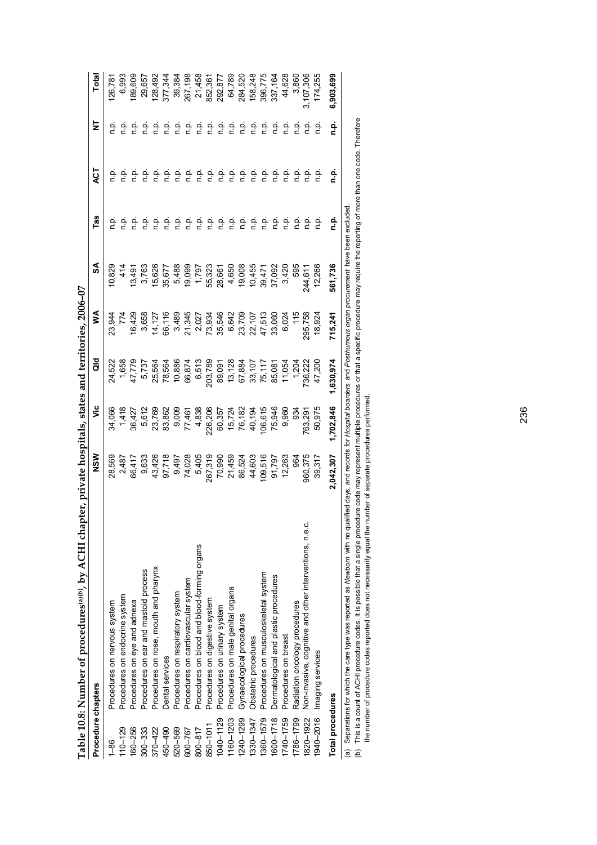|                         | Table 10.8: Number of procedures <sup>(a)(b)</sup> , by ACHI chapter, private hospitals, states and territories, 2006-07 |                             |                                                          |                                                                     |                                                                                         |                                       |         |         |         |           |
|-------------------------|--------------------------------------------------------------------------------------------------------------------------|-----------------------------|----------------------------------------------------------|---------------------------------------------------------------------|-----------------------------------------------------------------------------------------|---------------------------------------|---------|---------|---------|-----------|
| Procedure chapters      |                                                                                                                          | NSM                         | ۶Ë                                                       | as<br>G                                                             | ⋚                                                                                       | SA                                    | Tas     | ă       | 눌       | Total     |
| $1 - 86$                | Procedures on nervous system                                                                                             | 28,569                      | 34,066                                                   | 24,522                                                              | 23,944                                                                                  | 0,829                                 |         | ءَ      | ن<br>ح  | 26,781    |
| $110 - 129$             | Procedures on endocrine system                                                                                           | 2,487                       | 1,418                                                    | 1,658                                                               | 774                                                                                     | 414                                   |         | ءَ۔     | ېږ      | 6,993     |
| 160-256                 | Procedures on eye and adnexa                                                                                             | 66,417                      | 36,427                                                   | 47,779                                                              | 16,429                                                                                  | 13,491                                | ن<br>ء  | ن<br>خ  | ېد      | 89,609    |
| $300 - 333$             | Procedures on ear and mastoid process                                                                                    | 9,633                       | 5,612                                                    | 5,737                                                               | 3,658                                                                                   | 3,763                                 | ن<br>ء  | ن<br>ء  | نې<br>د | 29,657    |
| 370-422                 | Procedures on nose, mouth and pharynx                                                                                    |                             |                                                          | 25,564                                                              |                                                                                         | 15,626                                | نې<br>د | ρ.<br>Π | نې<br>د | 128,492   |
| 450-490                 | Dental services                                                                                                          | 43,426<br>97,718            | 23,769<br>83,862                                         | 78,564                                                              | 14, 127<br>66, 116                                                                      | 35,677                                | ن<br>ء  | ن<br>ء  | ءِ<br>ہ | 377,344   |
| 520-569                 | Procedures on respiratory system                                                                                         |                             |                                                          | 10,886                                                              | 3,489                                                                                   | 5,488                                 | ن<br>ء  | n p.    | ءِ<br>ت | 39,384    |
| 600-767                 | Procedures on cardiovascular system                                                                                      | 9,497<br>74,028<br>5,405    | 9,009<br>77,461                                          | 66,874                                                              | 21,345                                                                                  | 19,099                                | ن<br>ء  | ن<br>ء  | ءِ<br>- | 267,198   |
| 800-817                 | Procedures on blood and blood-forming organs                                                                             |                             |                                                          | 6,513                                                               | 2,027                                                                                   |                                       | ن<br>ء  | a<br>n  | ءِ<br>ء | 21,458    |
| 850-1011                | Procedures on digestive system                                                                                           |                             |                                                          |                                                                     |                                                                                         |                                       | ρ.<br>Π | ρ.<br>Π | ن<br>ء  | 852,361   |
| 1040-1129               | Procedures on urinary system                                                                                             | 267,319<br>70,990<br>21,459 | 4,838<br>226,206<br>60,357<br>15,724<br>76,194<br>40,194 | 203,789<br>89,091<br>89,128<br>13,107<br>67,107<br>15,084<br>11,054 | $73,934$<br>$35,546$<br>$6,642$<br>$6,700$<br>$6,700$<br>$6,707$<br>$7,513$<br>$47,513$ | $1,797$<br>55,323<br>58,665<br>28,498 | ن<br>ء  | ن<br>ء  | ن<br>ء  | 292,877   |
| 1160-1203               | Procedures on male genital organs                                                                                        |                             |                                                          |                                                                     |                                                                                         |                                       | ن<br>ء  | ن<br>ء  | ءِ<br>ت | 64,789    |
| 1240-1299               | Gynaecological procedures                                                                                                | 86,524<br>44,603            |                                                          |                                                                     |                                                                                         |                                       | ن<br>ء  | ρ.<br>Π | a<br>n  | 284,520   |
| 1330-1347               | Obstetric procedures                                                                                                     |                             |                                                          |                                                                     |                                                                                         |                                       | ن<br>م  | ن<br>ء  | ءِ<br>ت | 158,248   |
| 1360-1579               | Procedures on musculoskeletal system                                                                                     | 109,516                     | 106,615                                                  |                                                                     |                                                                                         | $10,455$<br>39,471<br>37,092          | n p.    | ρ.<br>Π | ن<br>ء  | 396,775   |
| 1600-1718               | Dermatological and plastic procedures                                                                                    | 91,797                      | 75,946                                                   |                                                                     |                                                                                         |                                       | ن<br>ء  | ρ.<br>Π | ρ       | 337,164   |
| 1740-1759               | Procedures on breast                                                                                                     | 12,263                      | 9,960                                                    |                                                                     | 6,024                                                                                   | 3,420                                 | n p.    | ρ.<br>Π | ن<br>ء  | 44,628    |
| 1786-1799               | Radiation oncology procedures                                                                                            | ୱ                           | 93 <sup>2</sup>                                          | 1,204                                                               | $rac{45}{11}$                                                                           | 595                                   |         | ρ.<br>Π | نې<br>د | 3,860     |
| 1820-1922               | Non-invasive, cognitive and other interventions, n.e.c.                                                                  | 960,375                     | 763,291                                                  | '36,222                                                             | 295,758                                                                                 | 244,611                               |         | ن<br>ء  | ې       | 3,107,306 |
| 1940-2016               | Imaging services                                                                                                         | 39,317                      | 50,975                                                   | 47,200                                                              | 18,924                                                                                  | 12,266                                |         | ءِ<br>ء | ې       | 174,255   |
| <b>Total procedures</b> |                                                                                                                          | 2,042,307                   | 1,702,846                                                | 1,630,974                                                           | 715,241                                                                                 | 561,736                               | ءِ<br>= | ءِ<br>ء | ءِ<br>ء | 6,903,699 |
|                         |                                                                                                                          |                             |                                                          |                                                                     |                                                                                         |                                       |         |         |         |           |

(a) Separations for which the care type was reported as *Newborn* with no qualified days, and records for *Hospital boarders* and P*osthurnous organ procurement* have been excluded.<br>(b) This is a count of ACHI procedure co (a) Separations for which the care type was reported as *Newborn* with no qualified days, and records for *Hospital boarders* and *Posthumous organ procurement* have been excluded.

(b) This is a count of ACHI procedure codes. It is possible that a single procedure sent multiple procedures or that a specific procedure may require the reporting of more than one code. Therefore

the number of procedure codes reported does not necessarily equal the number of separate procedures performed.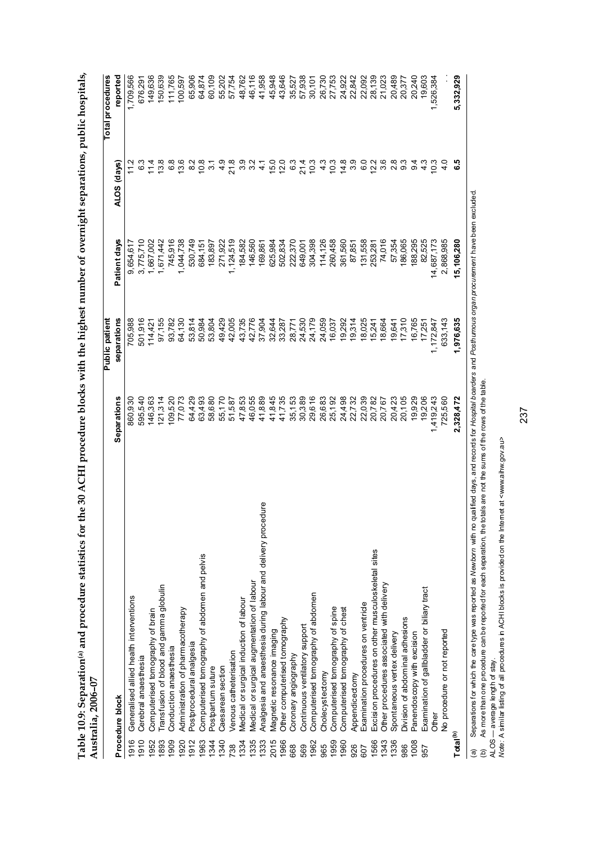| Australia, 2006-07   |                                                                    |                                                        | Public patient |                                    |                | Total procedures |
|----------------------|--------------------------------------------------------------------|--------------------------------------------------------|----------------|------------------------------------|----------------|------------------|
| Procedure block      |                                                                    | <b>Separations</b>                                     | separations    | Patient days                       | ALOS (days)    | reported         |
| 1916                 | Generalised allied health interventions                            | 860,930                                                | 705,988        | 9,654,617                          |                | 1,709,566        |
| 1910                 | Cerebral anaesthesia                                               | 595,540                                                | 501,916        | 3,775,710                          | 63             | 676,291          |
| 1952                 | Computerised tomography of brain                                   | 146,363                                                | 114,421        | 1,667,002                          | ।<br>न         | 149,636          |
| 1893                 | Transfusion of blood and gamma globulin                            | 121,314                                                | 97,155         | 1,671,442                          | 13.8           | 150,639          |
| 1909                 | Conduction anaesthesia                                             | 109,520                                                | 93,782         | 745,916                            | $\frac{8}{3}$  | 111,765          |
| 1920                 | Administration of pharmacotherapy                                  | 77,073                                                 | 64,130         | 1,044,738                          | 13.6           | 100,597          |
| 1912                 | Postprocedural analgesia                                           | 64,429                                                 | 53,814         | 530,749                            | $\frac{2}{8}$  | 65,906           |
| 1963                 | Computerised tomography of abdomen and pelvis                      | 63,493                                                 | 50,984         | 684,151                            | 10.8           | 64,874           |
| 1344                 | Postpartum suture                                                  | 58,680                                                 | 53,804         | 183,897                            | $\frac{2}{3}$  | 60,109           |
| 1340                 | Caesarean section                                                  | 55,170                                                 | 49,429         | 271,922                            | $\frac{6}{4}$  | 55,202           |
| 738                  | Venous catheterisation                                             | 51,587                                                 | 42,005         | 1,124,519                          | $\frac{8}{21}$ | 57,754           |
| 1334                 | Medical or surgical induction of labour                            | 47,853                                                 | 43,735         | 184,582                            | 3.9            | 48,762           |
| 1335                 | Medical or surgical augmentation of labour                         | 46,055                                                 | 42,776         | 146,560                            | 32             | 46,116           |
| 1333                 | Analgesia and anaesthesia during labour and delivery procedure     | 41,889                                                 | 37,904         | 169,861                            | न<br>न         | 41,958           |
| 2015                 | Magnetic resonance imaging                                         | 41,845                                                 | 32,644         | 625,984                            |                | 45,948           |
| 1966                 | Other computerised tomography                                      | 41,735                                                 | 33,287         | 502,834                            | 15.0<br>12.0   | 43,646           |
| 668                  | Coronary angiography                                               | 35,153                                                 | 28,771         | 222,370                            | $\frac{3}{2}$  | 35,527           |
| 569                  | Continuous ventilatory support                                     | 30,389                                                 | 24,530         | 649,001                            | 21.4           | 57,938           |
| 1962                 | Computerised tomography of abdomen                                 | 29,616                                                 | 24,179         | 304,398                            | 10.3           | 30,101           |
| 965                  | Cholecystectomy                                                    | 26,683                                                 | 24,059         | 114,126                            | $\frac{3}{4}$  | 26,730           |
| 1959                 | Computerised tomography of spine                                   | 25,192                                                 | 16,037         | 260,458                            | 10.3           | 27,753           |
| 1960                 | Computerised tomography of chest                                   | 24,498                                                 | 19,292         | 361,560                            | 14.8           | 24,922           |
| 926                  | Appendicectomy                                                     | 22,732                                                 | 19,314         | 87,851                             | 3.9            | 22,842           |
| 607                  | Examination procedures on ventricle                                | 22,039                                                 | 18,025         | 131,558                            | G.O            | 22,092           |
| 1566                 | Excision procedures on other musculoskeletal sites                 | 20,782                                                 | 15,241         | 253,281                            | 12.2           | 28,139           |
| 1343                 | Other procedures associated with delivery                          | 20,767                                                 | 18,664         | 74,016                             | 3.6            | 21,023           |
| 1336                 | Spontaneous vertex delivery                                        | 20,423                                                 | 19,641         | 57,354                             | 2.8            | 20,489           |
| 986                  | Division of abdominal adhesions                                    | 20,105                                                 | 17,310         | 186,065                            | თ              | 20,377           |
| 1008                 | Panendoscopy with excision                                         | 19,929                                                 | 16,765         | 188,295                            | ၜ              | 20,240           |
| 957                  | Examination of gallbladder or biliary tract                        | 19,206                                                 | 17,251         | 82,525                             | ن<br>4         | 19,603           |
| Other                |                                                                    | 1,419,243                                              | 1,172,847      | 14,687,173                         | $\frac{3}{2}$  | 1,526,384        |
|                      | No procedure or not reported                                       | 725,560                                                | 633,143        | 2,868,985                          | $\frac{0}{4}$  |                  |
| Total <sup>(b)</sup> |                                                                    | 2,328,472                                              | 1,976,635      | 15,106,280                         |                | 5,332,929        |
| $\tilde{\Omega}$     | Concretions for which the care tune was montact as Nowhorn with no | entified and controlled the Hoorito Aircord Doctrinous |                | prop propummant baya baan avoludad |                |                  |

Table 10.9: Separation<sup>(a)</sup> and procedure statistics for the 30 ACHI procedure blocks with the highest number of overnight separations, public hospitals, **Table 10.9: Separation(a) and procedure statistics for the 30 ACHI procedure blocks with the highest number of overnight separations, public hospitals,** 

(a) Separations for which the care type was reported as Wew*born* with no qualified days, and records for *Hospital boarders* and *Posthurnous organ procurement* have been excluded.<br>(b) As more than one procedure can be re (a) Separations for which the care type was reported as *Newborn* with no qualified days, and records for *Hospital boarders* and *Posthumous organ procurement* have been excluded. (b) As more than one procedure can be reported for each separation, the totals are not the sums of the rows of the table.

ALOS — average length of stay.

*Note:* A similar listing of all procedures in ACHI blocks is provided on the Internet at <www.aihw.gov.au>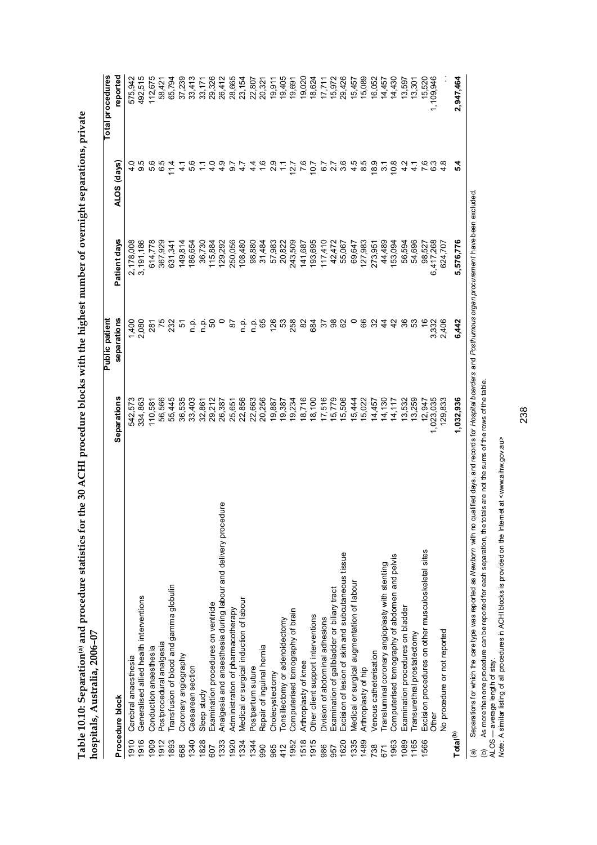|                      | $10$ s $10$ dias, Australia, $4000 - 00$                           |                    |                 |              |                  |                  |
|----------------------|--------------------------------------------------------------------|--------------------|-----------------|--------------|------------------|------------------|
|                      |                                                                    |                    | Public patient  |              |                  | Total procedures |
|                      | Procedure block                                                    | <b>Separations</b> | separations     | Patient days | ALOS (days)      | reported         |
| 1910                 | Cerebral anaesthesia                                               | 542,573            | 1,400           | 2,178,008    |                  | 575,942          |
| 1916                 | Generalised allied health interventions                            | 334,863            | 2,080           | 3,191,186    | 9.5              | 492,515          |
| 1909                 | Conduction anaesthesia                                             | 110,581            | 281             | 614,778      | 5.6              | 112,675          |
| 1912                 | Postprocedural analgesia                                           | 56,566             |                 | 367,929      | 65               | 58,421           |
| 1893                 | Transfusion of blood and gamma globulin                            | 55,445             | $^{75}_{232}$   | 631,341      | $\frac{4}{1}$    | 65,794           |
| 668                  | Coronary angiography                                               | 36,535             | 5               | 149,814      | $\frac{1}{4}$    | 37,239           |
| 1340                 | Caesarean section                                                  | 33,403             |                 | 186,654      | 5.6              | 33,413           |
| 1828                 | Sleep study                                                        | 32,861             | 을 들어 보기         | 36,730       |                  | 33,171           |
| 607                  | Examination procedures on ventricle                                | 29,212             |                 | 115,884      | $\frac{0}{4}$    | 29,326           |
| 1333                 | edure<br>Analgesia and anaesthesia during labour and delivery proc | 26,387             |                 | 129,292      |                  | 26,412           |
| 1920                 | Administration of pharmacotherapy                                  | 25,651             | 5d              | 250,056      | 4 9 7<br>4 9 7   | 28,665           |
| 1334                 | Medical or surgical induction of labour                            | 22,856             |                 | 108,480      | $\ddot{4}$       | 23,154           |
| 1344                 | Postpartum suture                                                  | 22,663             | ن في<br>حا      | 98,880       |                  | 22,807           |
| 90                   | Repair of inguinal hernia                                          | 20,256             | 65              | 31,484       | 4 4 6 9<br>4 6 9 | 20,321           |
| 965                  | Cholecystectomy                                                    | 19,887             |                 | 57,983       |                  | 19,911           |
| 412                  | Tonsillectomy or adenoidectomy                                     | 19,387             | 126<br>23<br>25 | 20,822       |                  | 19,405           |
| 1952                 | Computerised tomography of brain                                   | 19,234             |                 | 243,509      | 12.7             | 19,691           |
| 1518                 | Arthroplasty of knee                                               | 18,716             | 82              | 141,687      | $^{76}$          |                  |
| 1915                 | Other client support interventions                                 | 18,100             | 684             | 193,695      | 10.7             | 19,020<br>18,624 |
| 986                  | Division of abdominal adhesions                                    | 17,516             | 55              | 117,410      |                  | 17,711           |
| 957                  | Examination of gallbladder or biliary tract                        | 5,779              | 38              | 42,472       | $6.7$<br>2.7     | 15,972           |
| 1620                 | Excision of lesion of skin and subcutaneous tissue                 | 5,506              | 8               | 55,067       | 3.6              | 29,426           |
| 1335                 | Medical or surgical augmentation of labour                         | 5,444              |                 | 69,647       | $\frac{4}{3}$    | 15,457           |
| 1489                 | Arthroplasty of hip                                                | 5,022              | 89              | 127,983      | 8.5              | 15,089           |
| 738                  | Venous catheterisation                                             | 14,457             | న               | 273,951      | $\frac{8.9}{6}$  | 16,052           |
| 671                  | Transluminal coronary angioplasty with stenting                    | 14,130             | 4               | 44,489       | $\tilde{\bm{5}}$ | 14,457           |
| 1963                 | Computerised tomography of abdomen and pelvis                      | 14,117             | क्ष             | 153,094      | $^{10.8}$        | 14,430           |
| 1089                 | Examination procedures on bladder                                  | 13,532             | 36              | 56,594       |                  | 13,597           |
| 1165                 | Transurethral prostatectomy                                        | 13,259             | ္မ              | 54,696       |                  | 13,301           |
| 1566                 | Excision procedures on other musculoskeletal sites                 | 12,947             |                 | 98,527       |                  | 15,520           |
|                      | Other                                                              | 1,023,035          | 3,332           | 6,417,268    | ි                | 1,109,946        |
|                      | No procedure or not reported                                       | 129,833            | 2,406           | 624,707      |                  |                  |
| Total <sup>(b)</sup> |                                                                    | 1,032,936          | 6,442           | 5,576,776    | 54               | 2,947,464        |
|                      |                                                                    |                    |                 |              |                  |                  |

Table 10.10: Separation® and procedure statistics for the 30 ACHI procedure blocks with the highest number of overnight separations, private<br>hospitals, Australia, 2006–07 **Table 10.10: Separation(a) and procedure statistics for the 30 ACHI procedure blocks with the highest number of overnight separations, private hospitals, Australia, 2006–07** 

Separations for which the care type was reported as Newborn with no qualified days, and records for Hospital boarders and Posthumous organ procurement have been excluded. (a) Separations for which the care type was reported as *Newborn* with no qualified days, and records for *Hospital boarders* and *Posthumous organ procurement* have been excluded. As more than one procedure can be reported for each separation, the totals are not the sums of the rows of the table. (b) As more than one procedure can be reported for each separation, the totals are not the sums of the rows of the table. (a) Separations for which the care type was reported as *Newborn* with no qualified days, and records for the same term on procedure can be reported for each separation, the totals are not the sums of the ALOS — average le

ALOS — average length of stay.

*Note:* A similar listing of all procedures in ACHI blocks is provided on the Internet at <www.aihw.gov.au>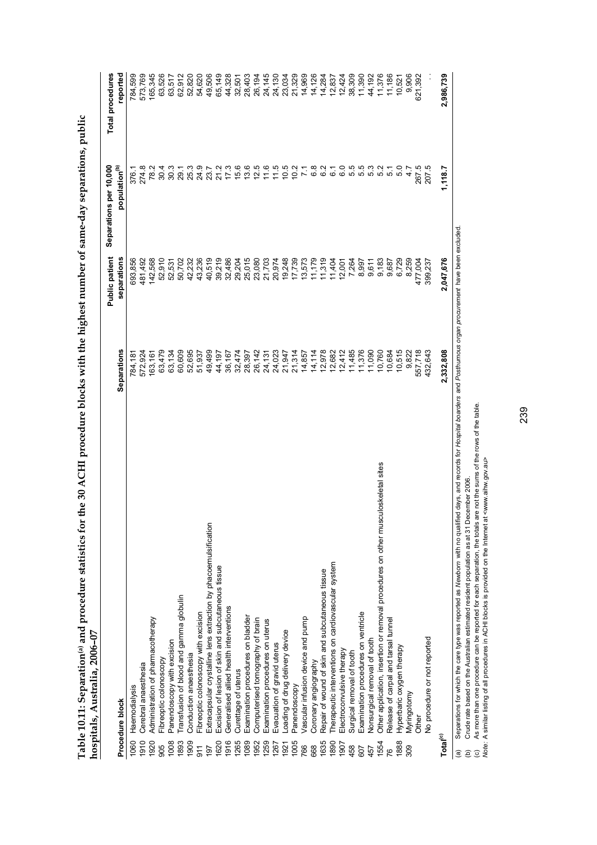|                      |                                                                                   |                  | <b>Public patient</b> | Separations per 10,000                    | <b>Total procedures</b> |
|----------------------|-----------------------------------------------------------------------------------|------------------|-----------------------|-------------------------------------------|-------------------------|
|                      | Procedure block                                                                   | Separations      | separations           | population <sup>(b)</sup>                 | reported                |
| 1060                 | Haemodialysis                                                                     | 784,181          | 393,856               | 376.1                                     | 784,599                 |
| 1910                 | Cerebral anaesthesia                                                              | 572,924          | 481,492               | 274.8                                     | 573,769                 |
| 1920                 | Administration of pharmacotherapy                                                 | 163,161          | 142,568               | 78.2                                      | 165,345                 |
| 905                  | Fibreoptic colonoscopy                                                            | 63,479           | 52,910                | 30.4                                      | 63,526                  |
| 1008                 | Panendoscopy with excision                                                        | 63,134           | 52,531                | 30.3                                      | 63,517                  |
| 1893                 | Transfusion of blood and gamma globulin                                           | 60,609           | 50,702                | 29.1                                      | 62,912                  |
| 1909                 | Conduction anaesthesia                                                            |                  | 42,232                | 25.3                                      | 52,820                  |
| 511                  | Fibreoptic colonoscopy with excision                                              | 52,695<br>51,937 | 43,236                |                                           | 54,620                  |
| 197                  | Extracapsular crystalline lens extraction by phacoemulsification                  | 49,499           | 40,519                | 24.9<br>23.7                              | 49,506                  |
| 1620                 | Excision of lesion of skin and subcutaneous tissue                                | 44,197           | 39,219                | 21.2                                      | 65,149                  |
| 1916                 | Generalised allied health interventions                                           | 36,167           | 32,486                |                                           | 44,328                  |
| 1265                 | Curettage of uterus                                                               | 32,474           | 29,204                | $7.3$<br>$7.6$<br>$7.3$<br>$6.6$<br>$7.3$ | 32,501                  |
| 1089                 | Examination procedures on bladder                                                 | 28,397           | 25,015                |                                           | 28,403                  |
| 1952                 | Computerised tomography of brain                                                  | 26,142           | 23,080                |                                           | 26,194                  |
| 1259                 | Examination procedures on uterus                                                  | 24,131           | 21,703                | 11.6                                      | 24,145                  |
| 1267                 | Evacuation of gravid uterus                                                       | 24,023           | 20,974                | 11.5                                      | 24,130                  |
| 1921                 | Loading of drug delivery device                                                   | 21,947           | 19,248                | $0.5$<br>$0.2$<br>$7.1$                   | 23,034                  |
| 1005                 | Panendoscopy                                                                      | 21,314           | 17,739                |                                           | 21,329                  |
| 766                  | Vascular infusion device and pump                                                 | 14,857           | 13,573                |                                           | 14,969                  |
| 668                  | Coronary angiography                                                              | 14,114           | 11,179                | 6.8                                       | 14,126                  |
| 1635                 | Repair of wound of skin and subcutaneous tissue                                   | 12,978           | 11,319                | 3<br>62                                   | 14,284                  |
| 1890                 | Therapeutic interventions on cardiovascular system                                | 12,682           | 11,404                | 6.1                                       | 12,837                  |
| 1907                 | Electroconvulsive therapy                                                         | 12,412           | 12,001                | 6.0                                       | 12,424                  |
| 458                  | Surgical removal of tooth                                                         | 11,485           | 7,264                 | 5.5<br>5.5                                | 38,309                  |
| 607                  | Examination procedures on ventricle                                               | 11,376           | 8,997                 |                                           | 11,390                  |
| 457                  | Nonsurgical removal of tooth                                                      | 11,090           | 9,611                 | 5.3                                       | 44,192                  |
| 1554                 | Other application, insertion or removal procedures on other musculoskeletal sites | 10,760           | 9,183                 | 5.2                                       | 11,376                  |
| 76                   | Release of carpal and tarsal tunnel                                               | 10,684           | 9,687                 | 5.1                                       | 11,186                  |
| 1888                 | Hyperbaric oxygen therapy                                                         | 10,515           | 6,729                 | 5.0                                       | 10,521                  |
| 309                  | Myringotomy                                                                       | 9,822            | 8,259                 | 4.7                                       | 9,906                   |
|                      | <b>Other</b>                                                                      | 557,718          | 477,004               | 267.5                                     | 621,392                 |
|                      | No procedure or not reported                                                      | 432,643          | 399,237               | 207.5                                     |                         |
| Total <sup>(c)</sup> |                                                                                   | 2,332,808        | 2,047,676             | 1,118.7                                   | 2,986,739               |
|                      |                                                                                   |                  |                       |                                           |                         |

Table 10.11: Separation® and procedure statistics for the 30 ACHI procedure blocks with the highest number of same-day separations, public<br>hospitals, Australia, 2006–07 **Table 10.11: Separation(a) and procedure statistics for the 30 ACHI procedure blocks with the highest number of same-day separations, public hospitals, Australia, 2006–07** 

(a) Separations for which the care type was reported as Newbo*m* with no qualified days, and records for *Hospital boarders* and *Posthurnous organ procurement* have been excluded.<br>(b) Crude rate based on the Australian es (a) Separations for which the care type was reported as *Newborn* with no qualified days, and records for *Hospital boarders* and *Posthumous organ procurement* have been excluded. (b) Crude rate based on the Australian estimated resident population as at 31 December 2006.

(c) As more than one procedure can be reported for each separation, the totals are not the sums of the rows of the table.

*Note:* A similar listing of all procedures in ACHI blocks is provided on the Internet at <www.aihw.gov.au>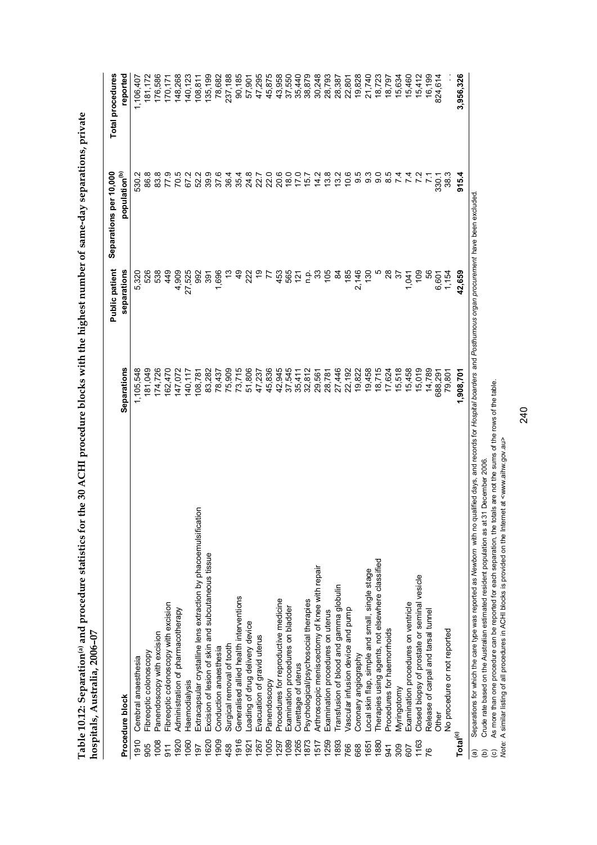|                      |                                                                                                                                                                            |                  | <b>Public patient</b> | Separations per 10,000    | <b>Total procedures</b> |
|----------------------|----------------------------------------------------------------------------------------------------------------------------------------------------------------------------|------------------|-----------------------|---------------------------|-------------------------|
|                      | Procedure block                                                                                                                                                            | Separations      | separations           | population <sup>(b)</sup> | reported                |
| 1910                 | Cerebral anaesthesia                                                                                                                                                       | 1,105,548        | 5,320                 | 530.2                     | 1,106,407               |
| 905                  | Fibreoptic colonoscopy                                                                                                                                                     | 181,049          | 526                   | 86.8                      | 181,172                 |
| 1008                 | Panendoscopy with excision                                                                                                                                                 | 174,726          | 538                   | 83.8                      | 176,586                 |
| $\frac{1}{9}$        | Fibreoptic colonoscopy with excision                                                                                                                                       | 162,470          | 449                   | 77.9                      | 170,171                 |
| 1920                 | Administration of pharmacotherapy                                                                                                                                          | 147,072          | 4,909                 | 70.5                      | 148,268                 |
| 1060                 | Haemodialysis                                                                                                                                                              | 140,117          | 27,525                | 67.2                      | 140,123                 |
| 197                  | Extracapsular crystalline lens extraction by phacoemulsification                                                                                                           | 108,781          | 992                   | 52.2                      | 108,811                 |
| 1620                 | Excision of lesion of skin and subcutaneous tissue                                                                                                                         | 83,282           | 391                   | 39.9                      | 135,199                 |
| 1909                 | Conduction anaesthesia                                                                                                                                                     | 78,437           | 1,696                 | 37.6                      | 78,682                  |
| 458                  | Surgical removal of tooth                                                                                                                                                  | 75,909           |                       | 36.4                      | 237,188                 |
| 1916                 | Generalised allied health interventions                                                                                                                                    | 73,715           | ଦ<br>4                | 35.4                      | 90,185                  |
| 1921                 | Loading of drug delivery device                                                                                                                                            | 51,806           | 222                   | 24.8                      | 57,901                  |
| 1267                 | Evacuation of gravid uterus                                                                                                                                                | 47,237           | <u>စု</u>             | 22.7                      | 47,295                  |
| 1005                 | Panendoscopy                                                                                                                                                               | 45,836           | F                     | 22.0                      | 45,875                  |
| 1297                 | Procedures for reproductive medicine                                                                                                                                       |                  |                       | 20.6                      |                         |
| 1089                 | Examination procedures on bladder                                                                                                                                          | 42,945<br>37,545 | 453<br>565            | $\frac{18.0}{7.0}$        | 43,958<br>37,550        |
| 1265                 | Curettage of uterus                                                                                                                                                        | 35,411           | $\frac{5}{2}$         |                           | 35,440                  |
| 1873                 | Psychological/psychosocial therapies                                                                                                                                       | 32,812           | ن<br>ء                | 15.7                      | 38,879                  |
| 1517                 | Arthroscopic meniscectomy of knee with repair                                                                                                                              | 29,561           | ္က                    | 14.2                      | 30,248                  |
| <b>1259</b>          | Examination procedures on uterus                                                                                                                                           | 28,781           | $\frac{20}{3}$        | 13.8                      | 28,793                  |
| 1893                 | Transfusion of blood and gamma globulin                                                                                                                                    | 27,446           | $\frac{8}{4}$         | 13.2                      | 28,387                  |
| 766                  | Vascular infusion device and pump                                                                                                                                          | 22,192           | 185                   | 10.6                      | 22,801                  |
| 668                  | Coronary angiography                                                                                                                                                       | 19,822           | 2,146                 | 9.5                       | 19,828                  |
| 1651                 | Local skin flap, simple and small, single stage                                                                                                                            | 19,458           | 130                   | 93                        | 21,740                  |
| 1880                 | Therapies using agents, not elsewhere classified                                                                                                                           | 18,715           |                       | $\overline{9}$ .          | 18,723                  |
| 941                  | Procedures for haemorrhoids                                                                                                                                                | 17,624           | $^{8}$                | $\infty$                  | 18,797                  |
| 309                  | Myringotomy                                                                                                                                                                | 15,518           | 75                    | $\overline{ }$            | 15,634                  |
| 607                  | Examination procedures on ventricle                                                                                                                                        | 15,458           | 1,041                 | $\overline{ }$            | 15,460                  |
| 1163                 | Closed biopsy of prostate or seminal vesicle                                                                                                                               | 15,019           | $\frac{6}{3}$         |                           | 15,412                  |
|                      | Release of carpal and tarsal tunnel                                                                                                                                        | 14,789           | 56                    | 21                        | 16,199                  |
|                      | Other                                                                                                                                                                      | 688,291          | 6,601                 | 330.1                     | 824,614                 |
|                      | No procedure or not reported                                                                                                                                               | 79,801           | 1,154                 | 38.3                      |                         |
| Total <sup>(c)</sup> |                                                                                                                                                                            | 1,908,701        | 42,659                | 915.4                     | 3,956,326               |
| $\widehat{a}$        | Separations for which the care type was reported as Newborn with no qualified days, and records for Hospital boarders and Posthurnous organ procurement have been excluded |                  |                       |                           |                         |

Table 10.12: Separation® and procedure statistics for the 30 ACHI procedure blocks with the highest number of same-day separations, private<br>hospitals, Australia, 2006–07 **Table 10.12: Separation(a) and procedure statistics for the 30 ACHI procedure blocks with the highest number of same-day separations, private hospitals, Australia, 2006–07** 

(a) Separations for which the care type was reported as *Newborn* with no qualified days, and records for *Hospital boarders* and *Posthumous organ procurement* have been excluded. (a) Separations for which the care type was reported as *Newborn* with no qualified days, and records for *Hospital boarder*<br>(b) Crude rate based on the Australian estimated resident population as at 31 December 2006.<br>(c) (b) Crude rate based on the Australian estimated resident population as at 31 December 2006.

(c) As more than one procedure can be reported for each separation, the totals are not the sums of the rows of the table. *Note:* A similar listing of all procedures in ACHI blocks is provided on the Internet at <www.aihw.gov.au>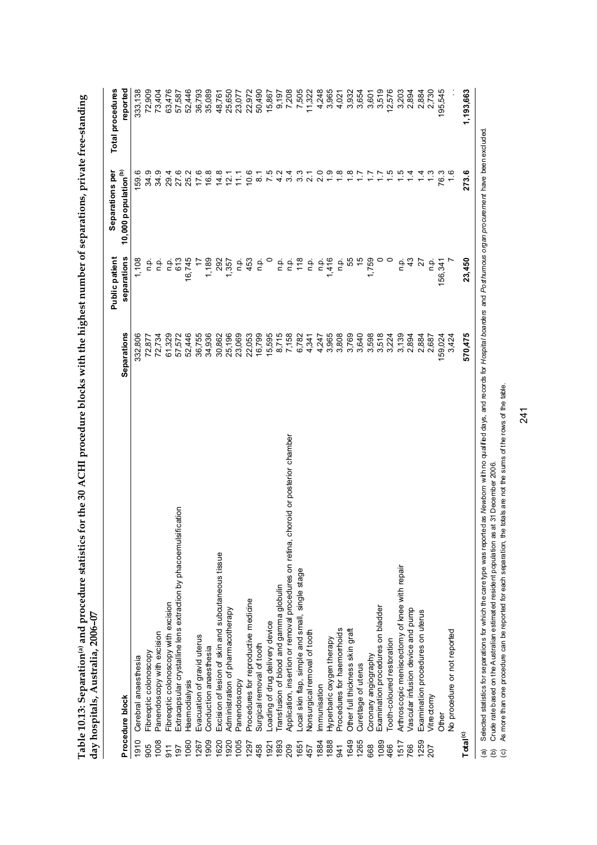|                      | $\mathbf{r}$ /www.co.er.homor.hom.                                                      |                    |                |                                  |                  |
|----------------------|-----------------------------------------------------------------------------------------|--------------------|----------------|----------------------------------|------------------|
|                      |                                                                                         |                    | Public patient | Separations per                  | Total procedures |
|                      | Procedure block                                                                         | <b>Separations</b> | separations    | 10,000 population <sup>(b)</sup> | reported         |
| 1910                 | Cerebral anaesthesia                                                                    | 332,806            | 1,108          | 159.6                            | 333,138          |
| 905                  | Fibreoptic colonoscopy                                                                  | 72,877             | ءِ<br>ء        | 34.9                             | 72,909           |
| 1008                 | Panendoscopy with excision                                                              | 72,734             | م.<br>P        | 34.9                             | 73,404           |
| $\frac{1}{9}$        | Fibreoptic colonoscopy with excision                                                    | 61,329             | ن<br>P         | 29.4                             | 63,476           |
| 197                  | Extracapsular crystalline lens extraction by phacoemulsification                        | 57,572             | 613            | 27.6                             | 57,587           |
| 1060                 | Haemodialysis                                                                           | 52,446             | 16,745         | 25.2                             | 52,446           |
| 1267                 | Evacuation of gravid uterus                                                             | 36,755             |                | 17.6                             | 36,793           |
| 1909                 | Conduction anaesthesia                                                                  | 34,936             | 1,189          | 16.8                             | 35,089           |
| 1620                 | Excision of lesion of skin and subcutaneous tissue                                      | 30,862             | 292            | $\frac{8}{4}$                    | 48,761           |
| 1920                 | Administration of pharmacotherapy                                                       | 25,196             | 1,357          | 12.1                             | 25,650           |
| 1005                 | Panendoscopy                                                                            | 23,069             | ن<br>P         | 11.1                             | 23,077           |
| 1297                 | Procedures for reproductive medicine                                                    | 22,053             | 453            | 10.6                             | 22,972           |
| 458                  | Surgical removal of tooth                                                               | 16,799             | ن<br>ء         | $\overline{8}$ .                 | 50,490           |
| 1921                 | Loading of drug delivery device                                                         | 15,595             |                | 7.5                              | 15,867           |
| 1893                 | Transfusion of blood and gamma globulin                                                 | 8,715              | n.p            |                                  | 9,197            |
| 209                  | choroid or posterior chamber<br>Application, insertion or removal procedures on retina, | 7,158              | ن<br>ء         |                                  | 7,505            |
| 1651                 | Local skin flap, simple and small, single stage                                         | 6,782              | $\frac{8}{1}$  |                                  |                  |
| 457                  | Nonsurgical removal of tooth                                                            | 4,341              | ن<br>ء         |                                  | 11,322           |
| 1884                 | mmunisation                                                                             | 4,247              | o.<br>D        | 2.0                              | 4,248            |
| 1888                 | Hyperbaric oxygen therapy                                                               | 3,965              | 1,416          | $\frac{6}{1}$                    | 3,965            |
| 341                  | Procedures for haemorrhoids                                                             | 3,808              | a.<br>D        | $\frac{8}{1}$                    | 4,021            |
| 1649                 | Other full thickness skin graft                                                         | 3,769              | 55             |                                  | 3,932            |
| 1265                 | Curettage of uterus                                                                     | 3,640              | $\frac{1}{2}$  | 17                               | 3,654            |
| 668                  | Coronary angiography                                                                    | 3,598              | 1,759          | 1.7                              | 3,601            |
| 1089                 | Examination procedures on bladder                                                       | 3,518              |                | $\ddot{ }$ :                     | 3,519            |
| 466                  | Tooth-coloured restoration                                                              | 3,224              |                | $\frac{5}{1}$                    | 12,576           |
| 1517                 | Arthroscopic meniscectomy of knee with repair                                           | 3,139              | a.<br>D        | $\frac{5}{1}$                    | 3,203            |
| 766                  | Vascular infusion device and pump                                                       | 2,894              | 43             | $\frac{4}{1}$                    | 2,894            |
| 1259                 | Examination procedures on uterus                                                        | 2,884              | 27             |                                  | 2,884            |
| 207                  | Vitrectorny                                                                             | 2,687              | م<br>ء         | ઼ૺ                               | 2,730            |
|                      | <b>Other</b>                                                                            | 159,024            | 156,341        | 76.3                             | 195,545          |
|                      | No procedure or not reported                                                            | 3,424              |                |                                  |                  |
| Total <sup>(c)</sup> |                                                                                         | 570,475            | 23,450         | 273.6                            | 1,193,663        |
|                      | ć                                                                                       |                    |                |                                  |                  |

Table 10.13: Separation® and procedure statistics for the 30 ACHI procedure blocks with the highest number of separations, private free-standing<br>day hospitals, Australia, 2006–07 **Table 10.13: Separation(a) and procedure statistics for the 30 ACHI procedure blocks with the highest number of separations, private free-standing day hospitals, Australia, 2006–07** 

(a) Selected statistics for separations for which the care type was reported as Mewborn with no qualified days, and records for Hospital boarders and Po*sthumous organ procurernent* have been excluded.<br>(b) Crude rate based (a) Selected statistics for separations for which the care type was reported as *Newborn* with no qualified days, and records for *Hospital boarders* and *Posthumous organ procurement* have been excluded. (b) Crude rate based on the Australian estimated resident population as at 31 December 2006.

(c) As more than one procedure can be reported for each separation, the totals are not the sums of the rows of the table.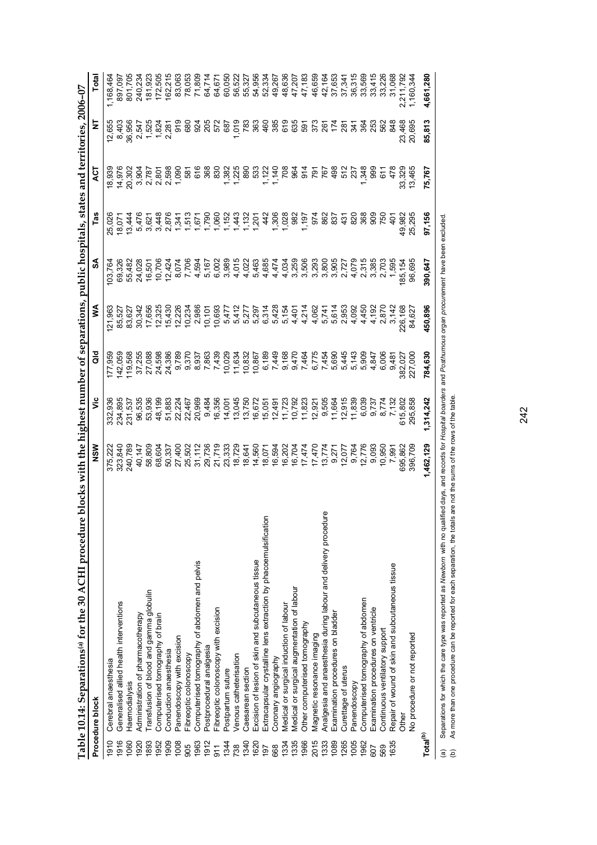|                      | Table 10.14: Separations(a) for the 30 ACHI procedur             | e blocks with the highest number of separations, public hospitals, states and territories, 2006-07 |                         |                                                                                 |                  |                         |                                                                                                                                                           |                       |                       |           |
|----------------------|------------------------------------------------------------------|----------------------------------------------------------------------------------------------------|-------------------------|---------------------------------------------------------------------------------|------------------|-------------------------|-----------------------------------------------------------------------------------------------------------------------------------------------------------|-----------------------|-----------------------|-----------|
|                      | Procedure block                                                  | NSM                                                                                                | ۊ                       | ă                                                                               | ≸                | SA                      | Tas                                                                                                                                                       | 13                    | Ξ                     | Total     |
| 1910                 | Cerebral anaesthesia                                             | 375,222                                                                                            | 936<br>332,             | 177,959                                                                         | 121,963          | 03,764                  | 25,026                                                                                                                                                    | 18,939                | 12,655                | 1,168,464 |
| 1916                 | Generalised allied health interventions                          | 323,840                                                                                            | 234,895                 | 142,059                                                                         | 85,527           | 69,326                  | 18,07                                                                                                                                                     | 14,976                | 8,403                 | 897,097   |
| 1060                 | Haemodialysis                                                    | 240,789                                                                                            | 231,537                 | 119,568                                                                         | 83,627           | 55,482                  | 13,444                                                                                                                                                    | 20,302                | 36,956                | 801,705   |
| 1920                 | Administration of pharmacotherapy                                | 40,147                                                                                             | 96,535                  | 37,255                                                                          | 30,342           | 24,028                  | 5,476                                                                                                                                                     |                       | 2,547<br>1,525        | 240,234   |
| 1893                 | Transfusion of blood and gamma globulin                          | 58,809                                                                                             | 53,936                  | 27,088                                                                          | 17,656           | 16,501                  | 3,621                                                                                                                                                     | 3,904<br>2,787        |                       | 181,923   |
| 1952                 | Computerised tomography of brain                                 | 68,604                                                                                             | 48,199                  | 24,598                                                                          | 12,325           | 10,706                  | 3,448                                                                                                                                                     | 2,801                 | $\frac{1,824}{2,281}$ | 172,505   |
| 1909                 | Conduction anaesthesia                                           | 50,337                                                                                             | 51,883                  | 24,386                                                                          | 15,430<br>12,226 | 12,424                  | 2,876                                                                                                                                                     | 2,598<br>1,090        |                       | 162,215   |
| 1008                 | Panendoscopy with excision                                       | 27,400                                                                                             | 22,224                  | 9,789                                                                           |                  | 8,074                   |                                                                                                                                                           |                       |                       | 83,063    |
| 905                  | Fibreoptic colonoscopy                                           | 25,502                                                                                             |                         | 9,370                                                                           |                  | 7,706                   |                                                                                                                                                           |                       | 91<br>680             | 78,053    |
| 1963                 | Computerised tomography of abdomen and pelvis                    | 31,112                                                                                             | 22,467<br>20,969        | 8,937                                                                           | 10,234<br>2,986  | 4,594                   | $\frac{1}{2}$ $\frac{1}{2}$ $\frac{1}{2}$ $\frac{1}{2}$ $\frac{1}{2}$ $\frac{1}{2}$ $\frac{1}{2}$ $\frac{1}{2}$ $\frac{1}{2}$ $\frac{1}{2}$ $\frac{1}{2}$ | 581<br>616            | 924                   | 71,809    |
| 1912                 | Postprocedural analgesia                                         | 29,736                                                                                             | 9,484                   | 7,863                                                                           | 10,101           | 5,167<br>6,002          |                                                                                                                                                           | 368                   | 205                   | 64,714    |
| $\frac{1}{9}$        | Fibreoptic colonoscopy with excision                             | 21,719                                                                                             | 16,356                  | 7,439                                                                           | 10,693           |                         | 1,060<br>1,152                                                                                                                                            | 830                   | 572                   | 64,671    |
| 1344                 | Postpartum suture                                                | 23,333                                                                                             | 14,001                  | 10,029                                                                          |                  | 3,989                   |                                                                                                                                                           | $7.88883$<br>$7.8833$ | 687                   | 60,050    |
| 738                  | Venous catheterisation                                           | 18,729                                                                                             | 13,045                  | 11,634                                                                          |                  | 4,015                   |                                                                                                                                                           |                       | 1,019                 | 56,522    |
| 1340                 | Caesarean section                                                | 18,641                                                                                             | 13,750                  | 10,832                                                                          |                  | 4,022                   |                                                                                                                                                           |                       | 783                   | 55,327    |
| 1620                 | Excision of lesion of skin and subcutaneous tissue               | 14,560                                                                                             | 16,672                  | 10,867                                                                          |                  | 5,463                   | $143$<br>$150$<br>$150$<br>$142$<br>$150$                                                                                                                 |                       | 363                   | 54,956    |
| 197                  | Extracapsular crystalline lens extraction by phacoemulsification | 18,071                                                                                             | 15,051                  | 6,189                                                                           |                  | 4,685                   |                                                                                                                                                           | 1,122                 | 460                   | 52,334    |
| 668                  | Coronary angiography                                             | 16,594                                                                                             | 12,491                  | 7,449                                                                           |                  | 4,474                   | 1,308<br>1,028<br>1,082                                                                                                                                   | 1,140<br>708          | 385                   | 49,267    |
| 1334                 | Medical or surgical induction of labour                          | 16,202                                                                                             | 11,723                  | 9,168                                                                           |                  |                         |                                                                                                                                                           |                       | 619                   | 48,636    |
| 1335                 | Medical or surgical augmentation of labour                       | 16,704                                                                                             | 10,792                  |                                                                                 |                  |                         |                                                                                                                                                           | ୫                     |                       | 47,207    |
| 1966                 | Other computerised tomography                                    | 17,474                                                                                             | 11,823                  |                                                                                 |                  |                         | 1,197<br>974                                                                                                                                              | $\frac{4}{9}$         | 635<br>597            | 47,183    |
| 2015                 | Magnetic resonance imaging                                       | 17,470                                                                                             | 12,921                  | or or n n n n 4<br>44 - 4 0 4 4 0 0 4<br>6 4 5 9 4 4 0 9 4<br>6 4 5 9 5 9 9 9 7 |                  |                         |                                                                                                                                                           | L94<br>161            | នៃក្នុងទំនួ           | 46,659    |
| 1333                 | Analgesia and anaesthesia during labour and delivery procedure   | 13,774                                                                                             | 9,505                   |                                                                                 |                  |                         | 862                                                                                                                                                       |                       |                       | 42,164    |
| 1089                 | Examination procedures on bladder                                | 9,271<br>12,077                                                                                    | 11,664                  |                                                                                 |                  |                         | 837                                                                                                                                                       | 498                   |                       | 37,653    |
| 1265                 | Curettage of uterus                                              |                                                                                                    | 12,915                  |                                                                                 |                  |                         | 431                                                                                                                                                       | 512                   |                       | 37,341    |
| 1005                 | Panendoscopy                                                     | 9,764                                                                                              | 11,839                  |                                                                                 |                  |                         | 820                                                                                                                                                       | 237                   |                       | 36,315    |
| 1962                 | Computerised tomography of abdomen                               | 12,776                                                                                             | 6,039                   |                                                                                 |                  | 2,315<br>2,385<br>2,703 | 368                                                                                                                                                       | 1,348                 |                       | 33,569    |
| 607                  | Examination procedures on ventricle                              | 9,093                                                                                              |                         |                                                                                 |                  |                         | 909                                                                                                                                                       | 999                   |                       | 33,415    |
| 569                  | Continuous ventilatory support                                   | 10,950                                                                                             |                         | 6,006                                                                           |                  |                         | 750                                                                                                                                                       | 611                   | 562                   | 33,226    |
| 1635                 | Repair of wound of skin and subcutaneous tissue                  | 7,991                                                                                              | 9,737<br>8,774<br>7,132 | 9,481                                                                           |                  | 1,595                   | $\frac{5}{4}$                                                                                                                                             | 478                   | 848                   | 31,068    |
|                      | <b>Other</b>                                                     | 695,862                                                                                            | 615,802                 | 382,027                                                                         | 226,168          | 85,154                  | 49,982                                                                                                                                                    | 33,329                | 23,468                | 2,211,792 |
|                      | No procedure or not reported                                     | 396,709                                                                                            | 295,858                 | 227,000                                                                         | 84,627           | 96,695                  | 25,295                                                                                                                                                    | 13,465                | 20,695                | 1,160,344 |
| Total <sup>(b)</sup> |                                                                  | 1,462,129                                                                                          | 1.314.242               | 784,630                                                                         | 450,896          | 390,647                 | 97,156                                                                                                                                                    | 75,767                | 85,813                | 4,661,280 |
|                      |                                                                  |                                                                                                    |                         |                                                                                 |                  |                         |                                                                                                                                                           |                       |                       |           |

(a) Separations for which the care type was reported as *Newborn* with no qualified days, and records for *Hospital boarders* and *Posthumous organ procurement* have been excluded.<br>(b) As more than one procedure can be rep (a) Separations for which the care type was reported as *Newborn* with no qualified days, and records for *Hospital boarders* and *Posthumous organ procurement* have been excluded. (b) As more than one procedure can be reported for each separation, the totals are not the sums of the rows of the table.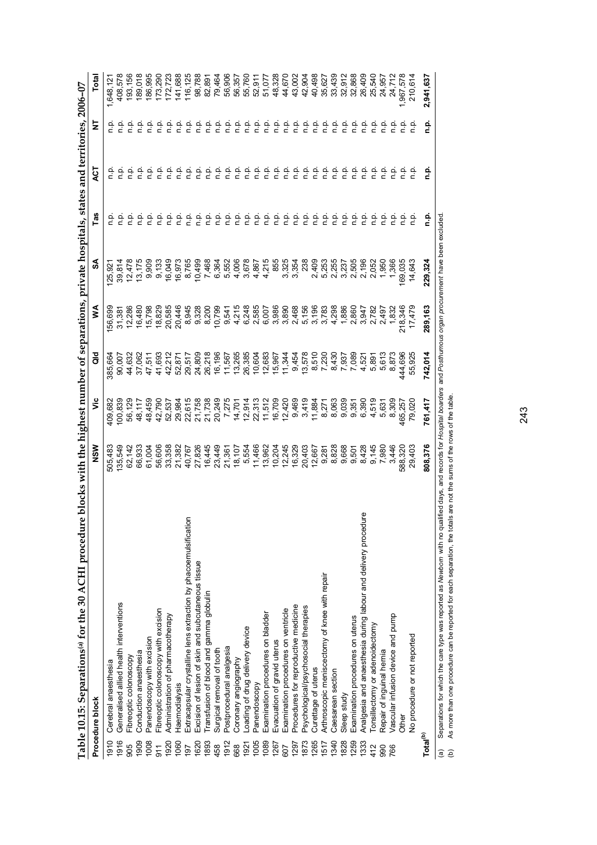| Table 10.15: Separations <sup>(a)</sup> for the 30 ACHI procedur        | e blocks with the highest number of separations, private hospitals, states and territories, 2006-07 |                                      |                                               |                                                                                                                                                                                                                                         |                           |                          |          |         |                               |
|-------------------------------------------------------------------------|-----------------------------------------------------------------------------------------------------|--------------------------------------|-----------------------------------------------|-----------------------------------------------------------------------------------------------------------------------------------------------------------------------------------------------------------------------------------------|---------------------------|--------------------------|----------|---------|-------------------------------|
| Procedure block                                                         | NSM                                                                                                 | ۶Ë                                   | ă                                             | ⋚                                                                                                                                                                                                                                       | వ్                        | Tas                      | হ        | Ξ       | Total                         |
| Cerebral anaesthesia<br>1910                                            | 505,483                                                                                             | 109,682                              | 385,664                                       | 56,699                                                                                                                                                                                                                                  | 25,921                    |                          | ۹.       |         | 1,648,12                      |
| Generalised allied health interventions<br>1916                         | 135,549                                                                                             | 100,839                              | 90,007                                        | 31,381                                                                                                                                                                                                                                  | 39,814                    |                          |          |         | 408,578                       |
| Fibreoptic colonoscopy<br>905                                           | 62,142                                                                                              | 56,129                               | 44,632                                        | 12,286                                                                                                                                                                                                                                  | 12,478                    |                          |          |         | 193,156                       |
| Conduction anaesthesia<br>1909                                          | 66,933                                                                                              | 48,117                               | 37,062                                        | 16,480                                                                                                                                                                                                                                  | 13,175                    |                          | ءِ<br>ء  |         |                               |
| Panendoscopy with excision<br>1008                                      | 61,004                                                                                              | 48,459                               | 47,511                                        | 15,798                                                                                                                                                                                                                                  | 9,909                     |                          |          |         | 189,018<br>186,995<br>173,290 |
| Fibreoptic colonoscopy with excision<br>$\overline{5}$                  | 56,606                                                                                              | 42,790                               | 41,693                                        | 18,829                                                                                                                                                                                                                                  | 9,133                     |                          |          | م.<br>E |                               |
| Administration of pharmacotherapy<br>1920                               | 33,358                                                                                              | 52,537                               | 42,212                                        | 20,585                                                                                                                                                                                                                                  | 16,049                    | 후 후                      | م<br>ء   | ف<br>ء  | 172,723                       |
| Haemodialysis<br>1060                                                   | 21,382                                                                                              | 29,984                               |                                               | 20,446                                                                                                                                                                                                                                  | 16,973<br>8,765<br>10,499 | ن<br>E                   |          | م.<br>E | 141,688                       |
| Extracapsular crystalline lens extraction by phacoemulsification<br>197 | 40,767                                                                                              | 22,615<br>21,758                     | 52,871<br>29,517                              | 8,945<br>8,328<br>8,200                                                                                                                                                                                                                 |                           |                          | n.p      | ف<br>C  | 116,125                       |
| Excision of lesion of skin and subcutaneous tissue<br>1620              | 27,826                                                                                              |                                      | 24,809                                        |                                                                                                                                                                                                                                         |                           | ۹.                       | م<br>ء   | ن<br>ء  | 98,788                        |
| Fransfusion of blood and gamma globulin<br>1893                         |                                                                                                     | 21,738                               | 26,218                                        |                                                                                                                                                                                                                                         | 7,468<br>6,364            | م<br>E                   | n.p      | م<br>ء  | 82,891                        |
| Surgical removal of tooth<br>458                                        | 16,445<br>23,449<br>21,361                                                                          | 20,249<br>7,275                      | 16,196                                        | 10,799                                                                                                                                                                                                                                  |                           | غ<br>E                   | n.p      | ن<br>ء  | 79,464                        |
| Postprocedural analgesia<br>1912                                        |                                                                                                     |                                      | 11,567                                        | 9,541                                                                                                                                                                                                                                   | 5,552                     |                          | ف<br>ء   | ن<br>ء  | 56,906                        |
| Coronary angiography<br>668                                             |                                                                                                     | 14,701                               | 13,265                                        |                                                                                                                                                                                                                                         |                           |                          | نې<br>P  | ف<br>م  | 56,357                        |
| oading of drug delivery device<br>1921                                  | 18,107<br>5,554                                                                                     | 12,914                               | 26,385                                        | $\begin{array}{l}5.67\,4.67\,2.68\,2.69\,2.69\,2.69\,2.69\,2.69\,2.69\,2.69\,2.69\,2.69\,2.69\,2.69\,2.69\,2.69\,2.69\,2.69\,2.69\,2.69\,2.69\,2.69\,2.69\,2.69\,2.69\,2.69\,2.69\,2.69\,2.69\,2.69\,2.69\,2.69\,2.69\,2.69\,2.69\,2.6$ |                           | <b>22222222222222222</b> | ؋.       | ف<br>n  | 55,760                        |
| Panendoscopy<br>1005                                                    | 11,466                                                                                              |                                      | 10,604                                        |                                                                                                                                                                                                                                         |                           |                          | n.p      | n.p.    | 52,911<br>51,077              |
| Examination procedures on bladder<br>1089                               | 13,962                                                                                              |                                      |                                               |                                                                                                                                                                                                                                         |                           |                          | م<br>ء   | ف<br>ء  |                               |
| Evacuation of gravid uterus<br>1267                                     | 10,204                                                                                              | 22,313<br>11,512<br>16,709<br>12,420 |                                               |                                                                                                                                                                                                                                         |                           |                          | ن<br>ء   | ف<br>ء  | 48,328                        |
| Examination procedures on ventricle<br>607                              | 12,245                                                                                              |                                      |                                               |                                                                                                                                                                                                                                         |                           |                          | n.p.     | ف<br>ء  | 44,670                        |
| Procedures for reproductive medicine<br>1297                            | 16,329                                                                                              | 9,469                                |                                               |                                                                                                                                                                                                                                         |                           |                          | n.p.     | م.<br>n | 43,002                        |
| Psychological/psychosocial therapies<br>1873                            | 20,403                                                                                              | 3,419                                | 5683<br>6967<br>6967<br>5967<br>59683<br>6988 |                                                                                                                                                                                                                                         | <b>238</b>                |                          | n.p.     | n.p.    | 42,904                        |
| Curettage of uterus<br>1265                                             | 12,667                                                                                              | 11,884                               |                                               |                                                                                                                                                                                                                                         |                           |                          | ف<br>ء   | م.<br>n | 40,498                        |
| Arthroscopic meniscectomy of knee with repair<br>1517                   |                                                                                                     | 8,271                                |                                               |                                                                                                                                                                                                                                         |                           |                          | n.p.     | م.<br>n | 35,627                        |
| Caesarean section<br>1340                                               |                                                                                                     | 8,063                                | 680,7<br>7.937<br>7.089                       |                                                                                                                                                                                                                                         |                           |                          |          | ف<br>n  | 33,439                        |
| Sleep study<br>1828                                                     |                                                                                                     | 9,039                                |                                               |                                                                                                                                                                                                                                         |                           |                          | 후 후      | ف<br>n  | 32,912                        |
| Examination procedures on uterus<br>1259                                |                                                                                                     | 9,351                                |                                               |                                                                                                                                                                                                                                         |                           |                          |          | ن<br>P  | 32,868                        |
| Analgesia and anaesthesia during labour and delivery procedure<br>1333  |                                                                                                     | 6,390<br>4,519<br>5,631              | 4,521<br>5,891<br>5,613                       |                                                                                                                                                                                                                                         |                           |                          | 후 후      | ن<br>P  | 26,409                        |
| Tonsillectomy or adenoidectomy<br>412                                   |                                                                                                     |                                      |                                               |                                                                                                                                                                                                                                         |                           |                          | غ<br>a   | ن<br>ء  | 25,540                        |
| Repair of inguinal hernia<br>990                                        |                                                                                                     |                                      |                                               |                                                                                                                                                                                                                                         |                           |                          | <u>n</u> |         | 24,957                        |
| Vascular infusion device and pump<br>766                                | 3,446                                                                                               | 8,309                                | 8,873                                         |                                                                                                                                                                                                                                         |                           |                          | م<br>p   |         | 24,712                        |
| <b>Other</b>                                                            | 588,320                                                                                             | 465,257                              | 444,696                                       | 218,346                                                                                                                                                                                                                                 | 169,035                   | 음 후                      | م<br>C   |         | 1,967,578                     |
| No procedure or not reported                                            | 29,403                                                                                              | 79,02                                | 55,92                                         | 17,479                                                                                                                                                                                                                                  | 14,643                    |                          | م<br>م   |         | 210,614                       |
| Total <sup>(b)</sup>                                                    | 808,376                                                                                             | 761,417                              | 742,014                                       | 289,163                                                                                                                                                                                                                                 | 229,324                   |                          | ۹.       | ۹.<br>i | 2,941,637                     |

(a) Separations for which the care type was reported as *Newborn* with no qualified days, and records for *Hospital boarders* and *Posthumous organ procurement* have been excluded.<br>(b) As more than one procedure can be rep (a) Separations for which the care type was reported as *Newborn* with no qualified days, and records for *Hospital boarders* and *Posthumous organ procurement* have been excluded. (b) As more than one procedure can be reported for each separation, the totals are not the sums of the rows of the table.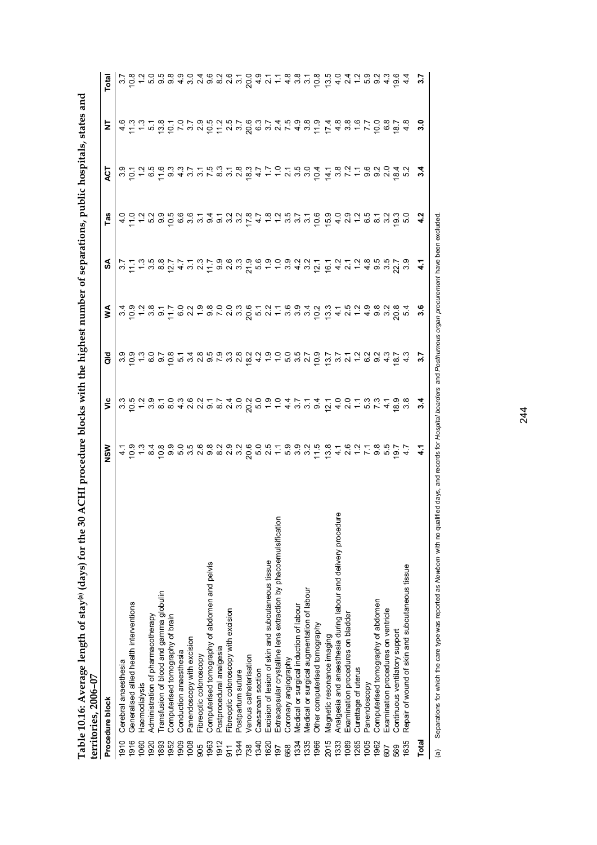| くうくい                                                        |        |
|-------------------------------------------------------------|--------|
|                                                             |        |
|                                                             |        |
| $\frac{1}{2}$                                               |        |
|                                                             |        |
|                                                             |        |
| l                                                           |        |
|                                                             |        |
|                                                             |        |
| ふくてき こうさいち                                                  |        |
|                                                             |        |
|                                                             |        |
| ı                                                           |        |
|                                                             |        |
| i                                                           |        |
|                                                             |        |
|                                                             |        |
| l                                                           |        |
|                                                             |        |
|                                                             |        |
|                                                             |        |
|                                                             |        |
|                                                             |        |
|                                                             |        |
|                                                             |        |
|                                                             |        |
|                                                             |        |
|                                                             |        |
|                                                             |        |
| $\vdots$                                                    |        |
|                                                             |        |
|                                                             |        |
|                                                             |        |
|                                                             |        |
|                                                             |        |
|                                                             |        |
|                                                             |        |
|                                                             |        |
| ֧֧֧֧֧֧֚֚֚֚֚֚֚֚֚֚֚֚֚֚֚֚֚֚֚֚֚֚֚֝֝֝֓֝֬֝֬֝֬֝֬֝֬֝֬               |        |
|                                                             |        |
|                                                             |        |
|                                                             |        |
|                                                             |        |
|                                                             |        |
|                                                             |        |
|                                                             |        |
| ו<br>ו                                                      |        |
| $\frac{1}{2}$<br>Ī                                          |        |
|                                                             |        |
|                                                             |        |
|                                                             |        |
| Ĕ                                                           |        |
|                                                             |        |
| ֖֖֖֖֖֖֖֧ׅ֧֖֖֧֪֪֪֪֪֪֧֪ׅ֚֚֚֚֚֚֚֚֚֚֚֚֚֚֚֚֚֚֚֚֚֚֚֚֚֚֚֚֚֡֬֝֝֬֝֓֞ |        |
| $-1$                                                        |        |
|                                                             |        |
| $\frac{1}{2}$                                               |        |
|                                                             |        |
|                                                             |        |
| Ĭ                                                           |        |
|                                                             |        |
|                                                             |        |
|                                                             |        |
|                                                             |        |
| )<br>i                                                      |        |
| $-1$                                                        |        |
| i                                                           |        |
| )                                                           |        |
|                                                             | í      |
|                                                             | י<br>י |
|                                                             |        |
|                                                             | ׇ֘֝    |
|                                                             |        |
|                                                             | í      |
|                                                             |        |
| <u>י בטבע ב</u><br>י<br>הוד                                 |        |

|            | Table 10.16: Average length of stay(a) (days) for the 30<br>territories, 2006-07 | ACHI procedure blocks with the highest number of separations, public hospitals, states and |               |                                                                     |                                                                    |      |     |                                                              |                                                                                                                             |       |
|------------|----------------------------------------------------------------------------------|--------------------------------------------------------------------------------------------|---------------|---------------------------------------------------------------------|--------------------------------------------------------------------|------|-----|--------------------------------------------------------------|-----------------------------------------------------------------------------------------------------------------------------|-------|
|            | Procedure block                                                                  | ร<br>2                                                                                     | š             | ă                                                                   | ⋚                                                                  | રુ   | Tas | ξ                                                            |                                                                                                                             | Total |
| 1910       | Cerebral anaesthesia                                                             |                                                                                            |               |                                                                     |                                                                    |      |     |                                                              |                                                                                                                             |       |
| 1916       | Generalised allied health interventions                                          |                                                                                            |               |                                                                     |                                                                    |      |     |                                                              |                                                                                                                             |       |
| 060        | Haemodialysis                                                                    |                                                                                            |               |                                                                     |                                                                    |      |     |                                                              |                                                                                                                             |       |
| 920        | Administration of pharmacotherapy                                                |                                                                                            |               |                                                                     |                                                                    |      |     |                                                              |                                                                                                                             |       |
| 893        | Fransfusion of blood and gamma globulin                                          |                                                                                            |               |                                                                     |                                                                    |      |     |                                                              |                                                                                                                             |       |
| 952        | Computerised tomography of brain                                                 |                                                                                            |               |                                                                     |                                                                    |      |     |                                                              |                                                                                                                             |       |
| 909        | Conduction anaesthesia                                                           |                                                                                            |               |                                                                     |                                                                    |      |     |                                                              |                                                                                                                             |       |
| 008        | Panendoscopy with excision                                                       |                                                                                            |               |                                                                     |                                                                    |      |     |                                                              |                                                                                                                             |       |
| 905        | Fibreoptic colonoscopy                                                           |                                                                                            |               |                                                                     |                                                                    |      |     |                                                              |                                                                                                                             |       |
| 1963       | Computerised tomography of abdomen and pelvis                                    |                                                                                            |               |                                                                     |                                                                    |      |     |                                                              |                                                                                                                             |       |
| 912        | Postprocedural analgesia                                                         |                                                                                            |               |                                                                     |                                                                    |      |     |                                                              |                                                                                                                             |       |
| 911        | Fibreoptic colonoscopy with excision                                             |                                                                                            |               |                                                                     |                                                                    |      |     |                                                              |                                                                                                                             |       |
| 1344       | Postpartum suture                                                                |                                                                                            |               |                                                                     |                                                                    |      |     |                                                              |                                                                                                                             |       |
| 738        | Venous catheterisation                                                           |                                                                                            |               |                                                                     |                                                                    |      |     |                                                              |                                                                                                                             |       |
| 1340       | Caesarean section                                                                |                                                                                            |               |                                                                     |                                                                    |      |     |                                                              |                                                                                                                             |       |
| 1620       | Excision of lesion of skin and subcutaneous tissue                               |                                                                                            |               |                                                                     |                                                                    |      |     |                                                              |                                                                                                                             |       |
| 197        | Extracapsular crystalline lens extraction by phacoemulsification                 |                                                                                            |               |                                                                     |                                                                    |      |     |                                                              |                                                                                                                             |       |
| 668        | Coronary angiography                                                             |                                                                                            |               |                                                                     |                                                                    |      |     |                                                              |                                                                                                                             |       |
| 1334       | Medical or surgical induction of labour                                          |                                                                                            |               |                                                                     |                                                                    |      |     |                                                              |                                                                                                                             |       |
| 1335       | Medical or surgical augmentation of labour                                       |                                                                                            |               |                                                                     |                                                                    |      |     |                                                              |                                                                                                                             |       |
| 1966       | Other computerised tomography                                                    |                                                                                            |               |                                                                     |                                                                    |      |     |                                                              |                                                                                                                             |       |
| 2015       | Magnetic resonance imaging                                                       |                                                                                            |               | 301000148593822900579 7712223799409 100018 14859322 11520 110210 11 | さのことりけいこともののことのことはあるようにするとものとのようなのです。 しゅうしょう こうきんしょう しょうしょう しゅうしょう |      |     | 801256321531832701504 182162091 10021 101001 101000 1 101500 | 4 11 1 5 10 7 2 2 0 1 2 2 0 3 2 7 4 5 0 0 0 1 8 5 7 0 6 5 0 7 0 5 2 0 0 2 2 1 5 9 8 0 4 8 6 6 7 0 8 6 4 5 9 0 4 0 0 0 7 0 8 |       |
| 1333       | Analgesia and anaesthesia during labour and delivery procedure                   |                                                                                            |               |                                                                     |                                                                    |      |     |                                                              |                                                                                                                             |       |
| 089        | Examination procedures on bladder                                                |                                                                                            |               |                                                                     |                                                                    |      |     |                                                              |                                                                                                                             |       |
| 1265       | Curettage of uterus                                                              |                                                                                            |               |                                                                     |                                                                    |      |     |                                                              |                                                                                                                             |       |
| 1005       | Panendoscopy                                                                     |                                                                                            |               |                                                                     |                                                                    |      |     |                                                              |                                                                                                                             |       |
| 1962       | Computerised tomography of abdomen                                               |                                                                                            |               |                                                                     |                                                                    |      |     |                                                              |                                                                                                                             |       |
| 607        | Examination procedures on ventricle                                              |                                                                                            |               |                                                                     |                                                                    |      |     |                                                              |                                                                                                                             | 4.3   |
| 569        | Continuous ventilatory support                                                   |                                                                                            | 18.9          |                                                                     |                                                                    | 22.7 |     | $64$<br>$62$                                                 | $\frac{18.7}{4.8}$                                                                                                          | 19.6  |
| <b>635</b> | Repair of wound of skin and subcutaneous tissue                                  |                                                                                            |               |                                                                     |                                                                    | 3.9  |     |                                                              |                                                                                                                             |       |
| Total      |                                                                                  |                                                                                            | $\frac{4}{3}$ | 3.7                                                                 | 3.6                                                                |      |     | $\frac{4}{3}$                                                | 3.0                                                                                                                         | 3.7   |

(a) Separations for which the care type was reported as Newborn with no qualified days, and records for Hospital boarders and Posthurnous organ procurement have been excluded. (a) Separations for which the care type was reported as *Newborn* with no qualified days, and records for *Hospital boarders* and *Posthumous organ procurement* have been excluded.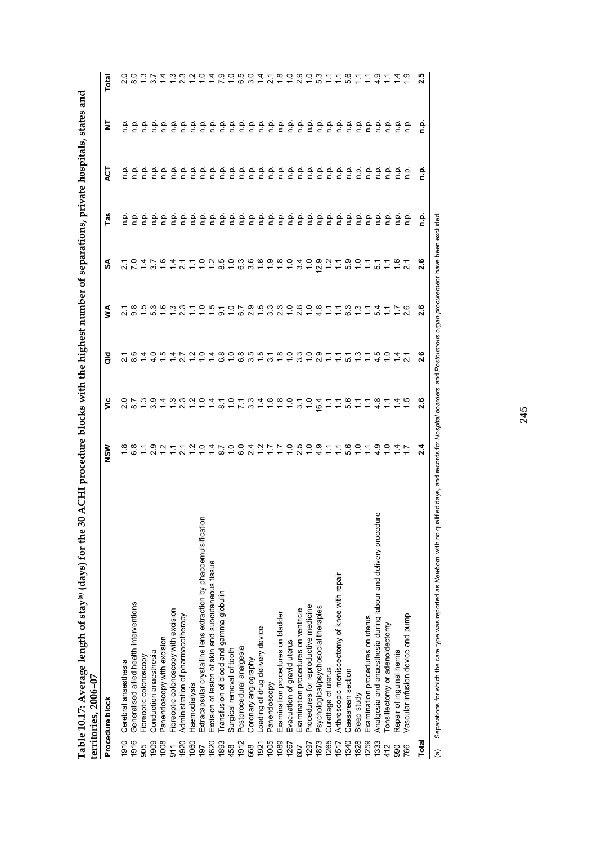|                 | Table 10.17: Average length of stay(a) (days) for the 30<br>territories, 2006-07 | ACHI procedure blocks with the highest number of separations, private hospitals, states and |                                            |                                                                                                                        |                                                       |                 |         |                             |          |                          |
|-----------------|----------------------------------------------------------------------------------|---------------------------------------------------------------------------------------------|--------------------------------------------|------------------------------------------------------------------------------------------------------------------------|-------------------------------------------------------|-----------------|---------|-----------------------------|----------|--------------------------|
|                 | Procedure block                                                                  | NSW                                                                                         | έ                                          | 흐<br>ਨ                                                                                                                 | ≸                                                     | న్              | U)<br>Ë | ζh                          | 눈        | Total                    |
| 1910            | Cerebral anaesthesia                                                             |                                                                                             |                                            |                                                                                                                        |                                                       |                 |         | ې                           |          |                          |
| 1916            | Generalised allied health interventions                                          | 8 8 7 9 8 7 7 8 9 9 7 8 9 9 9 0 1 - 7 -                                                     | O ア30433204101348800 ファック うちょうしょう しょうかんしょう | - ಇ<br>ನ ಐ                                                                                                             | 18536331051079533080811331417618530331051002102121110 | 2047647         |         |                             |          | $00077$<br>$0077$<br>പ്ര |
| 905             | Fibreoptic colonoscopy                                                           |                                                                                             |                                            | $\frac{4}{1}$                                                                                                          |                                                       |                 |         |                             |          |                          |
| 1909            | Conduction anaesthesia                                                           |                                                                                             |                                            |                                                                                                                        |                                                       |                 |         |                             |          |                          |
| 1008            | Panendoscopy with excision                                                       |                                                                                             |                                            |                                                                                                                        |                                                       |                 |         |                             |          |                          |
| $\overline{5}$  | Fibreoptic colonoscopy with excision                                             |                                                                                             |                                            |                                                                                                                        |                                                       |                 |         |                             |          |                          |
| 1920            | Administration of pharmacotherapy                                                |                                                                                             |                                            |                                                                                                                        |                                                       |                 |         |                             |          |                          |
| 060             | <b>Haemodialysis</b>                                                             |                                                                                             |                                            | 41122124808561                                                                                                         |                                                       | $\sum$          |         | 222222222222222222222222222 |          | さいごうこ                    |
| $\overline{16}$ | Extracapsular crystalline lens extraction by phacoemulsification                 |                                                                                             |                                            |                                                                                                                        |                                                       | $\frac{1}{2}$   |         |                             |          |                          |
| 1620            | Excision of lesion of skin and subcutaneous tissue                               |                                                                                             |                                            |                                                                                                                        |                                                       |                 |         |                             |          |                          |
| 1893            | Fransfusion of blood and gamma globulin                                          |                                                                                             |                                            |                                                                                                                        |                                                       |                 |         |                             |          |                          |
| 458             | Surgical removal of tooth                                                        |                                                                                             |                                            |                                                                                                                        |                                                       |                 |         |                             |          |                          |
| 1912            | Postprocedural analgesia                                                         |                                                                                             |                                            |                                                                                                                        |                                                       |                 |         |                             |          |                          |
| 668             | Coronary angiography                                                             |                                                                                             |                                            |                                                                                                                        |                                                       |                 |         |                             |          |                          |
| 1921            | oading of drug delivery device                                                   |                                                                                             |                                            |                                                                                                                        |                                                       |                 |         |                             |          |                          |
| 1005            | Panendoscopy                                                                     |                                                                                             |                                            | $\overline{3}$                                                                                                         |                                                       |                 |         |                             |          |                          |
| 1089            | Examination procedures on bladder                                                |                                                                                             |                                            | $\frac{8}{1}$                                                                                                          |                                                       | $\frac{8}{1}$   |         |                             |          |                          |
| 1267            | Evacuation of gravid uterus                                                      |                                                                                             |                                            | $\overline{1}$ .                                                                                                       |                                                       |                 |         |                             |          |                          |
| 607             | Examination procedures on ventricle                                              |                                                                                             | 3.1                                        | 3.0                                                                                                                    |                                                       | 34              |         |                             |          |                          |
| 1297            | Procedures for reproductive medicine                                             |                                                                                             |                                            |                                                                                                                        |                                                       | $\frac{0}{1}$   |         |                             |          |                          |
| 1873            | Psychological/psychosocial therapies                                             |                                                                                             | 6.4                                        | $\begin{array}{c} 0 & - & - & - & 0 & - & 0 \\ 0 & - & - & - & 0 & - & - & - \\ 0 & - & - & - & - & - & - \end{array}$ |                                                       | $12.9$<br>$1.2$ |         |                             |          |                          |
| 1265            | Curettage of uterus                                                              |                                                                                             | $\ddot{ }$                                 |                                                                                                                        |                                                       |                 |         |                             |          |                          |
| 1517            | Arthroscopic meniscectomy of knee with repair                                    |                                                                                             |                                            |                                                                                                                        |                                                       |                 |         |                             |          |                          |
| 340             | Caesarean section                                                                |                                                                                             |                                            |                                                                                                                        |                                                       |                 |         |                             |          |                          |
| 828             | Sleep study                                                                      |                                                                                             |                                            |                                                                                                                        |                                                       |                 |         |                             |          |                          |
| 259             | Examination procedures on uterus                                                 |                                                                                             |                                            |                                                                                                                        |                                                       |                 |         |                             |          |                          |
| 1333            | Analgesia and anaesthesia during labour and delivery procedure                   |                                                                                             |                                            |                                                                                                                        |                                                       |                 |         |                             |          |                          |
| 412             | onsillectomy or adenoidectomy                                                    | $7.0797789799777$                                                                           | $7.07787477$                               |                                                                                                                        |                                                       | 0077707         |         |                             |          | 280909719719749          |
| 990             | Repair of inguinal hernia                                                        |                                                                                             |                                            |                                                                                                                        |                                                       |                 | 호 후     | e e<br>c e                  |          |                          |
| 766             | Vascular infusion device and pump                                                |                                                                                             |                                            |                                                                                                                        |                                                       |                 |         |                             |          |                          |
| Total           |                                                                                  | $\frac{4}{2}$                                                                               | 2.6                                        | $\frac{6}{2}$                                                                                                          | 2.6                                                   | 2.6             | ءِ<br>ء | ءِ<br>ء                     | <u>م</u> | 2.5                      |

(a) Separations for which the care type was reported as Newborn with no qualified days, and records for Hospital boarders and Posthurnous organ procurement have been excluded. (a) Separations for which the care type was reported as *Newborn* with no qualified days, and records for *Hospital boarders* and *Posthumous organ procurement* have been excluded.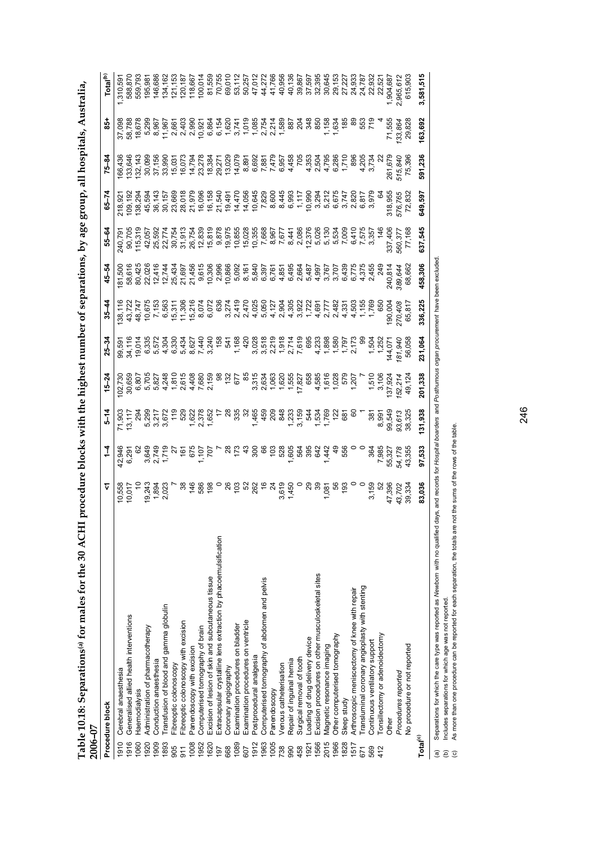| י<br>נו                                                                                                                                                                                                                                                                                                                        |          |  |
|--------------------------------------------------------------------------------------------------------------------------------------------------------------------------------------------------------------------------------------------------------------------------------------------------------------------------------|----------|--|
|                                                                                                                                                                                                                                                                                                                                |          |  |
|                                                                                                                                                                                                                                                                                                                                |          |  |
| s, by age group, all.                                                                                                                                                                                                                                                                                                          |          |  |
|                                                                                                                                                                                                                                                                                                                                |          |  |
| i                                                                                                                                                                                                                                                                                                                              |          |  |
|                                                                                                                                                                                                                                                                                                                                |          |  |
| e highest number or separat                                                                                                                                                                                                                                                                                                    |          |  |
| את הב                                                                                                                                                                                                                                                                                                                          |          |  |
|                                                                                                                                                                                                                                                                                                                                |          |  |
| $\begin{bmatrix} 1 & 1 & 1 & 1 \\ 1 & 1 & 1 & 1 \\ 1 & 1 & 1 & 1 \\ 1 & 1 & 1 & 1 \\ 1 & 1 & 1 & 1 \\ 1 & 1 & 1 & 1 \\ 1 & 1 & 1 & 1 \\ 1 & 1 & 1 & 1 \\ 1 & 1 & 1 & 1 \\ 1 & 1 & 1 & 1 \\ 1 & 1 & 1 & 1 \\ 1 & 1 & 1 & 1 & 1 \\ 1 & 1 & 1 & 1 & 1 \\ 1 & 1 & 1 & 1 & 1 \\ 1 & 1 & 1 & 1 & 1 \\ 1 & 1 & 1 & 1 & 1 \\ 1 & 1 & $ |          |  |
| $\ddot{\phantom{a}}$                                                                                                                                                                                                                                                                                                           |          |  |
| ייים היי הרים הודי<br>l                                                                                                                                                                                                                                                                                                        |          |  |
| i<br>i                                                                                                                                                                                                                                                                                                                         |          |  |
| $\sim$ 10r the 30 A                                                                                                                                                                                                                                                                                                            |          |  |
| or males ro                                                                                                                                                                                                                                                                                                                    |          |  |
| $\frac{1}{2}$<br>ó                                                                                                                                                                                                                                                                                                             |          |  |
|                                                                                                                                                                                                                                                                                                                                |          |  |
| l<br>۱.<br>ن                                                                                                                                                                                                                                                                                                                   |          |  |
| FRAT AFAR<br>י<br>$\frac{1}{2}$                                                                                                                                                                                                                                                                                                | ほくく<br>P |  |
|                                                                                                                                                                                                                                                                                                                                |          |  |

|                                                    | Table 10.18: Separations <sup>(a)</sup> for males for the 30 ACHI<br>2006-07                                                                                                                                                                                        | procedure blocks with the highest number of separations, by age group, all hospitals, Australia, |                                            |                                                                                                                                                                                                                                                                                                       |                                                                                       |           |                                        |                                                                                                                                                                                                                                                                                                                                                                                                                                                                                         |                             |                                         |                                         |                                                                                                                                                                                                                                                                                                                                                                                                                                                                             |                                      |
|----------------------------------------------------|---------------------------------------------------------------------------------------------------------------------------------------------------------------------------------------------------------------------------------------------------------------------|--------------------------------------------------------------------------------------------------|--------------------------------------------|-------------------------------------------------------------------------------------------------------------------------------------------------------------------------------------------------------------------------------------------------------------------------------------------------------|---------------------------------------------------------------------------------------|-----------|----------------------------------------|-----------------------------------------------------------------------------------------------------------------------------------------------------------------------------------------------------------------------------------------------------------------------------------------------------------------------------------------------------------------------------------------------------------------------------------------------------------------------------------------|-----------------------------|-----------------------------------------|-----------------------------------------|-----------------------------------------------------------------------------------------------------------------------------------------------------------------------------------------------------------------------------------------------------------------------------------------------------------------------------------------------------------------------------------------------------------------------------------------------------------------------------|--------------------------------------|
|                                                    | Procedure block                                                                                                                                                                                                                                                     | Ŷ                                                                                                | $\frac{1}{4}$                              | $5 - 14$                                                                                                                                                                                                                                                                                              | $15 - 24$                                                                             | $25 - 34$ | $35 - 44$                              | $45 - 54$                                                                                                                                                                                                                                                                                                                                                                                                                                                                               | 55-64                       | $65 - 74$                               | $75 - 84$                               | $rac{1}{8}$                                                                                                                                                                                                                                                                                                                                                                                                                                                                 | Total <sup>(b)</sup>                 |
| 1910                                               | Cerebral anaesthesia                                                                                                                                                                                                                                                |                                                                                                  | 42,946                                     | 71,903                                                                                                                                                                                                                                                                                                | 02,730                                                                                |           |                                        | 81,50                                                                                                                                                                                                                                                                                                                                                                                                                                                                                   | 240,79                      | 218,921<br>109,192<br>138,294<br>45,594 |                                         | 37,09                                                                                                                                                                                                                                                                                                                                                                                                                                                                       | 1,310,59                             |
| 1916                                               | Generalised allied health interventions                                                                                                                                                                                                                             | 10,558<br>10,017                                                                                 | 6,291                                      | 13,117                                                                                                                                                                                                                                                                                                | 30,659                                                                                |           | 38, 11<br>43, 722<br>48, 747           | 58,616                                                                                                                                                                                                                                                                                                                                                                                                                                                                                  | 90,705<br>115,319<br>42,057 |                                         | 166,436<br>133,646<br>132,143<br>30,099 | 58,788                                                                                                                                                                                                                                                                                                                                                                                                                                                                      | 588,870                              |
| 1060                                               | Haemodialysis                                                                                                                                                                                                                                                       | $\tilde{a}$                                                                                      | 62                                         | 294                                                                                                                                                                                                                                                                                                   | 6,807                                                                                 |           |                                        |                                                                                                                                                                                                                                                                                                                                                                                                                                                                                         |                             |                                         |                                         | 18,678                                                                                                                                                                                                                                                                                                                                                                                                                                                                      | 559,793                              |
| 1920                                               | Administration of pharmacotherapy                                                                                                                                                                                                                                   | 19,243                                                                                           |                                            |                                                                                                                                                                                                                                                                                                       |                                                                                       |           |                                        | 80,425<br>22,026                                                                                                                                                                                                                                                                                                                                                                                                                                                                        |                             |                                         |                                         |                                                                                                                                                                                                                                                                                                                                                                                                                                                                             | 195,981                              |
| 1909                                               | Conduction anaesthesia                                                                                                                                                                                                                                              | $1,894$<br>2,023                                                                                 |                                            |                                                                                                                                                                                                                                                                                                       |                                                                                       |           |                                        | 12,416                                                                                                                                                                                                                                                                                                                                                                                                                                                                                  |                             | 36,143                                  | 37,156                                  |                                                                                                                                                                                                                                                                                                                                                                                                                                                                             | 146,686                              |
| 1893                                               | Fransfusion of blood and gamma globulin                                                                                                                                                                                                                             |                                                                                                  |                                            |                                                                                                                                                                                                                                                                                                       |                                                                                       |           |                                        |                                                                                                                                                                                                                                                                                                                                                                                                                                                                                         |                             | 30,157                                  | 33,990                                  |                                                                                                                                                                                                                                                                                                                                                                                                                                                                             | 134,162                              |
| 905                                                | Fibreoptic colonoscopy                                                                                                                                                                                                                                              |                                                                                                  |                                            | $\begin{array}{cccccccccccccc} 99 & 17 & 12 & 92 & 81 & 82 & 81 & 82 & 83 & 84 & 85 & 85 & 85 & 85 & 84 & 85 & 85 & 85 & 86 & 87 & 87 & 88 & 87 & 88 & 87 & 88 & 87 & 88 & 87 & 88 & 87 & 88 & 87 & 88 & 87 & 88 & 87 & 88 & 87 & 88 & 87 & 88 & 87 & 88 & 87 & 88 & 87 & 88 & 87 & 88 & 87 & 88 & 8$ |                                                                                       |           | Gregi Hene e von trotutur de tour tre- | $\begin{array}{l} \tau \stackrel{.}{\sim} \stackrel{.}{\sim} \stackrel{.}{\sim} \stackrel{.}{\sim} \stackrel{.}{\sim} \stackrel{.}{\sim} \stackrel{.}{\sim} \stackrel{.}{\sim} \stackrel{.}{\sim} \stackrel{.}{\sim} \stackrel{.}{\sim} \stackrel{.}{\sim} \stackrel{.}{\sim} \stackrel{.}{\sim} \stackrel{.}{\sim} \stackrel{.}{\sim} \stackrel{.}{\sim} \stackrel{.}{\sim} \stackrel{.}{\sim} \stackrel{.}{\sim} \stackrel{.}{\sim} \stackrel{.}{\sim} \stackrel{.}{\sim} \stackrel{$ | 25,592<br>22,774<br>30,754  |                                         | 15,031<br>16,073                        | $\begin{array}{l} 99.65 \rightarrow 0 \\ 99.65 \rightarrow 0 \\ 99.65 \rightarrow 0 \\ 99.65 \rightarrow 0 \\ 99.65 \rightarrow 0 \\ 99.65 \rightarrow 0 \\ 99.65 \rightarrow 0 \\ 99.65 \rightarrow 0 \\ 99.65 \rightarrow 0 \\ 99.65 \rightarrow 0 \\ 99.65 \rightarrow 0 \\ 99.65 \rightarrow 0 \\ 99.65 \rightarrow 0 \\ 99.65 \rightarrow 0 \\ 99.65 \rightarrow 0 \\ 99.65 \rightarrow 0 \\ 99.65 \rightarrow 0 \\ 99.65 \rightarrow 0 \\ 99.65 \rightarrow 0 \\ 99.$ | 121,153                              |
| 911                                                | Fibreoptic colonoscopy with excision                                                                                                                                                                                                                                | $\frac{8}{3}$                                                                                    |                                            |                                                                                                                                                                                                                                                                                                       |                                                                                       |           |                                        |                                                                                                                                                                                                                                                                                                                                                                                                                                                                                         |                             |                                         |                                         |                                                                                                                                                                                                                                                                                                                                                                                                                                                                             | 120,187                              |
| 1008                                               | Panendoscopy with excision                                                                                                                                                                                                                                          |                                                                                                  |                                            |                                                                                                                                                                                                                                                                                                       |                                                                                       |           |                                        |                                                                                                                                                                                                                                                                                                                                                                                                                                                                                         |                             |                                         | 14,794                                  |                                                                                                                                                                                                                                                                                                                                                                                                                                                                             | 118,667                              |
| 1952                                               | Computerised tomography of brain                                                                                                                                                                                                                                    | 7880                                                                                             |                                            |                                                                                                                                                                                                                                                                                                       |                                                                                       |           |                                        |                                                                                                                                                                                                                                                                                                                                                                                                                                                                                         |                             |                                         | 23,278<br>18,384<br>29,271              |                                                                                                                                                                                                                                                                                                                                                                                                                                                                             | 100,014                              |
| 1620                                               | Excision of lesion of skin and subcutaneous tissue                                                                                                                                                                                                                  |                                                                                                  |                                            |                                                                                                                                                                                                                                                                                                       |                                                                                       |           |                                        |                                                                                                                                                                                                                                                                                                                                                                                                                                                                                         |                             |                                         |                                         |                                                                                                                                                                                                                                                                                                                                                                                                                                                                             | 81,559                               |
| 197                                                | Extracapsular crystalline lens extraction by phacoemulsification                                                                                                                                                                                                    |                                                                                                  |                                            |                                                                                                                                                                                                                                                                                                       |                                                                                       |           |                                        |                                                                                                                                                                                                                                                                                                                                                                                                                                                                                         |                             |                                         |                                         |                                                                                                                                                                                                                                                                                                                                                                                                                                                                             | 70,755                               |
| 668                                                | Coronary angiography                                                                                                                                                                                                                                                |                                                                                                  |                                            |                                                                                                                                                                                                                                                                                                       |                                                                                       |           |                                        |                                                                                                                                                                                                                                                                                                                                                                                                                                                                                         |                             |                                         |                                         |                                                                                                                                                                                                                                                                                                                                                                                                                                                                             | 69,010                               |
| 1089                                               | Examination procedures on bladder                                                                                                                                                                                                                                   |                                                                                                  |                                            |                                                                                                                                                                                                                                                                                                       |                                                                                       |           |                                        |                                                                                                                                                                                                                                                                                                                                                                                                                                                                                         |                             |                                         | 13,029<br>14,079                        |                                                                                                                                                                                                                                                                                                                                                                                                                                                                             | 53,112                               |
| 507                                                | Examination procedures on ventricle                                                                                                                                                                                                                                 |                                                                                                  |                                            |                                                                                                                                                                                                                                                                                                       |                                                                                       |           |                                        |                                                                                                                                                                                                                                                                                                                                                                                                                                                                                         |                             |                                         |                                         |                                                                                                                                                                                                                                                                                                                                                                                                                                                                             | 50,257                               |
| 1912                                               | Postprocedural analgesia                                                                                                                                                                                                                                            |                                                                                                  |                                            |                                                                                                                                                                                                                                                                                                       |                                                                                       |           |                                        |                                                                                                                                                                                                                                                                                                                                                                                                                                                                                         |                             |                                         |                                         |                                                                                                                                                                                                                                                                                                                                                                                                                                                                             | 47,012                               |
| 1963                                               | Computerised tomography of abdomen and pelvis                                                                                                                                                                                                                       |                                                                                                  |                                            |                                                                                                                                                                                                                                                                                                       |                                                                                       |           |                                        |                                                                                                                                                                                                                                                                                                                                                                                                                                                                                         |                             |                                         |                                         |                                                                                                                                                                                                                                                                                                                                                                                                                                                                             | 44,272                               |
| 1005                                               | Panendoscopy                                                                                                                                                                                                                                                        |                                                                                                  |                                            |                                                                                                                                                                                                                                                                                                       |                                                                                       |           |                                        |                                                                                                                                                                                                                                                                                                                                                                                                                                                                                         |                             |                                         |                                         |                                                                                                                                                                                                                                                                                                                                                                                                                                                                             | 41,766<br>40,956                     |
| 738                                                | Venous catheterisation                                                                                                                                                                                                                                              |                                                                                                  |                                            |                                                                                                                                                                                                                                                                                                       |                                                                                       |           |                                        |                                                                                                                                                                                                                                                                                                                                                                                                                                                                                         |                             |                                         |                                         |                                                                                                                                                                                                                                                                                                                                                                                                                                                                             |                                      |
| 990                                                | Repair of inguinal hernia                                                                                                                                                                                                                                           |                                                                                                  |                                            |                                                                                                                                                                                                                                                                                                       |                                                                                       |           |                                        |                                                                                                                                                                                                                                                                                                                                                                                                                                                                                         |                             |                                         |                                         |                                                                                                                                                                                                                                                                                                                                                                                                                                                                             | 40,136                               |
| 458                                                | Surgical removal of tooth                                                                                                                                                                                                                                           |                                                                                                  |                                            |                                                                                                                                                                                                                                                                                                       |                                                                                       |           |                                        |                                                                                                                                                                                                                                                                                                                                                                                                                                                                                         |                             |                                         |                                         |                                                                                                                                                                                                                                                                                                                                                                                                                                                                             |                                      |
| 1921                                               | Loading of drug delivery device                                                                                                                                                                                                                                     |                                                                                                  |                                            |                                                                                                                                                                                                                                                                                                       |                                                                                       |           |                                        |                                                                                                                                                                                                                                                                                                                                                                                                                                                                                         |                             |                                         |                                         |                                                                                                                                                                                                                                                                                                                                                                                                                                                                             |                                      |
| 1566                                               | Excision procedures on other musculoskeletal sites                                                                                                                                                                                                                  |                                                                                                  |                                            |                                                                                                                                                                                                                                                                                                       |                                                                                       |           |                                        |                                                                                                                                                                                                                                                                                                                                                                                                                                                                                         |                             |                                         |                                         |                                                                                                                                                                                                                                                                                                                                                                                                                                                                             | 39,867<br>37,597<br>32,395<br>30,645 |
| 2015                                               | Magnetic resonance imaging                                                                                                                                                                                                                                          | $1,081$<br>$56$<br>$193$                                                                         |                                            |                                                                                                                                                                                                                                                                                                       |                                                                                       |           |                                        |                                                                                                                                                                                                                                                                                                                                                                                                                                                                                         |                             |                                         |                                         | $7.638887$<br>$7.638887$<br>$7.79$                                                                                                                                                                                                                                                                                                                                                                                                                                          |                                      |
| 1966                                               | Other computerised tomography                                                                                                                                                                                                                                       |                                                                                                  |                                            |                                                                                                                                                                                                                                                                                                       |                                                                                       |           |                                        |                                                                                                                                                                                                                                                                                                                                                                                                                                                                                         |                             |                                         |                                         |                                                                                                                                                                                                                                                                                                                                                                                                                                                                             | 29,153                               |
| 1828                                               | Sleep study                                                                                                                                                                                                                                                         |                                                                                                  |                                            |                                                                                                                                                                                                                                                                                                       |                                                                                       |           |                                        |                                                                                                                                                                                                                                                                                                                                                                                                                                                                                         |                             |                                         |                                         |                                                                                                                                                                                                                                                                                                                                                                                                                                                                             | 27,227<br>24,933                     |
| 1517                                               | Arthroscopic meniscectomy of knee with repair                                                                                                                                                                                                                       |                                                                                                  |                                            |                                                                                                                                                                                                                                                                                                       |                                                                                       |           |                                        |                                                                                                                                                                                                                                                                                                                                                                                                                                                                                         |                             |                                         |                                         |                                                                                                                                                                                                                                                                                                                                                                                                                                                                             |                                      |
| 671                                                | Transluminal coronary angioplasty with stenting                                                                                                                                                                                                                     |                                                                                                  |                                            |                                                                                                                                                                                                                                                                                                       |                                                                                       |           |                                        |                                                                                                                                                                                                                                                                                                                                                                                                                                                                                         |                             |                                         | 896<br>4,205<br>4,734                   |                                                                                                                                                                                                                                                                                                                                                                                                                                                                             | 24,787                               |
| 569                                                | Continuous ventilatory support                                                                                                                                                                                                                                      | 3,159                                                                                            |                                            | 387<br>8.997                                                                                                                                                                                                                                                                                          |                                                                                       |           |                                        |                                                                                                                                                                                                                                                                                                                                                                                                                                                                                         |                             |                                         |                                         |                                                                                                                                                                                                                                                                                                                                                                                                                                                                             | 22,932<br>22,521                     |
| 412                                                | Tonsillectomy or adenoidectomy                                                                                                                                                                                                                                      | 52<br>47,396                                                                                     |                                            |                                                                                                                                                                                                                                                                                                       |                                                                                       |           |                                        | 249                                                                                                                                                                                                                                                                                                                                                                                                                                                                                     | $\frac{4}{4}$               |                                         |                                         |                                                                                                                                                                                                                                                                                                                                                                                                                                                                             |                                      |
|                                                    | Dther                                                                                                                                                                                                                                                               |                                                                                                  |                                            | 99,549                                                                                                                                                                                                                                                                                                |                                                                                       |           | 190,004                                | 240,814                                                                                                                                                                                                                                                                                                                                                                                                                                                                                 | 337,406                     | 318,955                                 | 261,679                                 | 71,555                                                                                                                                                                                                                                                                                                                                                                                                                                                                      | 1,904,687                            |
|                                                    | Procedures reported                                                                                                                                                                                                                                                 | 43,702                                                                                           | 364<br>7,985<br>55,327<br>54,178<br>43,355 | 93,613                                                                                                                                                                                                                                                                                                |                                                                                       | 81,940    | 270,408                                | 389,644                                                                                                                                                                                                                                                                                                                                                                                                                                                                                 | 560,377<br>77,168           | 576,765                                 | 515,840<br>75,396                       | 133,864                                                                                                                                                                                                                                                                                                                                                                                                                                                                     | 2,965,612                            |
|                                                    | No procedure or not reported                                                                                                                                                                                                                                        | 39,334                                                                                           |                                            | 38,325                                                                                                                                                                                                                                                                                                | 49,124                                                                                | 56,058    | 65,817                                 | 68,662                                                                                                                                                                                                                                                                                                                                                                                                                                                                                  |                             | 72,832                                  |                                         | 29,828                                                                                                                                                                                                                                                                                                                                                                                                                                                                      | 615,903                              |
| Total <sup>(c)</sup>                               |                                                                                                                                                                                                                                                                     | 83,036                                                                                           | 97,533                                     | 131,938                                                                                                                                                                                                                                                                                               | 201,338                                                                               | 231,064   | 336,225                                | 458,306                                                                                                                                                                                                                                                                                                                                                                                                                                                                                 | 637,545                     | 649,597                                 | 591,236                                 | 163,692                                                                                                                                                                                                                                                                                                                                                                                                                                                                     | 3,581,515                            |
| $\odot$<br>$\widehat{a}$<br>$\widehat{\mathbf{e}}$ | As more than one procedure can be reported for each separation, the totals are not the sums of the rows of the table.<br>Separations for which the care type was reported as Newborn with no qualified days,<br>Includes separations for which age was not reported |                                                                                                  |                                            |                                                                                                                                                                                                                                                                                                       | and records for Hospital boarders and Posthumous organ procurement have been excluded |           |                                        |                                                                                                                                                                                                                                                                                                                                                                                                                                                                                         |                             |                                         |                                         |                                                                                                                                                                                                                                                                                                                                                                                                                                                                             |                                      |
|                                                    |                                                                                                                                                                                                                                                                     |                                                                                                  |                                            |                                                                                                                                                                                                                                                                                                       |                                                                                       |           |                                        |                                                                                                                                                                                                                                                                                                                                                                                                                                                                                         |                             |                                         |                                         |                                                                                                                                                                                                                                                                                                                                                                                                                                                                             |                                      |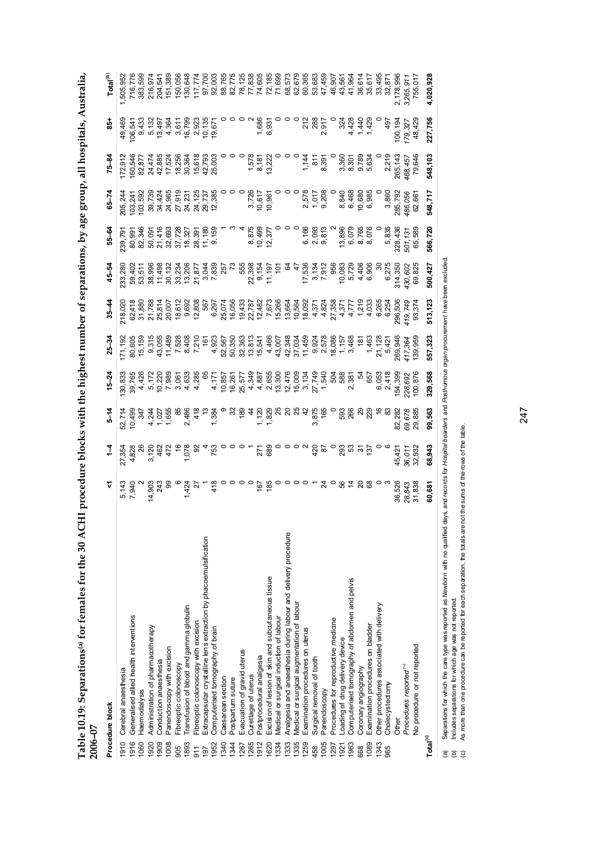| Table 10.19: Separations(a) for females for the 30 ACHI procedure blocks with the highest number of separations, by age group, all hospitals, Australia,<br>2006-07 |                         |                                   |                                 |                          |                                          |                                                                               |                            |                            |                              |                                        |                                     |                                            |
|---------------------------------------------------------------------------------------------------------------------------------------------------------------------|-------------------------|-----------------------------------|---------------------------------|--------------------------|------------------------------------------|-------------------------------------------------------------------------------|----------------------------|----------------------------|------------------------------|----------------------------------------|-------------------------------------|--------------------------------------------|
| Procedure block                                                                                                                                                     |                         |                                   |                                 |                          |                                          | $10-34$ $1-34$ $1-54$ $15-24$ $25-34$ $25-34$ $25-34$ $25-54$ $25-54$ $25-64$ |                            |                            |                              |                                        | 85+                                 | Total <sup>(b,</sup>                       |
| 1910 Cerebral anaesthesia                                                                                                                                           |                         |                                   |                                 | 130,833                  |                                          |                                                                               | 233,280                    | 239,791                    | 205,244                      |                                        |                                     |                                            |
| 1916 Generalised allied health interventions                                                                                                                        |                         |                                   |                                 |                          |                                          |                                                                               |                            |                            |                              |                                        |                                     |                                            |
| 060 Haemodialysis                                                                                                                                                   | 5,143<br>7,940<br>7,940 | 27,354<br>4,828<br>4,828<br>3,170 | 52,714<br>10,499<br>547<br>5247 | 39,765<br>4,426<br>5,177 | 171, 192<br>80, 605<br>15, 159<br>9, 315 | 218,020<br>62,418<br>31,880<br>31,880                                         | 59,402<br>53,511<br>38 ggg | 80,991<br>82,346<br>50,091 | 103,241<br>103,592<br>39,739 | 172,912<br>160,546<br>82,877<br>24,474 | 49,469<br>106,541<br>9,433<br>5,133 | 1,505,952<br>716,776<br>383,599<br>383,599 |
| AQON Administration of nharmarctherany                                                                                                                              | 14.902                  |                                   |                                 |                          |                                          |                                                                               |                            |                            |                              |                                        |                                     |                                            |

| 2006-07              | Table 10.19: Separations(a) for females for the 30 ACHI procedure blocks with the highest number of separations, by age group, all hospitals, Australia, |                                     |             |            |                  |                                                                                                                                                                                                                                                                                                                                                                                                                                                                                                          |                    |                                          |                                                                        |                                                          |                                                       |                                               |                                      |
|----------------------|----------------------------------------------------------------------------------------------------------------------------------------------------------|-------------------------------------|-------------|------------|------------------|----------------------------------------------------------------------------------------------------------------------------------------------------------------------------------------------------------------------------------------------------------------------------------------------------------------------------------------------------------------------------------------------------------------------------------------------------------------------------------------------------------|--------------------|------------------------------------------|------------------------------------------------------------------------|----------------------------------------------------------|-------------------------------------------------------|-----------------------------------------------|--------------------------------------|
|                      | Procedure block                                                                                                                                          |                                     |             | $5 - 14$   | $15 - 24$        |                                                                                                                                                                                                                                                                                                                                                                                                                                                                                                          | $35 - 44$          | $45 - 54$                                | 55-64                                                                  | $-5-7$                                                   | $75 - 8$                                              | $\overline{5}$                                | Total <sup>(b)</sup>                 |
| 1910                 | Cerebral anaesthesia                                                                                                                                     |                                     | 27,354      | 52,714     |                  | 71,192                                                                                                                                                                                                                                                                                                                                                                                                                                                                                                   | 218,020            | 233,280                                  | 239,79                                                                 | 205,244                                                  | 172,91                                                | 49,469                                        | 1,505,9                              |
| 1916                 | Generalised allied health interventions                                                                                                                  | 5,143<br>7,940                      | 4,828       | 10,499     | 30,833<br>39,765 | 80,605<br>15,159                                                                                                                                                                                                                                                                                                                                                                                                                                                                                         | 62,418             | 59,402                                   | 80,99                                                                  | 103,241                                                  | 160,546                                               | 106,54                                        | 716,776                              |
| 1060                 | Haemodialysis                                                                                                                                            |                                     |             | ž          |                  |                                                                                                                                                                                                                                                                                                                                                                                                                                                                                                          | 31,880             | 53,51                                    | 82,346                                                                 | 103,592                                                  | 82,87                                                 |                                               | 383,599                              |
| 1920                 | Administration of pharmacotherapy                                                                                                                        |                                     |             |            | 5,17             | 9,315                                                                                                                                                                                                                                                                                                                                                                                                                                                                                                    | 21,788             | 38,996                                   |                                                                        | 39,739                                                   | 24,474                                                |                                               | 216,974                              |
| 1909                 | Conduction anaes thesia                                                                                                                                  |                                     |             |            |                  |                                                                                                                                                                                                                                                                                                                                                                                                                                                                                                          |                    | 11,498                                   |                                                                        | 34,424                                                   |                                                       |                                               | 204,541                              |
| 1008                 | Panendoscopy with excision                                                                                                                               |                                     |             |            |                  |                                                                                                                                                                                                                                                                                                                                                                                                                                                                                                          |                    |                                          |                                                                        | 24,965                                                   | 42,885<br>17,524                                      |                                               | 151,389                              |
| 905                  | Fibreoptic colonoscopy                                                                                                                                   |                                     |             |            |                  |                                                                                                                                                                                                                                                                                                                                                                                                                                                                                                          |                    |                                          |                                                                        |                                                          |                                                       |                                               | 150,056                              |
| 1893                 | Fransfusion of blood and gamma globulin                                                                                                                  |                                     |             |            |                  |                                                                                                                                                                                                                                                                                                                                                                                                                                                                                                          |                    |                                          |                                                                        |                                                          |                                                       |                                               | 130,648                              |
| 511                  | Fibreoptic colonoscopy with excision                                                                                                                     | 888 <b>° 425</b><br>0938 ° 425<br>1 |             |            |                  | 43,055<br>11,489<br>7,528<br>7,210<br>7,210                                                                                                                                                                                                                                                                                                                                                                                                                                                              |                    | 30, 132<br>33, 234<br>13, 206<br>21, 877 | 50,51416<br>50,528<br>50,528,527<br>50,528,527<br>50,528,527<br>50,539 | 27,919<br>23,725<br>24,725<br>28,7385                    | 18,256<br>30,361<br>30,518<br>42,793<br>25,003        |                                               | 117,774                              |
| 197                  | Extracapsular crystalline lens extraction by phacoemulsification                                                                                         |                                     |             |            |                  |                                                                                                                                                                                                                                                                                                                                                                                                                                                                                                          |                    |                                          |                                                                        |                                                          |                                                       |                                               | 97,700                               |
| 1952                 | Computerised tomography of brain                                                                                                                         | 418                                 |             |            |                  | $\begin{array}{r} \mathfrak{L}_{\mathbf{1}} \boxtimes \mathfrak{L}_{\mathbf{2}} \boxtimes \mathfrak{L}_{\mathbf{3}} \\ \mathfrak{L}_{\mathbf{3}} \boxtimes \mathfrak{L}_{\mathbf{3}} \boxtimes \mathfrak{L}_{\mathbf{3}} \boxtimes \mathfrak{L}_{\mathbf{4}} \\ \mathfrak{L}_{\mathbf{5}} \boxtimes \mathfrak{L}_{\mathbf{5}} \boxtimes \mathfrak{L}_{\mathbf{5}} \boxtimes \mathfrak{L}_{\mathbf{5}} \boxtimes \mathfrak{L}_{\mathbf{5}} \\ \mathfrak{L}_{\mathbf{6}} \boxtimes \mathfrak{L}_{\mathbf{$ |                    | $\frac{3}{7}$ ,839                       |                                                                        |                                                          |                                                       |                                               | 92,003                               |
| 1340                 | Caesarean section                                                                                                                                        |                                     |             |            |                  |                                                                                                                                                                                                                                                                                                                                                                                                                                                                                                          |                    | 257                                      |                                                                        |                                                          |                                                       |                                               | 88,765                               |
| 1344                 | Postpartum suture                                                                                                                                        |                                     |             |            |                  |                                                                                                                                                                                                                                                                                                                                                                                                                                                                                                          |                    |                                          |                                                                        |                                                          |                                                       |                                               | 82,775                               |
| 1267                 | Evacuation of gravid uterus                                                                                                                              |                                     |             |            |                  |                                                                                                                                                                                                                                                                                                                                                                                                                                                                                                          |                    | 555                                      |                                                                        |                                                          |                                                       |                                               | 78,125                               |
| 1265                 | Curettage of uterus                                                                                                                                      |                                     |             |            |                  |                                                                                                                                                                                                                                                                                                                                                                                                                                                                                                          |                    |                                          |                                                                        |                                                          |                                                       |                                               |                                      |
| 1912                 | Postprocedural analgesia                                                                                                                                 | $\frac{167}{185}$                   |             |            |                  |                                                                                                                                                                                                                                                                                                                                                                                                                                                                                                          |                    | 22,398<br>9,154<br>11,197                | 8,875<br>10,499<br>12,377                                              | $\begin{array}{c} 3,726 \\ 10,617 \\ 10,961 \end{array}$ |                                                       | $\frac{1}{6}$ .93                             | 77,838<br>74,605<br>72,185<br>71,699 |
| 1620                 | Excision of lesion of skin and subcutaneous tissue                                                                                                       |                                     |             |            |                  |                                                                                                                                                                                                                                                                                                                                                                                                                                                                                                          |                    |                                          |                                                                        |                                                          |                                                       |                                               |                                      |
| 1334                 | Medical or surgical induction of labour                                                                                                                  |                                     |             |            |                  |                                                                                                                                                                                                                                                                                                                                                                                                                                                                                                          |                    | 10 <sup>2</sup>                          |                                                                        |                                                          | $1,578$<br>$8,181$<br>$6,1822$<br>$1,5722$<br>$1,578$ |                                               |                                      |
| 1333                 | Analgesia and anaesthesia during labour and delivery procedure                                                                                           |                                     |             |            |                  |                                                                                                                                                                                                                                                                                                                                                                                                                                                                                                          |                    |                                          |                                                                        |                                                          |                                                       |                                               | 68,573                               |
| 1335                 | Medical or surgical augmentation of labour                                                                                                               |                                     |             |            |                  |                                                                                                                                                                                                                                                                                                                                                                                                                                                                                                          |                    |                                          |                                                                        |                                                          |                                                       |                                               | 62,679                               |
| 1259                 | Examination procedures on uterus                                                                                                                         |                                     |             |            |                  |                                                                                                                                                                                                                                                                                                                                                                                                                                                                                                          |                    |                                          |                                                                        |                                                          |                                                       |                                               | 60,365                               |
| 458                  | Surgical removal of tooth                                                                                                                                |                                     | $rac{6}{3}$ |            |                  |                                                                                                                                                                                                                                                                                                                                                                                                                                                                                                          |                    | $\frac{17}{2},\frac{536}{134}$<br>7, 912 | 6, 166<br>0, 093<br>0, 0, 0,                                           | 2,578<br>1,017<br>9,208                                  | $1,142$<br>8.391                                      | $212$<br>$288$<br>$2,917$                     | 53,683                               |
| 1005                 | Panendoscopy                                                                                                                                             |                                     |             |            |                  |                                                                                                                                                                                                                                                                                                                                                                                                                                                                                                          |                    |                                          |                                                                        |                                                          |                                                       |                                               | 47,459                               |
| 1297                 | Procedures for reproductive medicine                                                                                                                     |                                     |             |            |                  |                                                                                                                                                                                                                                                                                                                                                                                                                                                                                                          |                    | 956                                      |                                                                        |                                                          |                                                       |                                               | 46,907                               |
| 1921                 | oading of drug delivery device                                                                                                                           |                                     |             | 593<br>266 |                  |                                                                                                                                                                                                                                                                                                                                                                                                                                                                                                          |                    |                                          |                                                                        |                                                          |                                                       |                                               | 43,561                               |
| 1963                 | Computerised tomography of abdomen and pelvis                                                                                                            |                                     |             |            |                  |                                                                                                                                                                                                                                                                                                                                                                                                                                                                                                          |                    |                                          |                                                                        |                                                          |                                                       |                                               | 41,964                               |
| 668                  | Coronary angiography                                                                                                                                     | 878                                 |             |            |                  |                                                                                                                                                                                                                                                                                                                                                                                                                                                                                                          |                    |                                          |                                                                        |                                                          |                                                       |                                               |                                      |
| 1089                 | Examination procedures on bladder                                                                                                                        |                                     |             | ಇ ನ್ಷ      |                  |                                                                                                                                                                                                                                                                                                                                                                                                                                                                                                          |                    | 10,083<br>5,729<br>4,406<br>6,906        | 13,896<br>6,079<br>8,076<br>8,076                                      | 8,840<br>6,468<br>6,985<br>6,985                         | စ္တိုင္က တို့<br>လူမွာ မွာ ထိုင္း<br>လူမွာ ေပး        | $324$<br>$44$<br>$44$<br>$44$<br>$46$<br>$46$ | 36,614<br>35,617                     |
| 1343                 | Other procedures associated with delivery                                                                                                                |                                     |             |            |                  |                                                                                                                                                                                                                                                                                                                                                                                                                                                                                                          |                    |                                          |                                                                        |                                                          |                                                       |                                               | 33,495                               |
| 965                  | Cholecystectomy                                                                                                                                          |                                     |             |            |                  |                                                                                                                                                                                                                                                                                                                                                                                                                                                                                                          |                    | 6,275                                    | 5,835                                                                  | 3,860                                                    | 2,219                                                 | $\overline{49}$                               | 32,871                               |
|                      | <b>Other</b>                                                                                                                                             | 36,526                              | 45,421      | 82,282     | 154,399          | 269,946                                                                                                                                                                                                                                                                                                                                                                                                                                                                                                  |                    | 314,350                                  | 328,436                                                                | 285,792                                                  | 265,143                                               | 100,194                                       | 2,178,996                            |
|                      | Procedures reported <sup>(19)</sup>                                                                                                                      | 28,843                              | 36,011      | 69,678     | 228,692          | 417,364<br>139,959                                                                                                                                                                                                                                                                                                                                                                                                                                                                                       | 419, 749<br>93, 37 | 430,602<br>69,825                        | 501,131<br>65,589                                                      | 486,056<br>62,66                                         | 468, 457<br>79,646                                    | 179,327                                       | 3,265,911                            |
|                      | No procedure or not reported                                                                                                                             | 31,838                              | 32,932      | 29,885     | 100,876          |                                                                                                                                                                                                                                                                                                                                                                                                                                                                                                          |                    |                                          |                                                                        |                                                          |                                                       | 48,429                                        | 755,017                              |
| Total <sup>(c)</sup> |                                                                                                                                                          | 60,681                              | 68,943      | 99,563     | 329,568          | 557,323                                                                                                                                                                                                                                                                                                                                                                                                                                                                                                  | 513,123            | 500,427                                  | 566,720                                                                | 548,717                                                  | 548,103                                               | 227,756                                       | 4,020,928                            |

Separations for which the care type was reported as *Newborn* with no quafified days, and records for *Hospital boarders* and *Posthumpus organ procurement* have been excluded.<br>Includes separations for which age was not re (a) Separations for which the care type was reported as *Newborn* with no qualified days, and records for *Hospital boarders* and *Posthumous organ procurement* have been excluded.

(b) Includes separations for which age was not reported.  $\overline{\mathbb{C}}\,\overline{\mathbb{C}}\,\overline{\mathbb{C}}$ 

(c) As more than one procedure can be reported for each separation, the totals are not the sums of the rows of the table.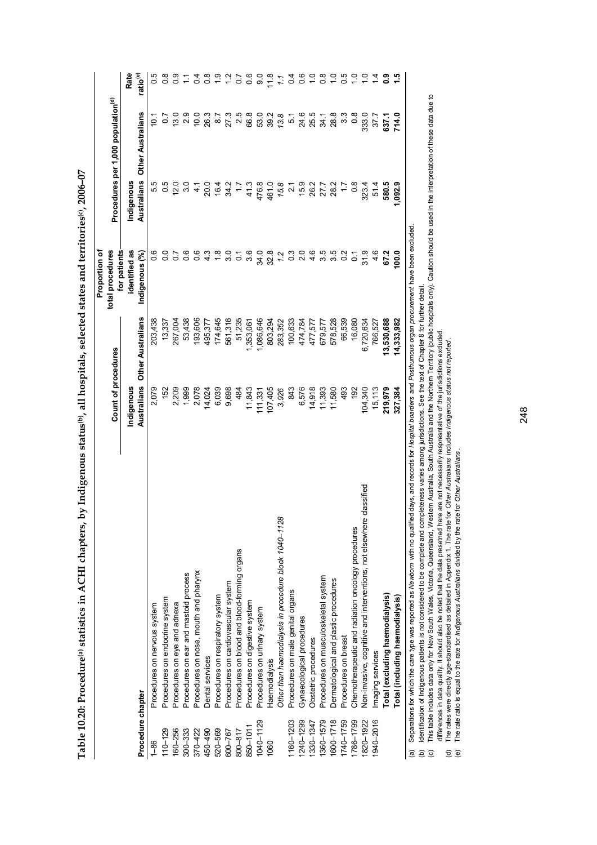| $\begin{array}{c}\n\vdots \\ \vdots \\ \vdots \\ \vdots\n\end{array}$<br>ׇׇ֓֕֡    |
|-----------------------------------------------------------------------------------|
|                                                                                   |
|                                                                                   |
|                                                                                   |
|                                                                                   |
|                                                                                   |
|                                                                                   |
|                                                                                   |
|                                                                                   |
|                                                                                   |
|                                                                                   |
|                                                                                   |
|                                                                                   |
|                                                                                   |
|                                                                                   |
| l                                                                                 |
|                                                                                   |
|                                                                                   |
|                                                                                   |
|                                                                                   |
|                                                                                   |
|                                                                                   |
|                                                                                   |
|                                                                                   |
|                                                                                   |
|                                                                                   |
|                                                                                   |
| ׅ֧֧֧֧֧֧֧֦֧֧֧֧֦֧֧֪ׅ֧֧֧֧֧֧֧֚֚֚֚֚֚֚֚֚֚֚֚֚֚֚֚֚֡֡֡֡֡֜֓֡֓֡֡֓֡֡֬֓֓֓֓֓֓֓֓֓֓֓֓֓֓֝֬֓֝֬֝֬֝֬֝ |
|                                                                                   |
|                                                                                   |
|                                                                                   |
| :<br>;                                                                            |
| $\frac{1}{2}$<br>Ξ                                                                |
|                                                                                   |
| i                                                                                 |
|                                                                                   |
|                                                                                   |
|                                                                                   |
|                                                                                   |
|                                                                                   |
|                                                                                   |
|                                                                                   |
|                                                                                   |
|                                                                                   |
|                                                                                   |
|                                                                                   |
|                                                                                   |
|                                                                                   |

|                   |                                                                                                                                                                            |                     |                   | Proportion of                    |                                                |                   |                      |
|-------------------|----------------------------------------------------------------------------------------------------------------------------------------------------------------------------|---------------------|-------------------|----------------------------------|------------------------------------------------|-------------------|----------------------|
|                   |                                                                                                                                                                            | Count of procedures |                   | for patients<br>total procedures | Procedures per 1,000 population <sup>(d)</sup> |                   |                      |
|                   |                                                                                                                                                                            | Indigenous          |                   | identified as                    | Indigenous                                     |                   | Rate                 |
| Procedure chapter |                                                                                                                                                                            | Australians         | Other Australians | Indigenous (%)                   | Australians                                    | Other Australians | ratio <sup>(e)</sup> |
| $\frac{86}{1}$    | Procedures on nervous system                                                                                                                                               | 2,079               | 203,438           |                                  |                                                | $\frac{10}{10}$   |                      |
| $110 - 129$       | Procedures on endocrine system                                                                                                                                             | 152                 | 13,337            | $\frac{0}{0}$                    | 0.5                                            |                   |                      |
| 160-256           | Procedures on eye and adnexa                                                                                                                                               | 2,209               | 267,004           | 5                                | 12.0                                           | 13.0              |                      |
| $300 - 333$       | Procedures on ear and mastoid process                                                                                                                                      | 1,999               | 53,438            | 0.6                              | 3.0                                            | 2.9               |                      |
| 370-422           | Procedures on nose, mouth and pharynx                                                                                                                                      | 2,078               | 193,606           | $\frac{6}{1}$                    | $\frac{4}{1}$                                  | 10.0              |                      |
| 450-490           | Dental services                                                                                                                                                            | 14,024              | 495,377           | ن<br>4                           | 20.0                                           | 26.3              |                      |
| 520-569           | Procedures on respiratory system                                                                                                                                           | 6,039               | 174,645           | $\frac{8}{1}$                    | 16.4                                           | 8.7               |                      |
| 600-767           | Procedures on cardiovascular system                                                                                                                                        | 9,698               | 561,316           | <u>ွ</u>                         | 34.2                                           | 27.3              |                      |
| 800-817           | Procedures on blood and blood-forming organs                                                                                                                               | 484                 | 51,235            | 5                                | $\ddot{ }$ :                                   | 2.5               |                      |
| 850-1011          | Procedures on digestive system                                                                                                                                             | 11,843              | ,353,061          | 3.6                              | 41.3                                           | 66.8              |                      |
| 1040-1129         | Procedures on urinary system                                                                                                                                               | 111,331             | 1,086,646         | 34.0                             | 476.8                                          | 53.0              | ္ပင                  |
| 1060              | Haemodialysis                                                                                                                                                              | 107,405             | 803,294           | 32.8                             | 461.0                                          | 39.2              | $\frac{8}{1}$        |
|                   | Other than haemodialysis in procedure block 1040-1128                                                                                                                      | 3,926               | 283,352           | 1.2                              | 15.8                                           | 13.8              |                      |
| 1160-1203         | Procedures on male genital organs                                                                                                                                          | 843                 | 100,633           | °3                               | $\frac{1}{2}$                                  | 51                | $\overline{0}$       |
| 1240-1299         | Gynaecological procedures                                                                                                                                                  | 6,576               | 474,784           | 2.0                              | 15.9                                           | 24.6              |                      |
| 1330-1347         | Obstetric procedures                                                                                                                                                       | 14,918              | 477,577           | 4.6                              | 26.2                                           | 25.5              |                      |
| 1360-1579         | Procedures on musculoskeletal system                                                                                                                                       | 11,393              | 679,577           | 3.5                              | 27.7                                           | 34.1              |                      |
| 1600-1718         | Dermatological and plastic procedures                                                                                                                                      | 11,580              | 578,528           | 3.5                              | 28.2                                           | 28.8              |                      |
| 1740-1759         | Procedures on breast                                                                                                                                                       | 493                 | 66,539            | $\frac{2}{5}$                    |                                                | $3.\overline{3}$  |                      |
| 1786-1799         | Chemotherapeutic and radiation oncology procedures                                                                                                                         | 192                 | 16,080            | $\overline{0}$                   | $0.\overline{8}$                               | $\frac{8}{2}$     |                      |
| 1820-1922         | e classified<br>Non-invasive, cognitive and interventions, not elsewhere                                                                                                   | 104,340             | 6,720,634         | 31.9                             | 323.4                                          | 333.0             |                      |
| 1940-2016         | Imaging services                                                                                                                                                           | 15,113              | 766,527           | 4.6                              | 51.4                                           | 37.7              |                      |
|                   | Total (excluding haemodialysis)                                                                                                                                            | 219,979             | 3,530,688         | 67.2                             | 580.5                                          | 637.1             |                      |
|                   | Total (including haemodialysis)                                                                                                                                            | 327,384             | 14,333,982        | 100.0                            | 1,092.9                                        | 714.0             | 1.5                  |
| @                 | Separations for which the care type was reported as Newborn with no qualified days, and records for Hospital boarders and Posthurnous organ procurement have been excluded |                     |                   |                                  |                                                |                   |                      |

(b) Identification of Indigenous patients is not considered to be complete and completeness varies among jurisdictions. See the text of Chapter 8 for further detail.

(b) ldentification of Indigenous patients is not considered to be complete and completeness varies annong jurisdictions. See the text of Chapter 8 for further detail.<br>(c) This table includes data only for New South Wales, c) This table includes data only for New South Wales, Victoria, Queensland, Queensland, Western Australia and the Northern Territory (public hospitals only). Caution should be used in the interpretation of these data due t differences in data quality. It should also be noted that the data presetned here are not necessarily respresntative of the jurisdictions excluded.

(d) The rates were directly age-standardised as detailed in Appendix 1. The rate for *Other Australians* includes *Indigenous status not reported* .

(e) The rate ratio is equal to the rate for *Indigenous Australians* divided by the rate for *Other Australians* .